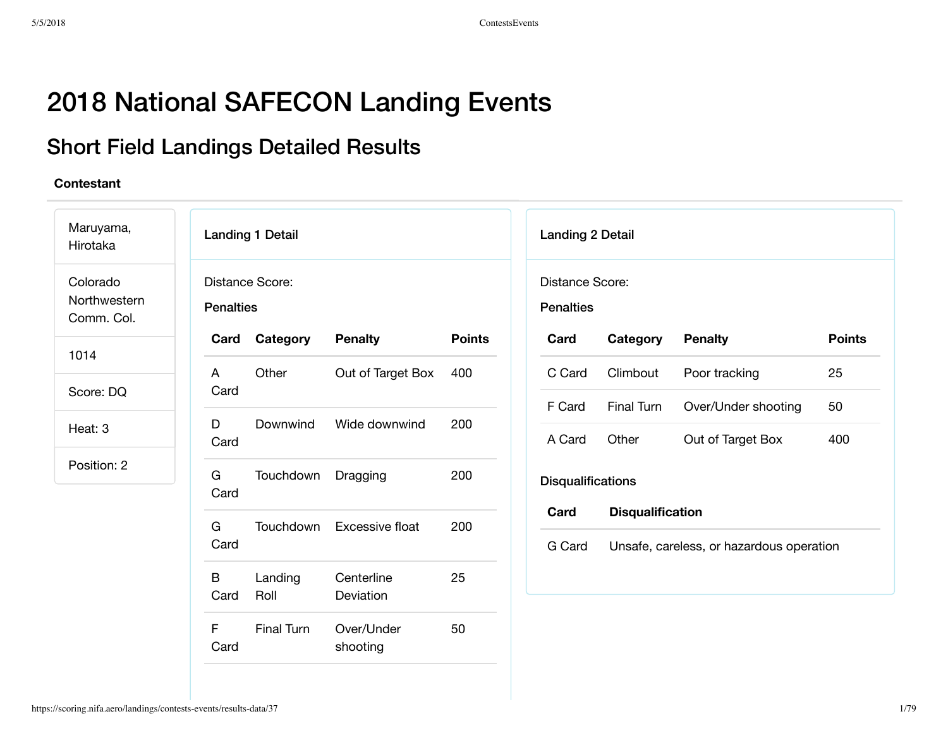# 2018 National SAFECON Landing Events

## Short Field Landings Detailed Results

| Maruyama,<br>Hirotaka                  |                  | <b>Landing 1 Detail</b> |                         |               | <b>Landing 2 Detail</b>             |                         |                                          |               |
|----------------------------------------|------------------|-------------------------|-------------------------|---------------|-------------------------------------|-------------------------|------------------------------------------|---------------|
| Colorado<br>Northwestern<br>Comm. Col. | <b>Penalties</b> | Distance Score:         |                         |               | Distance Score:<br><b>Penalties</b> |                         |                                          |               |
| 1014                                   |                  | Card Category           | <b>Penalty</b>          | <b>Points</b> | Card                                | Category                | <b>Penalty</b>                           | <b>Points</b> |
|                                        | A                | Other                   | Out of Target Box       | 400           | C Card                              | Climbout                | Poor tracking                            | 25            |
| Score: DQ                              | Card             |                         |                         |               | F Card                              | <b>Final Turn</b>       | Over/Under shooting                      | 50            |
| Heat: 3                                | D<br>Card        | Downwind                | Wide downwind           | 200           | A Card                              | Other                   | Out of Target Box                        | 400           |
| Position: 2                            | G<br>Card        | Touchdown               | Dragging                | 200           | <b>Disqualifications</b>            |                         |                                          |               |
|                                        | G                | Touchdown               | Excessive float         | 200           | Card                                | <b>Disqualification</b> |                                          |               |
|                                        | Card             |                         |                         |               | G Card                              |                         | Unsafe, careless, or hazardous operation |               |
|                                        | B<br>Card        | Landing<br>Roll         | Centerline<br>Deviation | 25            |                                     |                         |                                          |               |
|                                        | F<br>Card        | <b>Final Turn</b>       | Over/Under<br>shooting  | 50            |                                     |                         |                                          |               |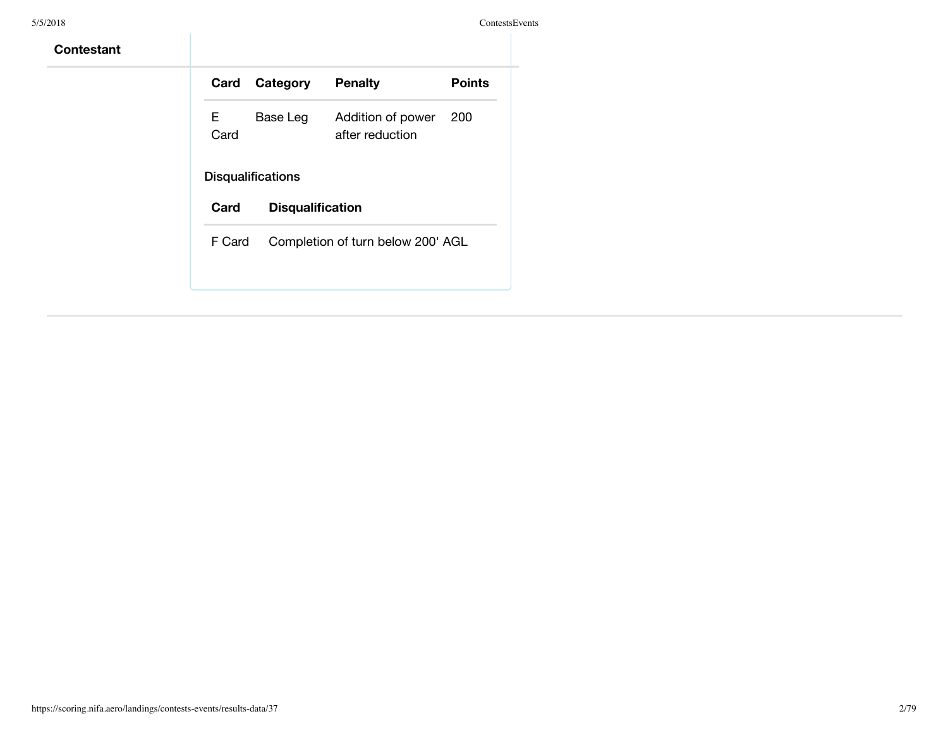| Card                     | Category                | <b>Penalty</b>                       | <b>Points</b> |
|--------------------------|-------------------------|--------------------------------------|---------------|
| E.<br>Card               | Base Leg                | Addition of power<br>after reduction | 200           |
| <b>Disqualifications</b> |                         |                                      |               |
| Card                     | <b>Disqualification</b> |                                      |               |
| F Card                   |                         | Completion of turn below 200' AGL    |               |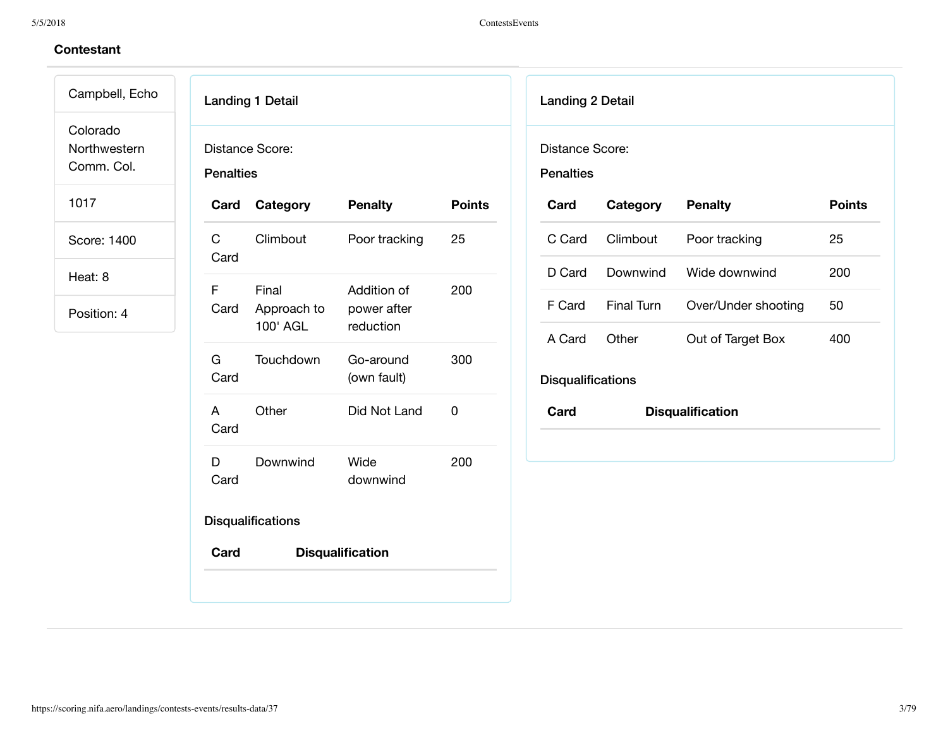### **Contestant**

Campbell, Echo Colorado Northwestern

Comm. Col.

1017

Score: 1400

Heat: 8

Position: 4

| <b>Penalties</b> | Distance Score:                  |                                         |               |
|------------------|----------------------------------|-----------------------------------------|---------------|
| Card             | Category                         | <b>Penalty</b>                          | <b>Points</b> |
| C<br>Card        | Climbout                         | Poor tracking                           | 25            |
| F<br>Card        | Final<br>Approach to<br>100' AGL | Addition of<br>power after<br>reduction | 200           |
| G<br>Card        | Touchdown                        | Go-around<br>(own fault)                | 300           |
| A<br>Card        | Other                            | Did Not Land                            | 0             |
| D<br>Card        | Downwind                         | Wide<br>downwind                        | 200           |

| <b>Landing 2 Detail</b> |  |  |
|-------------------------|--|--|
|                         |  |  |

tance Score:

nalties

| Card   | Category                 | <b>Penalty</b>          | Points |  |  |  |  |  |  |
|--------|--------------------------|-------------------------|--------|--|--|--|--|--|--|
| C Card | Climbout                 | Poor tracking           | 25     |  |  |  |  |  |  |
| D Card | Downwind                 | Wide downwind           | 200    |  |  |  |  |  |  |
| F Card | Final Turn               | Over/Under shooting     | 50     |  |  |  |  |  |  |
| A Card | Other                    | Out of Target Box       | 400    |  |  |  |  |  |  |
|        | <b>Disqualifications</b> |                         |        |  |  |  |  |  |  |
| Card   |                          | <b>Disqualification</b> |        |  |  |  |  |  |  |
|        |                          |                         |        |  |  |  |  |  |  |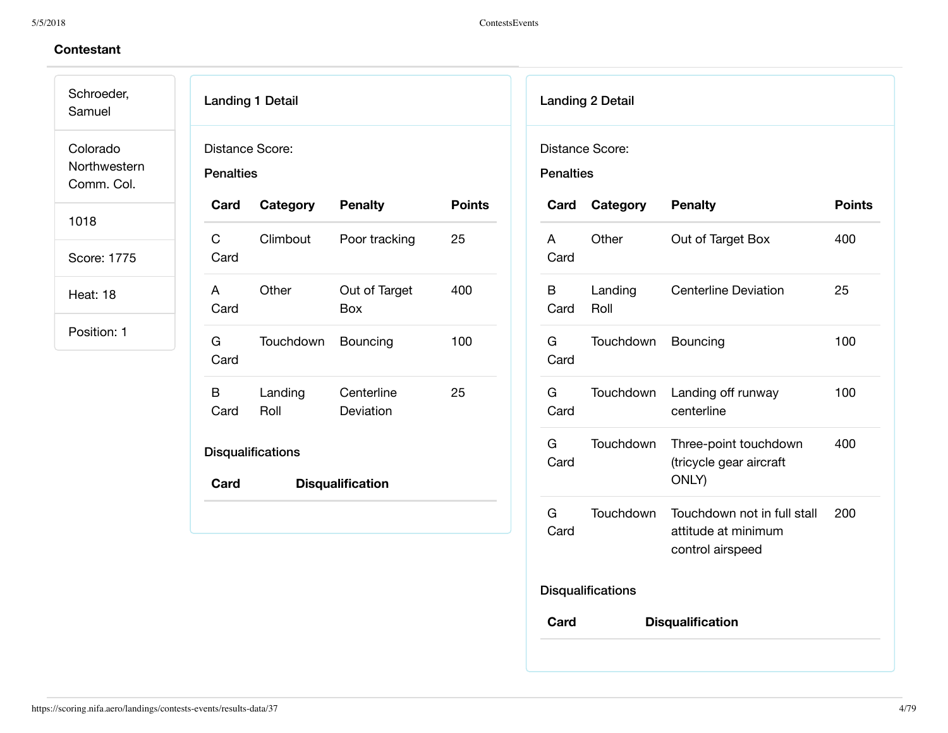| Schroeder,<br>Samuel                   |                     | <b>Landing 1 Detail</b>  |                         |               |                  | <b>Landing 2 Detail</b>  |                                                                        |               |
|----------------------------------------|---------------------|--------------------------|-------------------------|---------------|------------------|--------------------------|------------------------------------------------------------------------|---------------|
| Colorado<br>Northwestern<br>Comm. Col. | <b>Penalties</b>    | Distance Score:          |                         |               | <b>Penalties</b> | <b>Distance Score:</b>   |                                                                        |               |
| 1018                                   | Card                | Category                 | <b>Penalty</b>          | <b>Points</b> | Card             | Category                 | <b>Penalty</b>                                                         | <b>Points</b> |
| Score: 1775                            | $\mathbf C$<br>Card | Climbout                 | Poor tracking           | 25            | A<br>Card        | Other                    | Out of Target Box                                                      | 400           |
| Heat: 18                               | A<br>Card           | Other                    | Out of Target<br>Box    | 400           | $\sf B$<br>Card  | Landing<br>Roll          | <b>Centerline Deviation</b>                                            | 25            |
| Position: 1                            | G<br>Card           | Touchdown                | Bouncing                | 100           | G<br>Card        | Touchdown                | Bouncing                                                               | 100           |
|                                        | $\mathsf B$<br>Card | Landing<br>Roll          | Centerline<br>Deviation | 25            | G<br>Card        | Touchdown                | Landing off runway<br>centerline                                       | 100           |
|                                        | Card                | <b>Disqualifications</b> | <b>Disqualification</b> |               | G<br>Card        | Touchdown                | Three-point touchdown<br>(tricycle gear aircraft<br>ONLY)              | 400           |
|                                        |                     |                          |                         |               | G<br>Card        | Touchdown                | Touchdown not in full stall<br>attitude at minimum<br>control airspeed | 200           |
|                                        |                     |                          |                         |               |                  | <b>Disqualifications</b> |                                                                        |               |
|                                        |                     |                          |                         |               | Card             |                          | <b>Disqualification</b>                                                |               |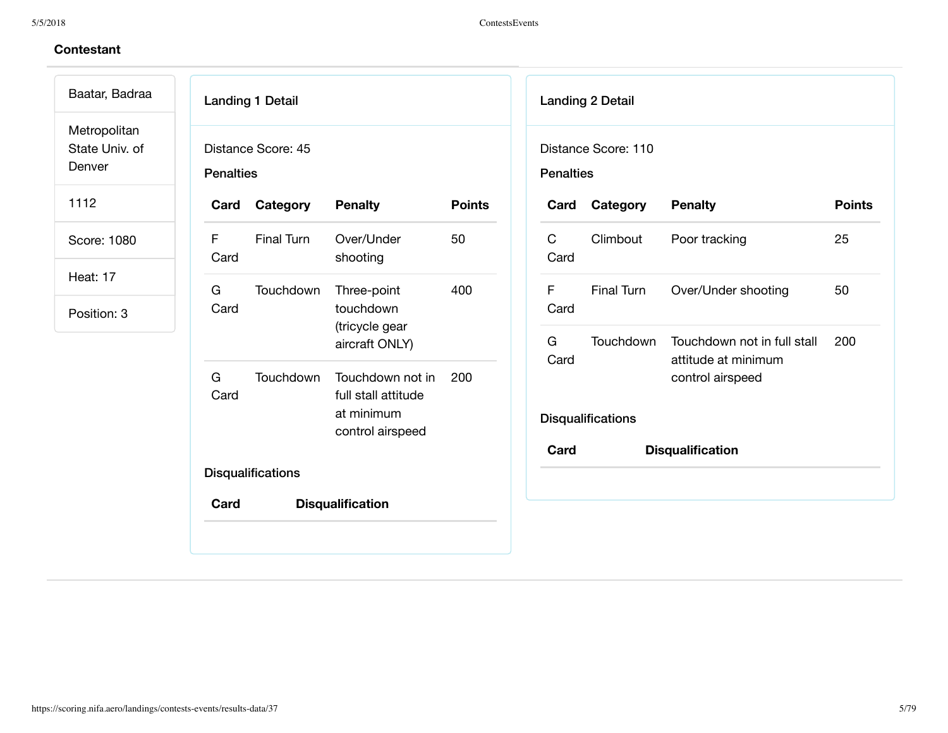| Baatar, Badraa                           |                  | <b>Landing 1 Detail</b>  |                                                       |               |           |                      | Landing 2 Detail         |                                                    |               |
|------------------------------------------|------------------|--------------------------|-------------------------------------------------------|---------------|-----------|----------------------|--------------------------|----------------------------------------------------|---------------|
| Metropolitan<br>State Univ. of<br>Denver | <b>Penalties</b> | Distance Score: 45       |                                                       |               |           | <b>Penalties</b>     | Distance Score: 110      |                                                    |               |
| 1112                                     | Card             | Category                 | <b>Penalty</b>                                        | <b>Points</b> |           | Card                 | Category                 | <b>Penalty</b>                                     | <b>Points</b> |
| Score: 1080                              | F<br>Card        | Final Turn               | Over/Under<br>shooting                                | 50            |           | $\mathsf{C}$<br>Card | Climbout                 | Poor tracking                                      | 25            |
| Heat: 17                                 | G                | Touchdown                | Three-point<br>touchdown<br>(tricycle gear            | 400           |           | $\mathsf{F}$         | Final Turn               | Over/Under shooting                                | 50            |
| Position: 3                              | Card             |                          |                                                       |               |           | Card                 |                          |                                                    |               |
|                                          |                  |                          | aircraft ONLY)                                        |               | G<br>Card |                      | Touchdown                | Touchdown not in full stall<br>attitude at minimum | 200           |
|                                          | G<br>Card        | <b>Touchdown</b>         | Touchdown not in<br>full stall attitude<br>at minimum | 200           |           |                      | <b>Disqualifications</b> | control airspeed                                   |               |
|                                          |                  |                          | control airspeed                                      |               |           | Card                 |                          | <b>Disqualification</b>                            |               |
|                                          |                  | <b>Disqualifications</b> |                                                       |               |           |                      |                          |                                                    |               |
|                                          | Card             |                          | <b>Disqualification</b>                               |               |           |                      |                          |                                                    |               |
|                                          |                  |                          |                                                       |               |           |                      |                          |                                                    |               |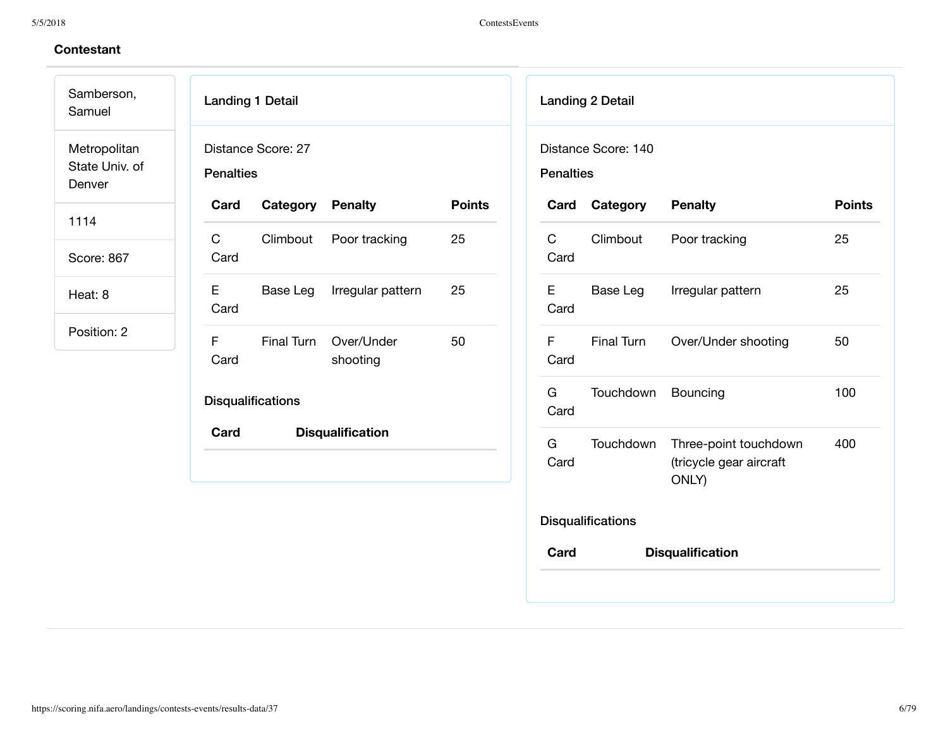| Samberson,<br>Samuel                     |                      | <b>Landing 1 Detail</b>  |                         |               |                      | <b>Landing 2 Detail</b>  |                                                           |               |
|------------------------------------------|----------------------|--------------------------|-------------------------|---------------|----------------------|--------------------------|-----------------------------------------------------------|---------------|
| Metropolitan<br>State Univ. of<br>Denver | <b>Penalties</b>     | Distance Score: 27       |                         |               | <b>Penalties</b>     | Distance Score: 140      |                                                           |               |
| 1114                                     | Card                 | Category                 | <b>Penalty</b>          | <b>Points</b> | Card                 | Category                 | <b>Penalty</b>                                            | <b>Points</b> |
| Score: 867                               | $\mathsf{C}$<br>Card | Climbout                 | Poor tracking           | 25            | $\mathsf{C}$<br>Card | Climbout                 | Poor tracking                                             | 25            |
| Heat: 8                                  | Е<br>Card            | Base Leg                 | Irregular pattern       | 25            | Е<br>Card            | Base Leg                 | Irregular pattern                                         | 25            |
| Position: 2                              | F<br>Card            | Final Turn               | Over/Under<br>shooting  | 50            | F<br>Card            | Final Turn               | Over/Under shooting                                       | 50            |
|                                          |                      | <b>Disqualifications</b> |                         |               | G<br>Card            | Touchdown                | Bouncing                                                  | 100           |
|                                          | Card                 |                          | <b>Disqualification</b> |               | G<br>Card            | Touchdown                | Three-point touchdown<br>(tricycle gear aircraft<br>ONLY) | 400           |
|                                          |                      |                          |                         |               |                      | <b>Disqualifications</b> |                                                           |               |
|                                          |                      |                          |                         |               | Card                 |                          | <b>Disqualification</b>                                   |               |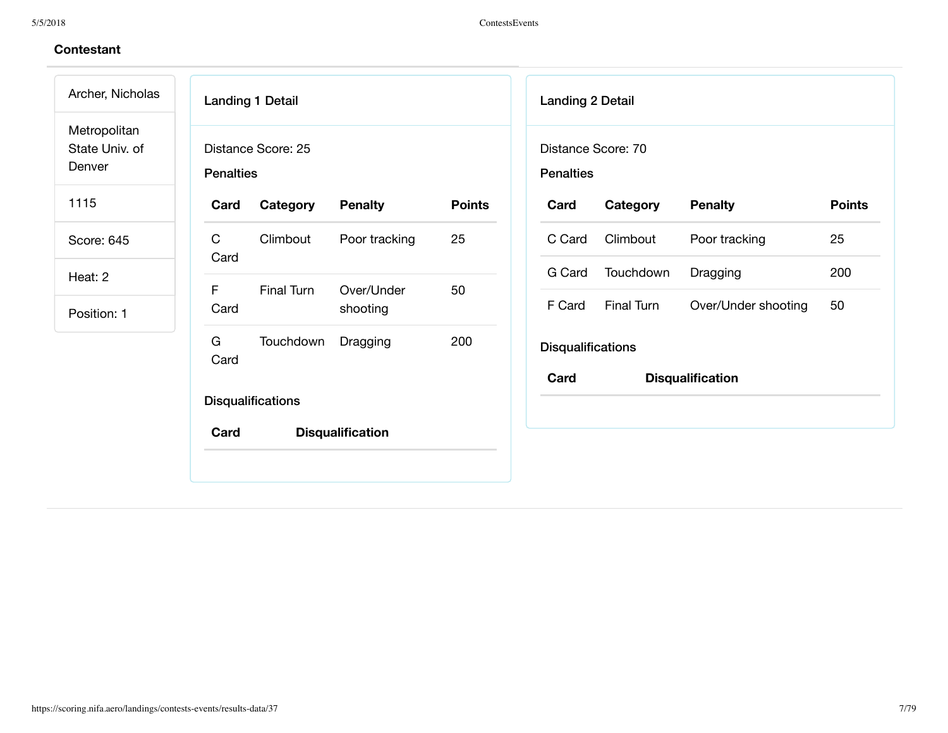| Archer, Nicholas                         |                      | <b>Landing 1 Detail</b>  |                         |               | <b>Landing 2 Detail</b>                |            |                         |               |
|------------------------------------------|----------------------|--------------------------|-------------------------|---------------|----------------------------------------|------------|-------------------------|---------------|
| Metropolitan<br>State Univ. of<br>Denver | <b>Penalties</b>     | Distance Score: 25       |                         |               | Distance Score: 70<br><b>Penalties</b> |            |                         |               |
| 1115                                     | Card                 | Category                 | <b>Penalty</b>          | <b>Points</b> | Card                                   | Category   | <b>Penalty</b>          | <b>Points</b> |
| Score: 645                               | $\mathsf{C}$<br>Card | Climbout                 | Poor tracking           | 25            | C Card                                 | Climbout   | Poor tracking           | 25            |
| Heat: 2                                  |                      |                          |                         |               | G Card                                 | Touchdown  | Dragging                | 200           |
| Position: 1                              | F.<br>Card           | Final Turn               | Over/Under<br>shooting  | 50            | F Card                                 | Final Turn | Over/Under shooting     | 50            |
|                                          | G<br>Card            | Touchdown                | Dragging                | 200           | <b>Disqualifications</b>               |            |                         |               |
|                                          |                      | <b>Disqualifications</b> |                         |               | Card                                   |            | <b>Disqualification</b> |               |
|                                          | Card                 |                          | <b>Disqualification</b> |               |                                        |            |                         |               |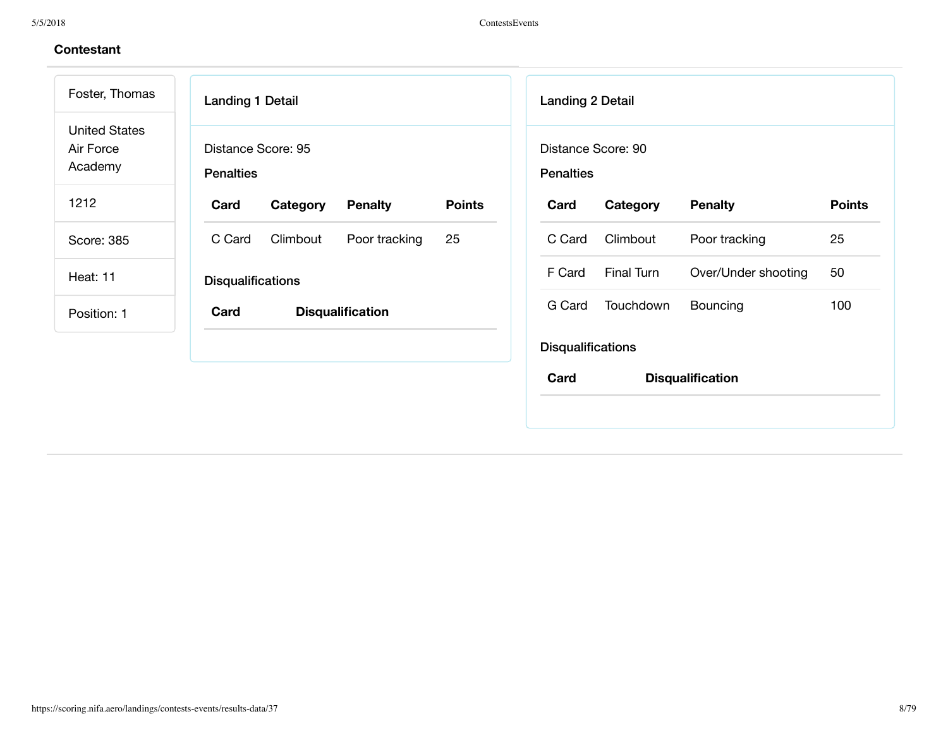| Foster, Thomas                               | Landing 1 Detail                                    | <b>Landing 2 Detail</b>                             |
|----------------------------------------------|-----------------------------------------------------|-----------------------------------------------------|
| <b>United States</b><br>Air Force<br>Academy | Distance Score: 95<br><b>Penalties</b>              | Distance Score: 90<br><b>Penalties</b>              |
| 1212                                         | <b>Points</b><br>Card<br>Category<br><b>Penalty</b> | <b>Points</b><br><b>Penalty</b><br>Card<br>Category |
| Score: 385                                   | 25<br>C Card<br>Climbout<br>Poor tracking           | 25<br>Climbout<br>Poor tracking<br>C Card           |
| Heat: 11                                     | <b>Disqualifications</b>                            | Final Turn<br>F Card<br>Over/Under shooting<br>50   |
| Position: 1                                  | Card<br><b>Disqualification</b>                     | G Card<br>Touchdown<br>Bouncing<br>100              |
|                                              |                                                     | <b>Disqualifications</b>                            |
|                                              |                                                     | Card<br><b>Disqualification</b>                     |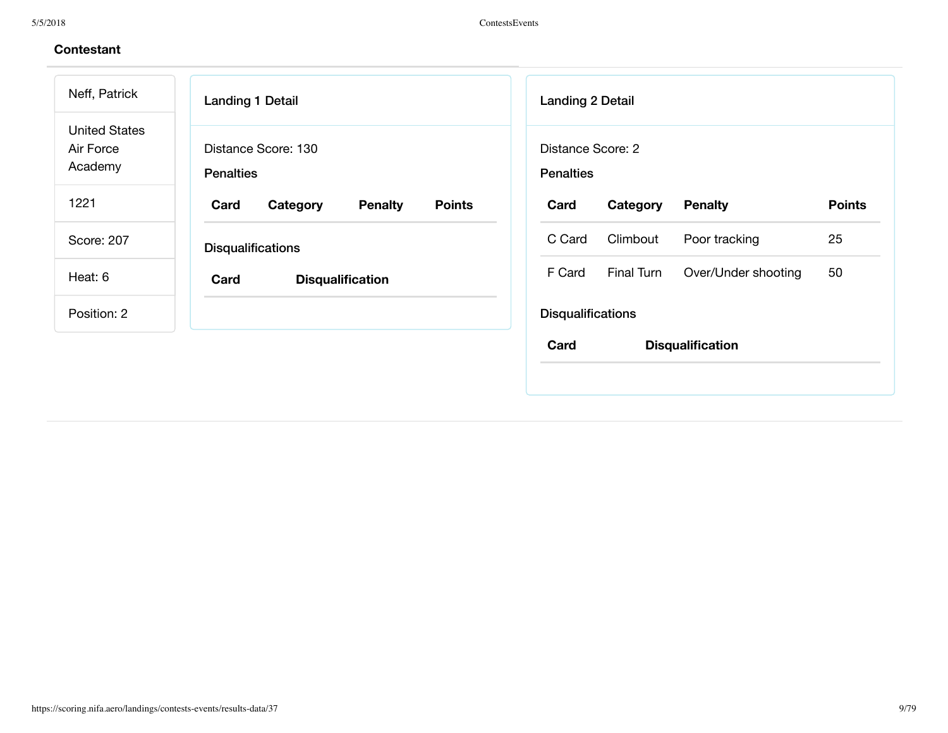| Neff, Patrick                                | <b>Landing 1 Detail</b>                             | <b>Landing 2 Detail</b>                             |
|----------------------------------------------|-----------------------------------------------------|-----------------------------------------------------|
| <b>United States</b><br>Air Force<br>Academy | Distance Score: 130<br><b>Penalties</b>             | Distance Score: 2<br><b>Penalties</b>               |
| 1221                                         | <b>Points</b><br>Card<br>Category<br><b>Penalty</b> | <b>Points</b><br>Card<br>Category<br><b>Penalty</b> |
| Score: 207                                   | <b>Disqualifications</b>                            | 25<br>Climbout<br>C Card<br>Poor tracking           |
| Heat: 6                                      | Card<br><b>Disqualification</b>                     | 50<br>F Card<br>Final Turn<br>Over/Under shooting   |
| Position: 2                                  |                                                     | <b>Disqualifications</b>                            |
|                                              |                                                     | Card<br><b>Disqualification</b>                     |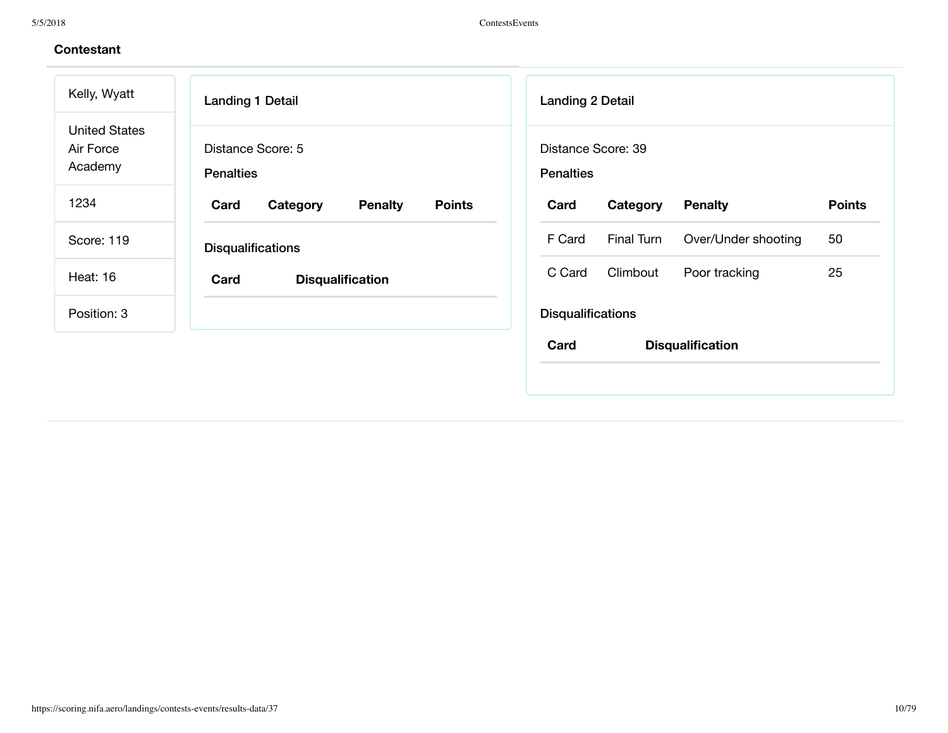| Kelly, Wyatt                                 | <b>Landing 1 Detail</b>                             | <b>Landing 2 Detail</b>                             |
|----------------------------------------------|-----------------------------------------------------|-----------------------------------------------------|
| <b>United States</b><br>Air Force<br>Academy | Distance Score: 5<br><b>Penalties</b>               | Distance Score: 39<br><b>Penalties</b>              |
| 1234                                         | <b>Points</b><br>Card<br>Category<br><b>Penalty</b> | <b>Points</b><br>Card<br>Category<br><b>Penalty</b> |
| Score: 119                                   | <b>Disqualifications</b>                            | Final Turn<br>50<br>F Card<br>Over/Under shooting   |
| Heat: 16                                     | Card<br><b>Disqualification</b>                     | 25<br>C Card<br>Climbout<br>Poor tracking           |
| Position: 3                                  |                                                     | <b>Disqualifications</b>                            |
|                                              |                                                     | Card<br><b>Disqualification</b>                     |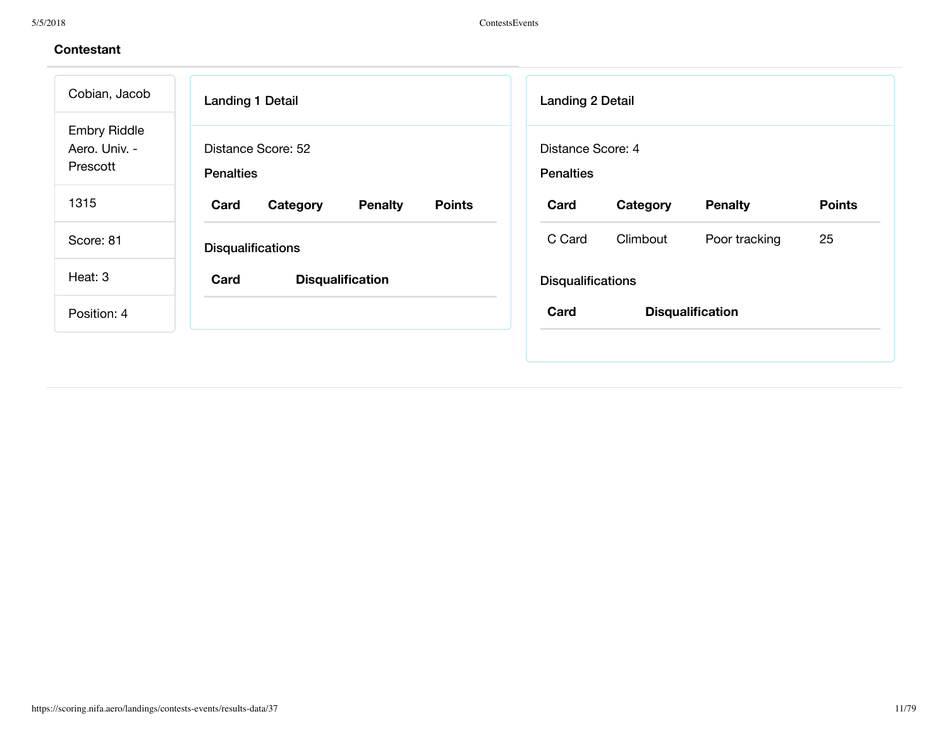| Cobian, Jacob                                    | Landing 1 Detail                                    | <b>Landing 2 Detail</b>                             |
|--------------------------------------------------|-----------------------------------------------------|-----------------------------------------------------|
| <b>Embry Riddle</b><br>Aero. Univ. -<br>Prescott | Distance Score: 52<br><b>Penalties</b>              | Distance Score: 4<br><b>Penalties</b>               |
| 1315                                             | <b>Points</b><br>Card<br>Category<br><b>Penalty</b> | <b>Points</b><br>Card<br><b>Penalty</b><br>Category |
| Score: 81                                        | <b>Disqualifications</b>                            | 25<br>C Card<br>Climbout<br>Poor tracking           |
| Heat: 3                                          | Card<br><b>Disqualification</b>                     | <b>Disqualifications</b>                            |
| Position: 4                                      |                                                     | Card<br><b>Disqualification</b>                     |
|                                                  |                                                     |                                                     |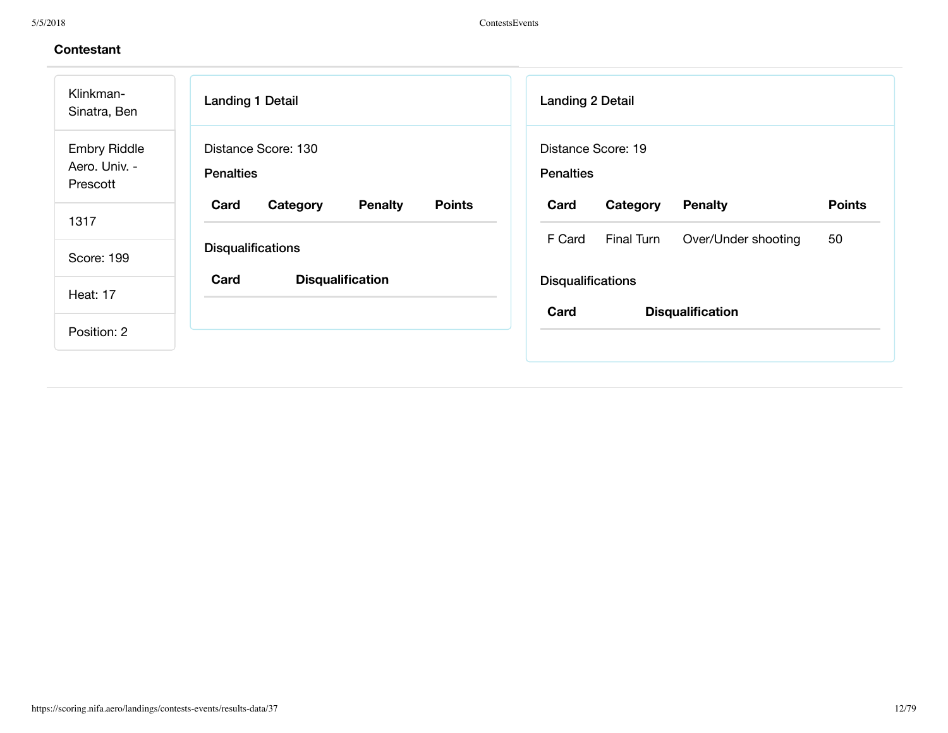| Klinkman-<br>Sinatra, Ben                        | <b>Landing 1 Detail</b>                             | <b>Landing 2 Detail</b>                             |
|--------------------------------------------------|-----------------------------------------------------|-----------------------------------------------------|
| <b>Embry Riddle</b><br>Aero. Univ. -<br>Prescott | Distance Score: 130<br><b>Penalties</b>             | Distance Score: 19<br><b>Penalties</b>              |
| 1317                                             | <b>Points</b><br>Card<br><b>Penalty</b><br>Category | <b>Points</b><br><b>Penalty</b><br>Card<br>Category |
|                                                  | <b>Disqualifications</b>                            | 50<br>F Card<br>Final Turn<br>Over/Under shooting   |
| Score: 199                                       |                                                     |                                                     |
| <b>Heat: 17</b>                                  | Card<br><b>Disqualification</b>                     | <b>Disqualifications</b>                            |
|                                                  |                                                     | Card<br><b>Disqualification</b>                     |
| Position: 2                                      |                                                     |                                                     |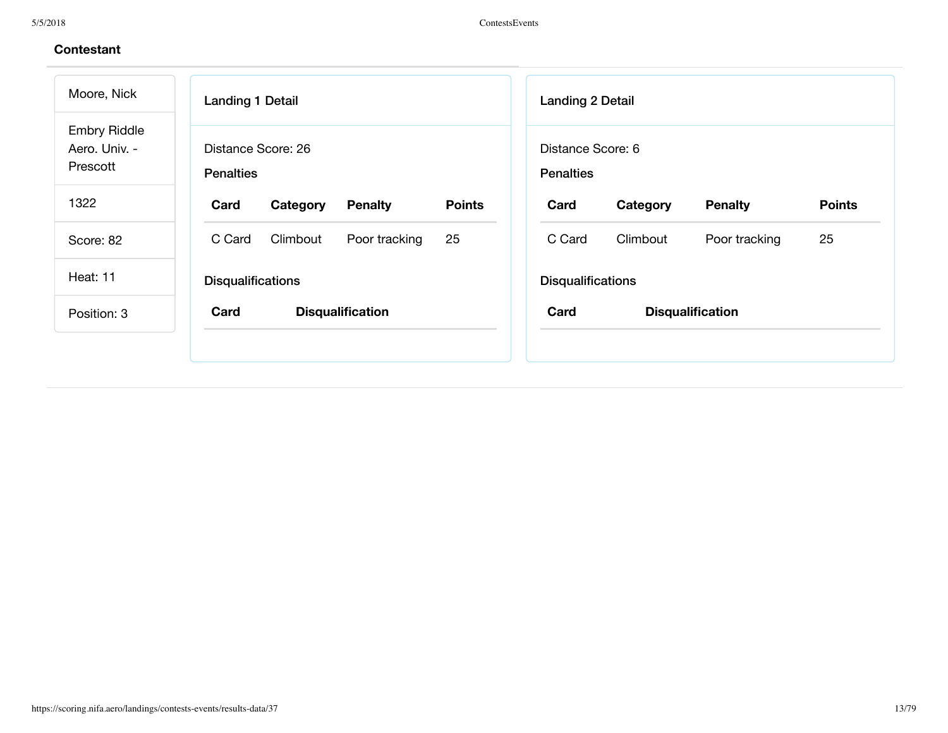| Moore, Nick                                      | <b>Landing 1 Detail</b>                             | <b>Landing 2 Detail</b>                             |
|--------------------------------------------------|-----------------------------------------------------|-----------------------------------------------------|
| <b>Embry Riddle</b><br>Aero. Univ. -<br>Prescott | Distance Score: 26<br><b>Penalties</b>              | Distance Score: 6<br><b>Penalties</b>               |
| 1322                                             | <b>Penalty</b><br><b>Points</b><br>Card<br>Category | Card<br><b>Penalty</b><br><b>Points</b><br>Category |
| Score: 82                                        | Climbout<br>25<br>C Card<br>Poor tracking           | 25<br>C Card<br>Poor tracking<br>Climbout           |
| Heat: 11                                         | <b>Disqualifications</b>                            | <b>Disqualifications</b>                            |
| Position: 3                                      | Card<br><b>Disqualification</b>                     | Card<br><b>Disqualification</b>                     |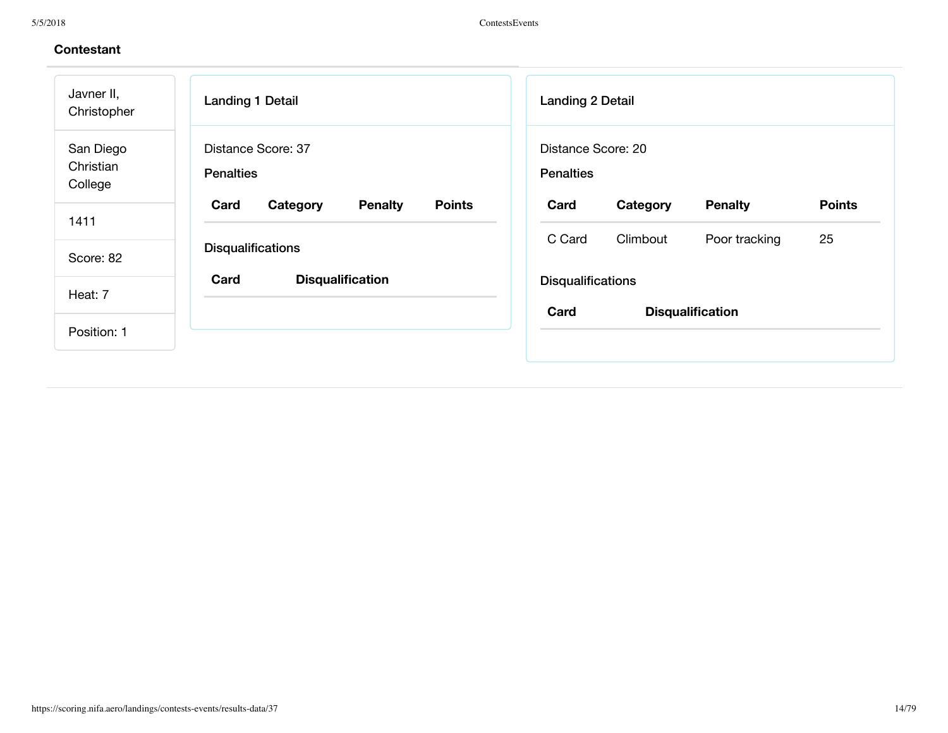| San Diego<br>Distance Score: 37<br>Distance Score: 20<br>Christian<br><b>Penalties</b><br><b>Penalties</b><br>College<br><b>Points</b><br><b>Points</b><br>Card<br>Category<br><b>Penalty</b><br>Card<br><b>Penalty</b><br>Category<br>1411<br>25<br>C Card<br>Climbout<br>Poor tracking<br><b>Disqualifications</b><br>Score: 82<br>Card<br><b>Disqualification</b><br><b>Disqualifications</b><br>Heat: 7<br>Card<br><b>Disqualification</b> | Javner II,<br>Christopher | <b>Landing 1 Detail</b> | <b>Landing 2 Detail</b> |
|------------------------------------------------------------------------------------------------------------------------------------------------------------------------------------------------------------------------------------------------------------------------------------------------------------------------------------------------------------------------------------------------------------------------------------------------|---------------------------|-------------------------|-------------------------|
|                                                                                                                                                                                                                                                                                                                                                                                                                                                |                           |                         |                         |
|                                                                                                                                                                                                                                                                                                                                                                                                                                                |                           |                         |                         |
|                                                                                                                                                                                                                                                                                                                                                                                                                                                |                           |                         |                         |
|                                                                                                                                                                                                                                                                                                                                                                                                                                                |                           |                         |                         |
|                                                                                                                                                                                                                                                                                                                                                                                                                                                | Position: 1               |                         |                         |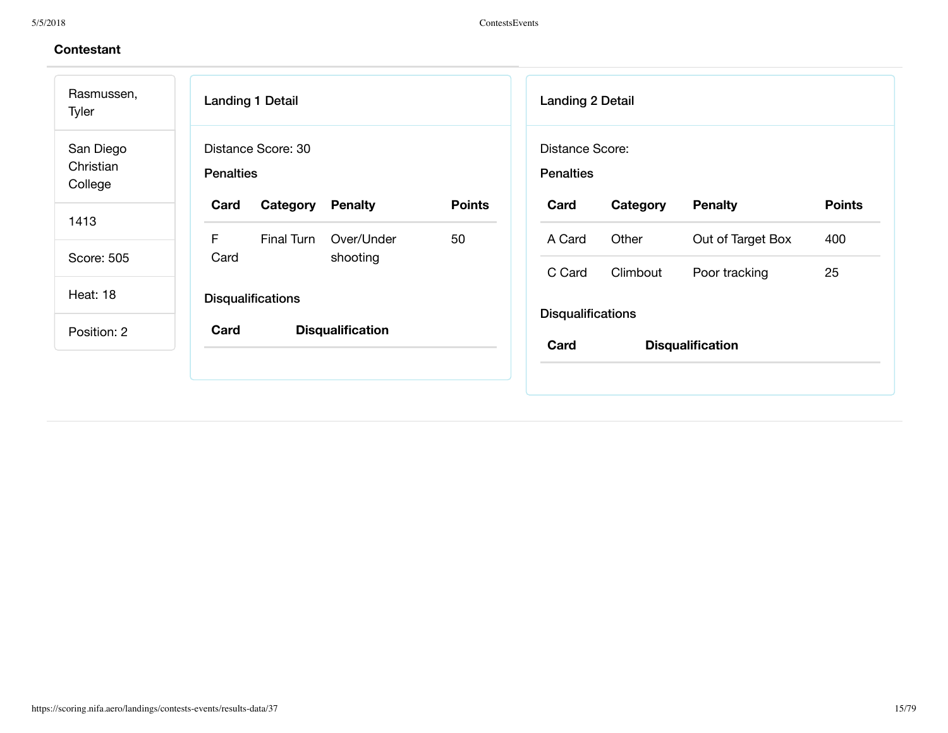| Landing 1 Detail                       |               |                  |          |                                                                                    |                                          |
|----------------------------------------|---------------|------------------|----------|------------------------------------------------------------------------------------|------------------------------------------|
| Distance Score: 30<br><b>Penalties</b> |               | <b>Penalties</b> |          |                                                                                    |                                          |
| Card<br>Category<br><b>Penalty</b>     | <b>Points</b> | Card             | Category | <b>Penalty</b>                                                                     | <b>Points</b>                            |
| F<br>Final Turn<br>Over/Under          | 50            | A Card           | Other    | Out of Target Box                                                                  | 400                                      |
| Card<br>shooting                       |               |                  |          |                                                                                    | 25                                       |
| <b>Disqualifications</b>               |               |                  |          |                                                                                    |                                          |
| Card<br><b>Disqualification</b>        |               | Card             |          |                                                                                    |                                          |
|                                        |               |                  | C Card   | <b>Landing 2 Detail</b><br>Distance Score:<br>Climbout<br><b>Disqualifications</b> | Poor tracking<br><b>Disqualification</b> |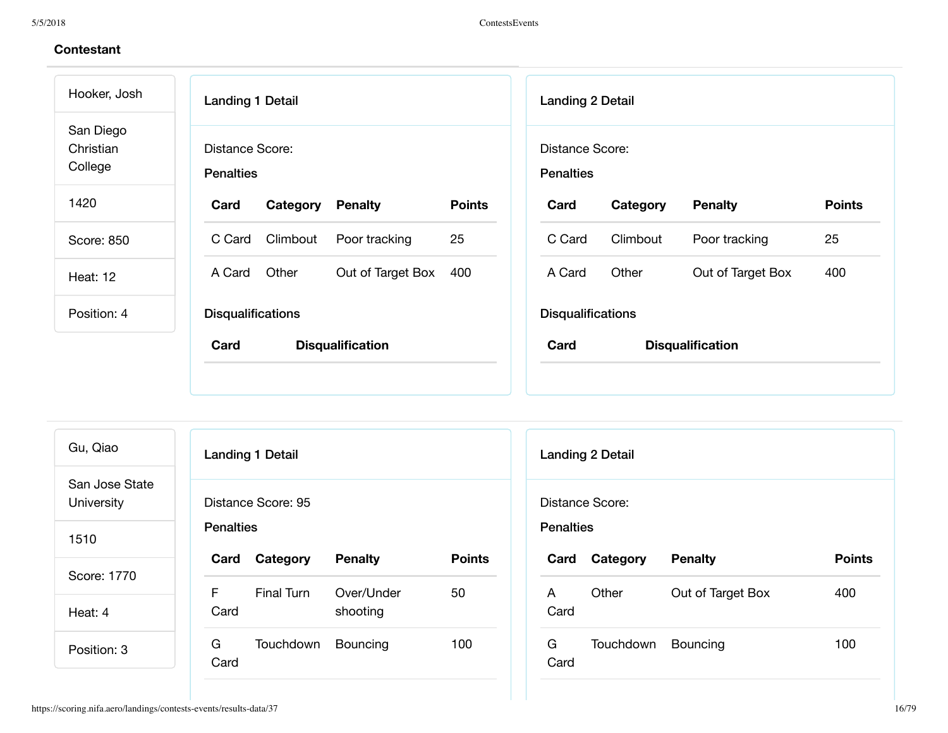| Hooker, Josh                      | Landing 1 Detail                           |          |                         |               | <b>Landing 2 Detail</b>             |          |                         |               |
|-----------------------------------|--------------------------------------------|----------|-------------------------|---------------|-------------------------------------|----------|-------------------------|---------------|
| San Diego<br>Christian<br>College | <b>Distance Score:</b><br><b>Penalties</b> |          |                         |               | Distance Score:<br><b>Penalties</b> |          |                         |               |
| 1420                              | Card                                       | Category | <b>Penalty</b>          | <b>Points</b> | Card                                | Category | <b>Penalty</b>          | <b>Points</b> |
| Score: 850                        | C Card                                     | Climbout | Poor tracking           | 25            | C Card                              | Climbout | Poor tracking           | 25            |
| <b>Heat: 12</b>                   | A Card                                     | Other    | Out of Target Box       | 400           | A Card                              | Other    | Out of Target Box       | 400           |
| Position: 4                       | <b>Disqualifications</b>                   |          |                         |               | <b>Disqualifications</b>            |          |                         |               |
|                                   | Card                                       |          | <b>Disqualification</b> |               | Card                                |          | <b>Disqualification</b> |               |

| Gu, Qiao                     | <b>Landing 1 Detail</b>                |            |                        |               |                  | <b>Landing 2 Detail</b> |                   |               |
|------------------------------|----------------------------------------|------------|------------------------|---------------|------------------|-------------------------|-------------------|---------------|
| San Jose State<br>University | Distance Score: 95<br><b>Penalties</b> |            |                        |               | <b>Penalties</b> | Distance Score:         |                   |               |
| 1510                         | Card                                   | Category   | <b>Penalty</b>         | <b>Points</b> | Card             | Category                | <b>Penalty</b>    | <b>Points</b> |
| Score: 1770<br>Heat: 4       | F<br>Card                              | Final Turn | Over/Under<br>shooting | 50            | A<br>Card        | Other                   | Out of Target Box | 400           |
| Position: 3                  | G<br>Card                              | Touchdown  | Bouncing               | 100           | G<br>Card        | Touchdown               | Bouncing          | 100           |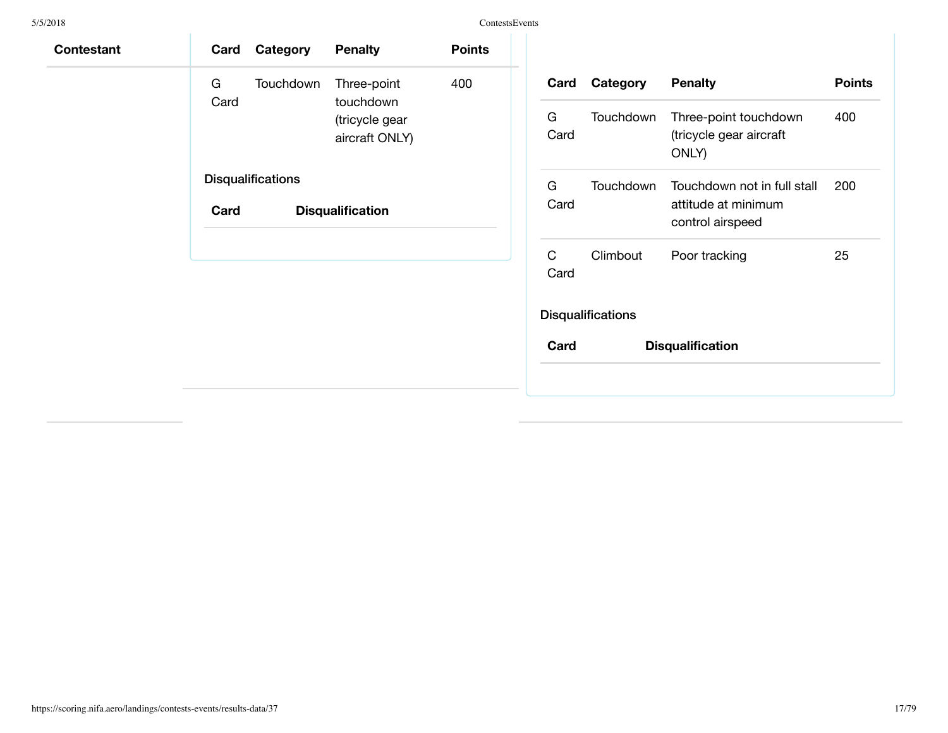| 70 I<br>., | 8 |
|------------|---|
|            |   |

ContestsEvents

| <b>Contestant</b> | Card | Category                 | <b>Penalty</b>                                | <b>Points</b> |                      |                          |                                                                        |               |
|-------------------|------|--------------------------|-----------------------------------------------|---------------|----------------------|--------------------------|------------------------------------------------------------------------|---------------|
|                   | G    | Touchdown                | Three-point                                   | 400           | Card                 | Category                 | <b>Penalty</b>                                                         | <b>Points</b> |
|                   | Card |                          | touchdown<br>(tricycle gear<br>aircraft ONLY) |               | G<br>Card            | Touchdown                | Three-point touchdown<br>(tricycle gear aircraft<br>ONLY)              | 400           |
|                   | Card | <b>Disqualifications</b> | <b>Disqualification</b>                       |               | G<br>Card            | Touchdown                | Touchdown not in full stall<br>attitude at minimum<br>control airspeed | 200           |
|                   |      |                          |                                               |               | $\mathsf{C}$<br>Card | Climbout                 | Poor tracking                                                          | 25            |
|                   |      |                          |                                               |               |                      | <b>Disqualifications</b> |                                                                        |               |
|                   |      |                          |                                               |               | Card                 |                          | <b>Disqualification</b>                                                |               |
|                   |      |                          |                                               |               |                      |                          |                                                                        |               |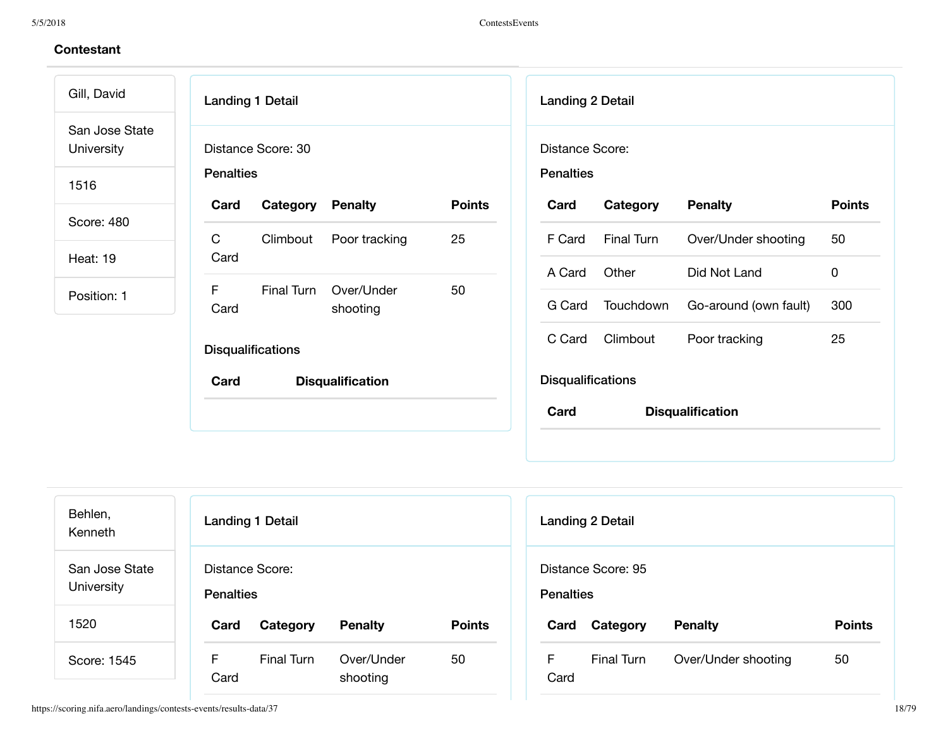| Gill, David                  |                  | <b>Landing 1 Detail</b>  |                         |               |                  | <b>Landing 2 Detail</b>  |                         |               |
|------------------------------|------------------|--------------------------|-------------------------|---------------|------------------|--------------------------|-------------------------|---------------|
| San Jose State<br>University |                  | Distance Score: 30       |                         |               |                  | Distance Score:          |                         |               |
| 1516                         | <b>Penalties</b> |                          |                         |               | <b>Penalties</b> |                          |                         |               |
|                              | Card             | Category                 | <b>Penalty</b>          | <b>Points</b> | Card             | Category                 | <b>Penalty</b>          | <b>Points</b> |
| Score: 480                   | $\mathsf{C}$     | Climbout                 | Poor tracking           | 25            | F Card           | Final Turn               | Over/Under shooting     | 50            |
| <b>Heat: 19</b>              | Card             |                          |                         |               | A Card           | Other                    | Did Not Land            | $\mathsf 0$   |
| Position: 1                  | F<br>Card        | Final Turn               | Over/Under<br>shooting  | 50            | G Card           | Touchdown                | Go-around (own fault)   | 300           |
|                              |                  | <b>Disqualifications</b> |                         |               | C Card           | Climbout                 | Poor tracking           | 25            |
|                              | Card             |                          | <b>Disqualification</b> |               |                  | <b>Disqualifications</b> |                         |               |
|                              |                  |                          |                         |               | Card             |                          | <b>Disqualification</b> |               |
|                              |                  |                          |                         |               |                  |                          |                         |               |
|                              |                  |                          |                         |               |                  |                          |                         |               |

| Behlen,<br>Kenneth           | <b>Landing 1 Detail</b>             |            |                        |               |  |  |  |
|------------------------------|-------------------------------------|------------|------------------------|---------------|--|--|--|
| San Jose State<br>University | Distance Score:<br><b>Penalties</b> |            |                        |               |  |  |  |
| 1520                         | Card                                | Category   | <b>Penalty</b>         | <b>Points</b> |  |  |  |
| Score: 1545                  | F.<br>Card                          | Final Turn | Over/Under<br>shooting | 50            |  |  |  |

|                  | <b>Landing 2 Detail</b> |                     |               |
|------------------|-------------------------|---------------------|---------------|
| <b>Penalties</b> | Distance Score: 95      |                     |               |
| Card             | Category                | <b>Penalty</b>      | <b>Points</b> |
| F<br>Card        | Final Turn              | Over/Under shooting | 50            |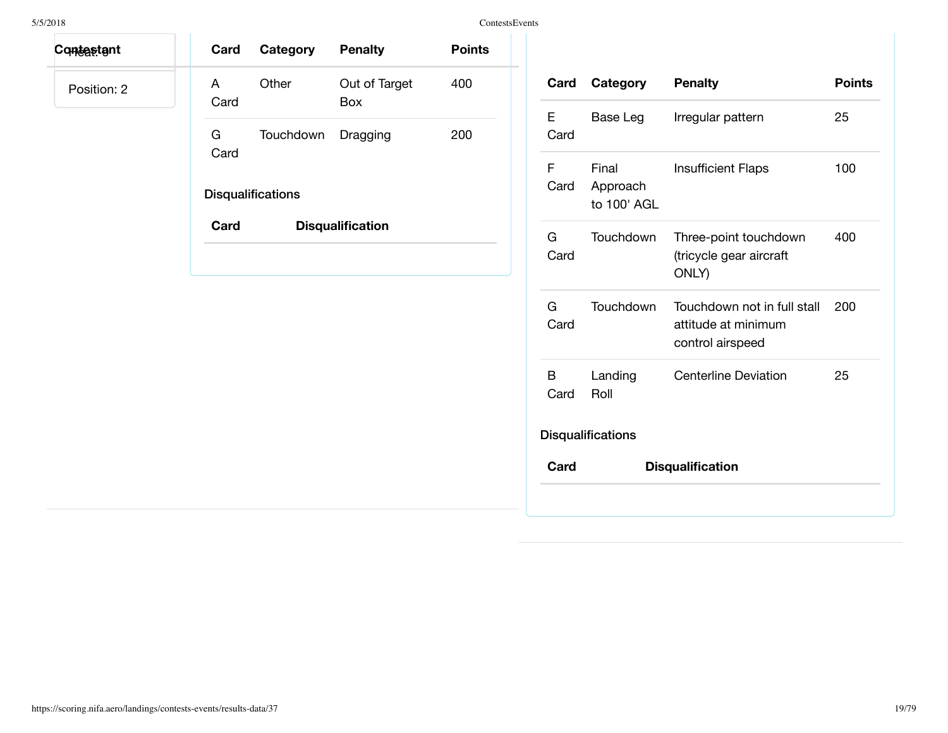| `ontestsEvents |  |
|----------------|--|
|                |  |
|                |  |

| 5/5/2018    |           |                          |                         | ContestsEvents |           |                                  |                                                                        |                 |
|-------------|-----------|--------------------------|-------------------------|----------------|-----------|----------------------------------|------------------------------------------------------------------------|-----------------|
| Contestant  | Card      | Category                 | <b>Penalty</b>          | <b>Points</b>  |           |                                  |                                                                        |                 |
| Position: 2 | A<br>Card | Other                    | Out of Target<br>Box    | 400            | Card      | Category                         | <b>Penalty</b>                                                         | Po              |
|             | G         | Touchdown                | Dragging                | 200            | E<br>Card | Base Leg                         | Irregular pattern                                                      | 25              |
|             | Card      | <b>Disqualifications</b> |                         |                | F<br>Card | Final<br>Approach<br>to 100' AGL | <b>Insufficient Flaps</b>                                              | 10 <sub>0</sub> |
|             | Card      |                          | <b>Disqualification</b> |                | G<br>Card | Touchdown                        | Three-point touchdown<br>(tricycle gear aircraft<br>ONLY)              | 40              |
|             |           |                          |                         |                | G<br>Card | Touchdown                        | Touchdown not in full stall<br>attitude at minimum<br>control airspeed | 20              |
|             |           |                          |                         |                | B<br>Card | Landing<br>Roll                  | <b>Centerline Deviation</b>                                            | 25              |
|             |           |                          |                         |                |           | <b>Disqualifications</b>         |                                                                        |                 |
|             |           |                          |                         |                | Card      |                                  | <b>Disqualification</b>                                                |                 |
|             |           |                          |                         |                |           |                                  |                                                                        |                 |

**Points** 

 $100$ 

400

200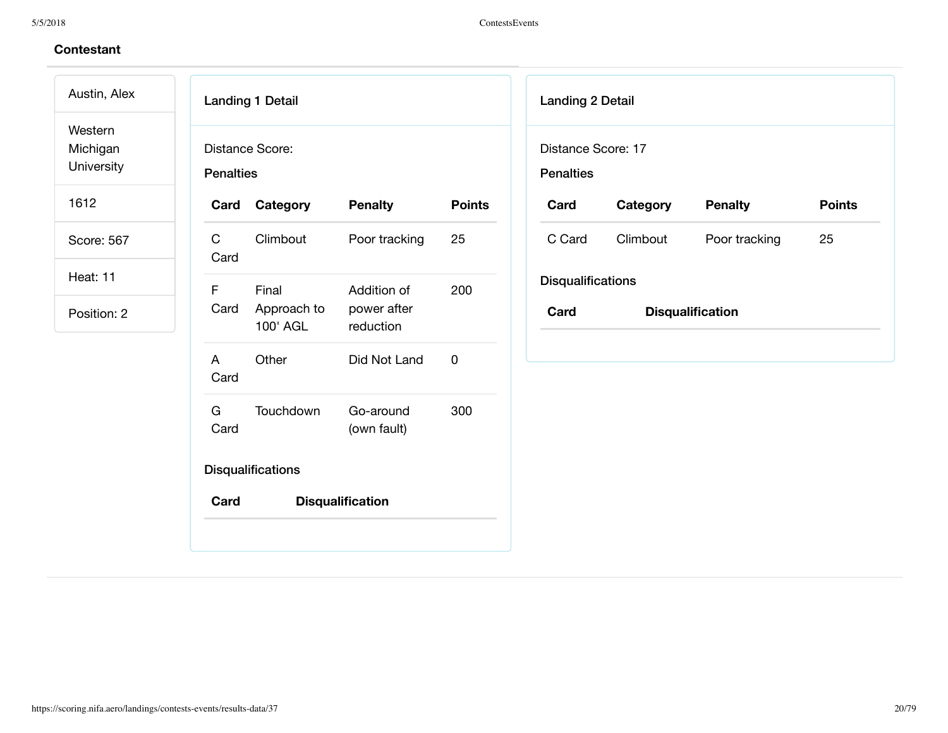### **Contestant**

Austin, Alex Western Michigan

University

1612

Score: 567

Heat: 11

Position: 2

| Distance Score:<br><b>Penalties</b>      |                                         |               |
|------------------------------------------|-----------------------------------------|---------------|
| Category                                 | <b>Penalty</b>                          | <b>Points</b> |
| Climbout                                 | Poor tracking                           | 25            |
| Final<br>Card<br>Approach to<br>100' AGL | Addition of<br>power after<br>reduction | 200           |
| Other                                    | Did Not Land                            | 0             |
| Touchdown                                | Go-around<br>(own fault)                | 300           |
| <b>Disqualifications</b>                 |                                         |               |
|                                          |                                         |               |

| <b>Landing 2 Detail</b>                |          |                         |               |  |
|----------------------------------------|----------|-------------------------|---------------|--|
| Distance Score: 17<br><b>Penalties</b> |          |                         |               |  |
| Card                                   | Category | <b>Penalty</b>          | <b>Points</b> |  |
| C Card                                 | Climbout | Poor tracking           | 25            |  |
| <b>Disqualifications</b>               |          |                         |               |  |
| Card                                   |          | <b>Disqualification</b> |               |  |
|                                        |          |                         |               |  |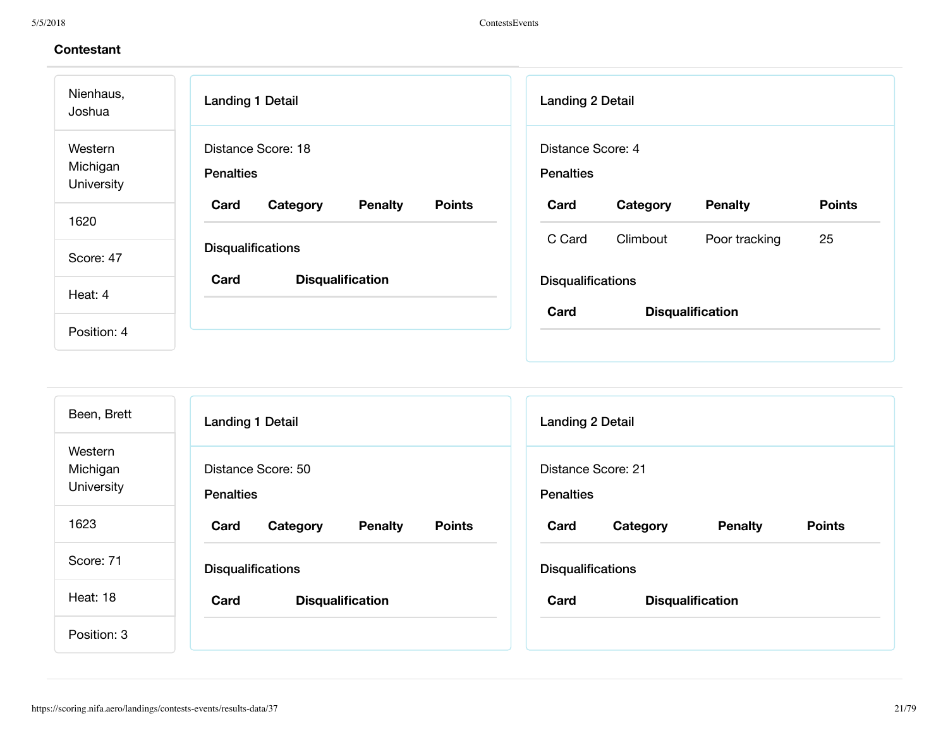| Nienhaus,<br>Joshua               | <b>Landing 1 Detail</b>                             | <b>Landing 2 Detail</b>                             |
|-----------------------------------|-----------------------------------------------------|-----------------------------------------------------|
| Western<br>Michigan<br>University | Distance Score: 18<br><b>Penalties</b>              | Distance Score: 4<br><b>Penalties</b>               |
| 1620                              | Card<br><b>Points</b><br>Category<br><b>Penalty</b> | Card<br><b>Penalty</b><br><b>Points</b><br>Category |
|                                   |                                                     | 25<br>C Card<br>Climbout<br>Poor tracking           |
| Score: 47                         | <b>Disqualifications</b>                            |                                                     |
|                                   | Card<br><b>Disqualification</b>                     | <b>Disqualifications</b>                            |
| Heat: 4                           |                                                     | Card<br><b>Disqualification</b>                     |
| Position: 4                       |                                                     |                                                     |

| Been, Brett                       | <b>Landing 1 Detail</b>                             | <b>Landing 2 Detail</b>                             |
|-----------------------------------|-----------------------------------------------------|-----------------------------------------------------|
| Western<br>Michigan<br>University | Distance Score: 50<br><b>Penalties</b>              | Distance Score: 21<br><b>Penalties</b>              |
| 1623                              | <b>Points</b><br>Card<br><b>Penalty</b><br>Category | Card<br><b>Points</b><br><b>Penalty</b><br>Category |
| Score: 71                         | <b>Disqualifications</b>                            | <b>Disqualifications</b>                            |
| Heat: 18                          | Card<br><b>Disqualification</b>                     | Card<br><b>Disqualification</b>                     |
| Position: 3                       |                                                     |                                                     |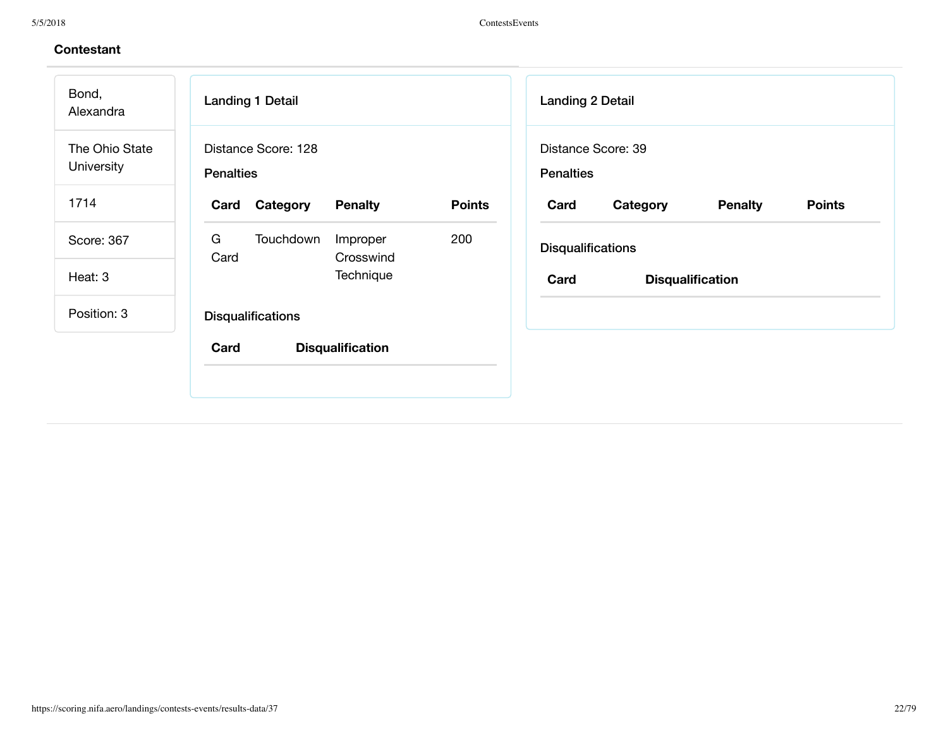| Bond,<br>Alexandra           | <b>Landing 1 Detail</b>                                | <b>Landing 2 Detail</b>                             |
|------------------------------|--------------------------------------------------------|-----------------------------------------------------|
| The Ohio State<br>University | Distance Score: 128<br><b>Penalties</b>                | Distance Score: 39<br><b>Penalties</b>              |
| 1714                         | Card Category<br><b>Points</b><br><b>Penalty</b>       | Category<br><b>Penalty</b><br><b>Points</b><br>Card |
| Score: 367                   | G<br>Touchdown<br>200<br>Improper<br>Card<br>Crosswind | <b>Disqualifications</b>                            |
| Heat: 3                      | Technique                                              | Card<br><b>Disqualification</b>                     |
| Position: 3                  | <b>Disqualifications</b>                               |                                                     |
|                              | Card<br><b>Disqualification</b>                        |                                                     |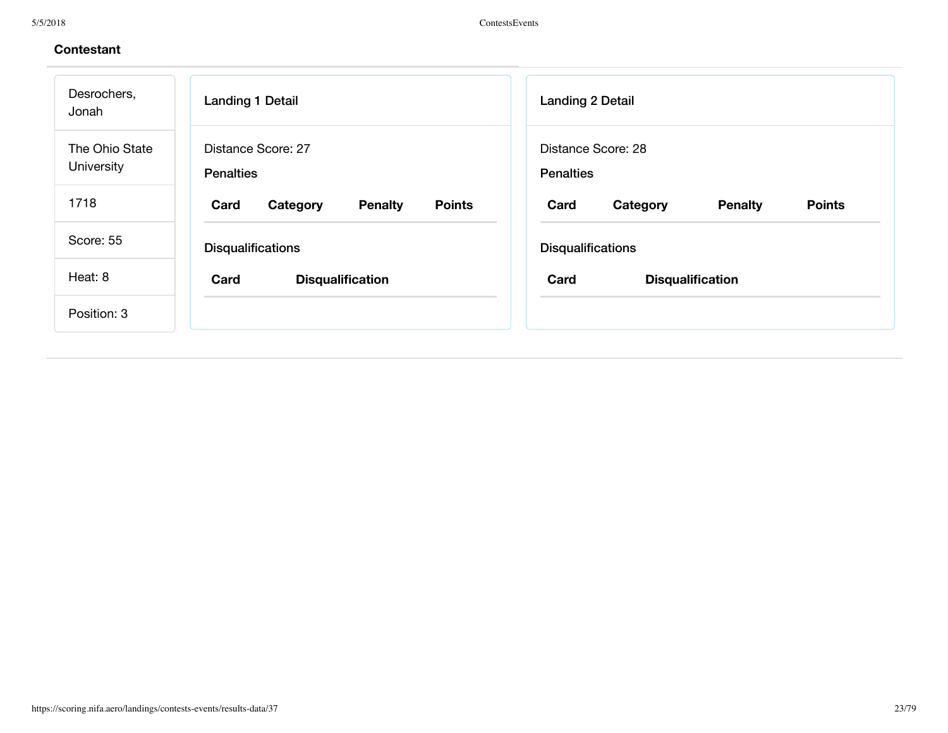| Desrochers,<br>Jonah         | <b>Landing 1 Detail</b>                             | <b>Landing 2 Detail</b>                             |
|------------------------------|-----------------------------------------------------|-----------------------------------------------------|
| The Ohio State<br>University | Distance Score: 27<br><b>Penalties</b>              | Distance Score: 28<br><b>Penalties</b>              |
| 1718                         | <b>Points</b><br>Card<br><b>Penalty</b><br>Category | <b>Points</b><br>Card<br>Category<br><b>Penalty</b> |
| Score: 55                    | <b>Disqualifications</b>                            | <b>Disqualifications</b>                            |
| Heat: 8                      | Card<br><b>Disqualification</b>                     | Card<br><b>Disqualification</b>                     |
| Position: 3                  |                                                     |                                                     |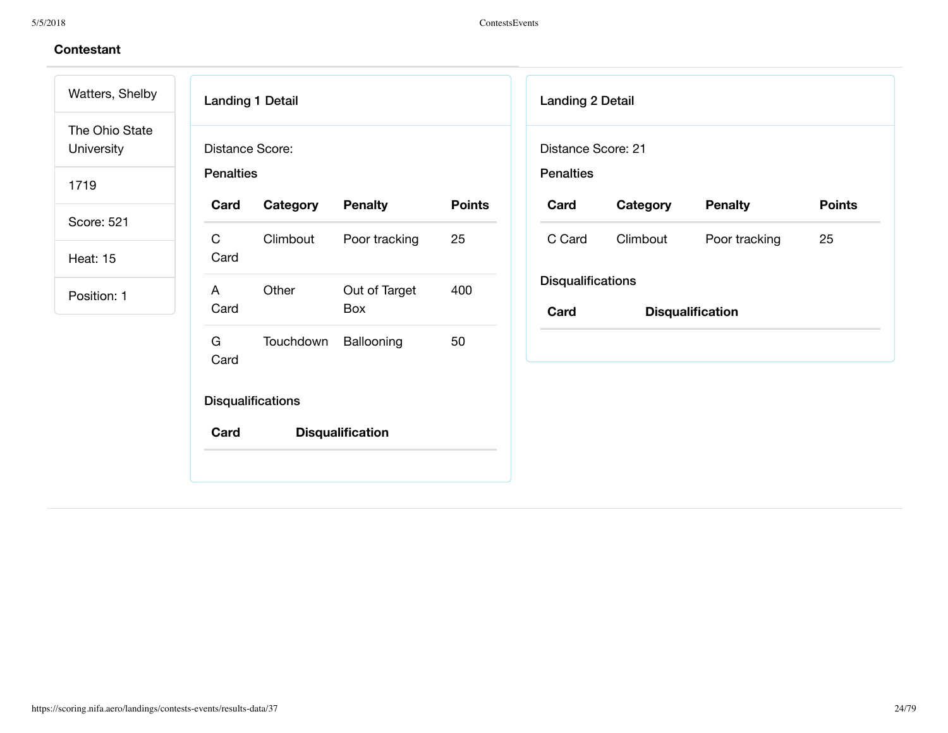| Watters, Shelby                     | <b>Landing 1 Detail</b>                          | <b>Landing 2 Detail</b>                                              |
|-------------------------------------|--------------------------------------------------|----------------------------------------------------------------------|
| The Ohio State<br><b>University</b> | Distance Score:                                  | Distance Score: 21                                                   |
| 1719                                | <b>Penalties</b>                                 | <b>Penalties</b>                                                     |
| Score: 521                          | <b>Penalty</b><br>Card<br>Category               | <b>Points</b><br><b>Points</b><br>Category<br><b>Penalty</b><br>Card |
| <b>Heat: 15</b>                     | $\mathsf C$<br>Climbout<br>Poor tracking<br>Card | 25<br>C Card<br>25<br>Climbout<br>Poor tracking                      |
| Position: 1                         | Other<br>Out of Target<br>A<br>Card<br>Box       | <b>Disqualifications</b><br>400<br><b>Disqualification</b><br>Card   |
|                                     | G<br>Touchdown<br>Ballooning<br>Card             | 50                                                                   |
|                                     | <b>Disqualifications</b>                         |                                                                      |
|                                     | Card<br><b>Disqualification</b>                  |                                                                      |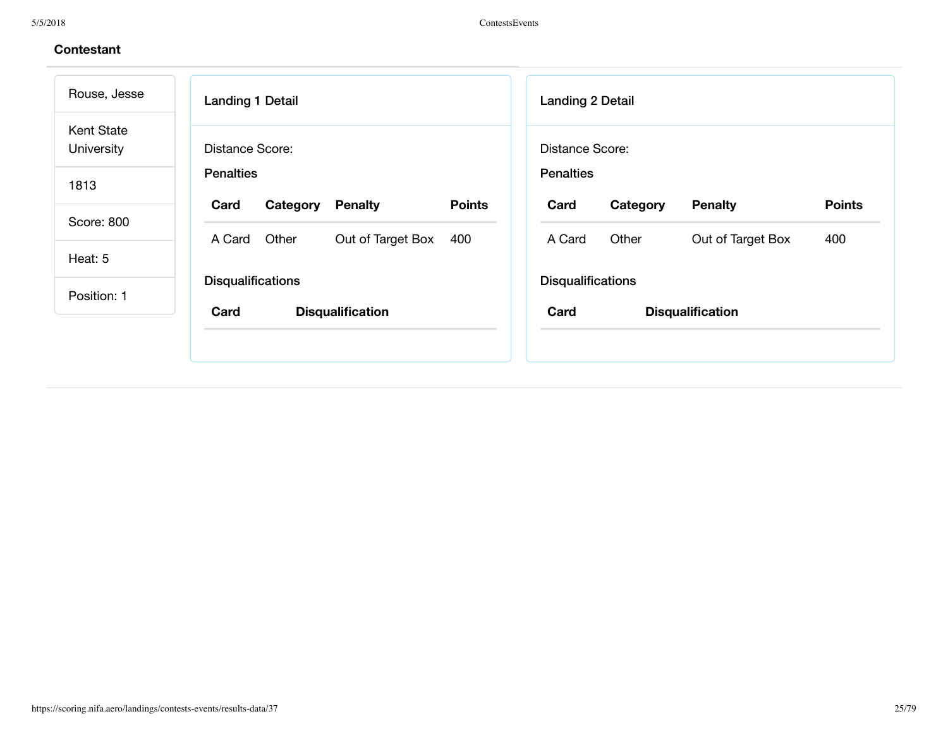| Rouse, Jesse             | <b>Landing 1 Detail</b>                     | <b>Landing 2 Detail</b>                                              |
|--------------------------|---------------------------------------------|----------------------------------------------------------------------|
| Kent State<br>University | <b>Distance Score:</b>                      | Distance Score:                                                      |
| 1813                     | <b>Penalties</b>                            | <b>Penalties</b>                                                     |
|                          | Card<br><b>Penalty</b><br>Category          | <b>Points</b><br><b>Penalty</b><br><b>Points</b><br>Card<br>Category |
| Score: 800               | Other<br>Out of Target Box<br>A Card<br>400 | Other<br>Out of Target Box<br>400<br>A Card                          |
| Heat: 5                  |                                             |                                                                      |
|                          | <b>Disqualifications</b>                    | <b>Disqualifications</b>                                             |
| Position: 1              | Card<br><b>Disqualification</b>             | Card<br><b>Disqualification</b>                                      |
|                          |                                             |                                                                      |
|                          |                                             |                                                                      |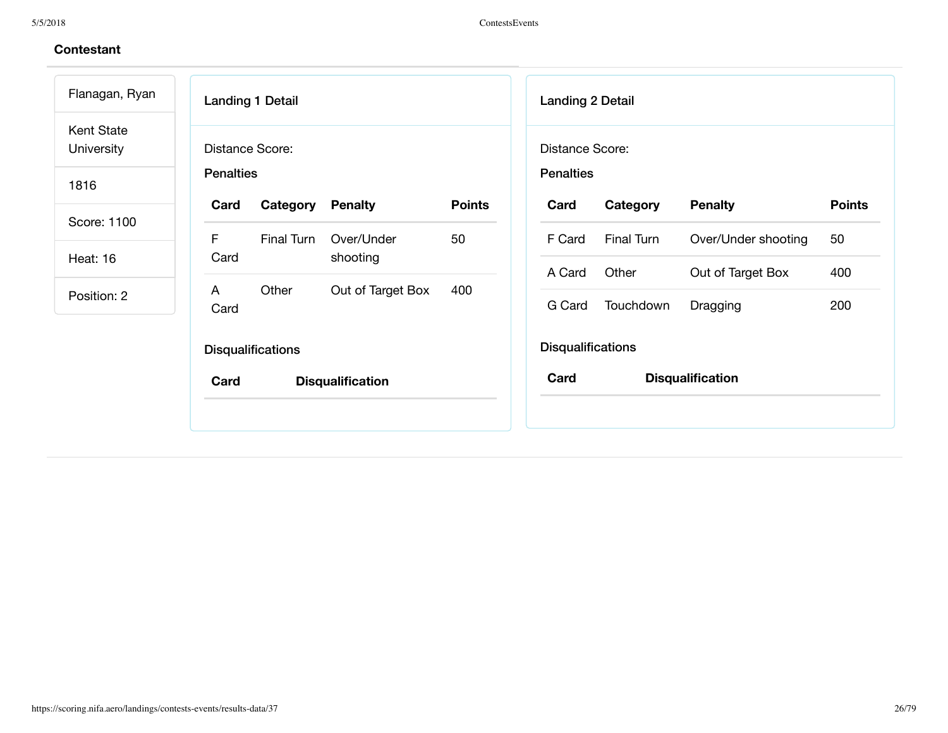| Flanagan, Ryan           | <b>Landing 1 Detail</b>                             | <b>Landing 2 Detail</b>                             |
|--------------------------|-----------------------------------------------------|-----------------------------------------------------|
| Kent State<br>University | Distance Score:                                     | <b>Distance Score:</b>                              |
| 1816                     | <b>Penalties</b>                                    | <b>Penalties</b>                                    |
| Score: 1100              | <b>Points</b><br><b>Penalty</b><br>Card<br>Category | <b>Penalty</b><br><b>Points</b><br>Card<br>Category |
|                          | F<br>Final Turn<br>Over/Under<br>50<br>Card         | Final Turn<br>50<br>Over/Under shooting<br>F Card   |
| <b>Heat: 16</b>          | shooting                                            | Other<br>Out of Target Box<br>400<br>A Card         |
| Position: 2              | Other<br>Out of Target Box<br>400<br>A<br>Card      | Touchdown<br>200<br>G Card<br>Dragging              |
|                          | <b>Disqualifications</b>                            | <b>Disqualifications</b>                            |
|                          | Card<br><b>Disqualification</b>                     | Card<br><b>Disqualification</b>                     |
|                          |                                                     |                                                     |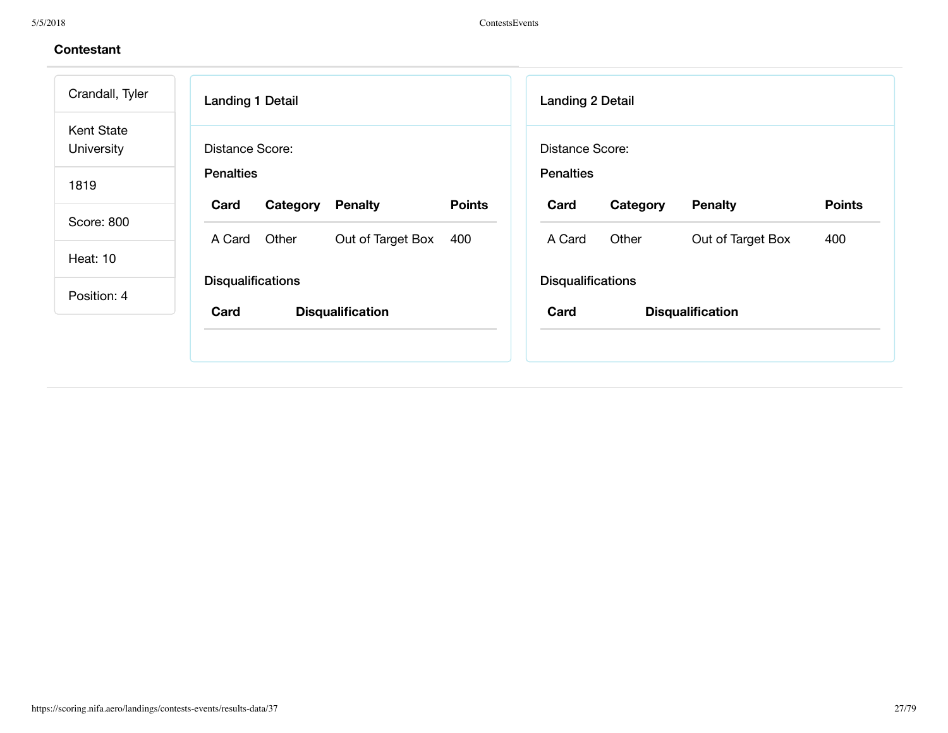| Crandall, Tyler          | <b>Landing 1 Detail</b>              |               | <b>Landing 2 Detail</b>  |          |                         |               |
|--------------------------|--------------------------------------|---------------|--------------------------|----------|-------------------------|---------------|
| Kent State<br>University | Distance Score:                      |               | <b>Distance Score:</b>   |          |                         |               |
| 1819                     | <b>Penalties</b>                     |               | <b>Penalties</b>         |          |                         |               |
|                          | Card<br><b>Penalty</b><br>Category   | <b>Points</b> | Card                     | Category | <b>Penalty</b>          | <b>Points</b> |
| Score: 800               | Other<br>Out of Target Box<br>A Card | 400           | A Card                   | Other    | Out of Target Box       | 400           |
| <b>Heat: 10</b>          |                                      |               |                          |          |                         |               |
|                          | <b>Disqualifications</b>             |               | <b>Disqualifications</b> |          |                         |               |
| Position: 4              | Card<br><b>Disqualification</b>      |               | Card                     |          | <b>Disqualification</b> |               |
|                          |                                      |               |                          |          |                         |               |
|                          |                                      |               |                          |          |                         |               |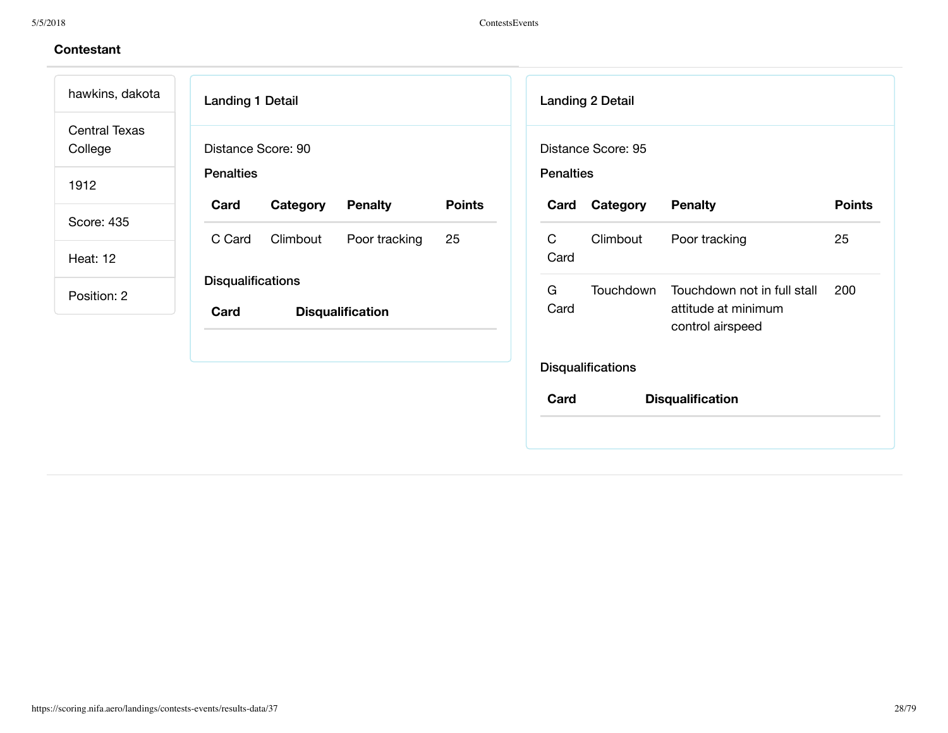| hawkins, dakota                 | <b>Landing 1 Detail</b><br><b>Landing 2 Detail</b>                                                                                                                     |
|---------------------------------|------------------------------------------------------------------------------------------------------------------------------------------------------------------------|
| <b>Central Texas</b><br>College | Distance Score: 90<br>Distance Score: 95                                                                                                                               |
| 1912                            | <b>Penalties</b><br><b>Penalties</b>                                                                                                                                   |
| Score: 435                      | <b>Penalty</b><br><b>Points</b><br>Category<br><b>Points</b><br>Card<br>Category<br><b>Penalty</b><br>Card                                                             |
| Heat: 12                        | 25<br>25<br>Climbout<br>Poor tracking<br>C Card<br>Climbout<br>Poor tracking<br>$\mathsf{C}$<br>Card                                                                   |
| Position: 2                     | <b>Disqualifications</b><br>G<br>Touchdown<br>Touchdown not in full stall<br>200<br>Card<br>attitude at minimum<br>Card<br><b>Disqualification</b><br>control airspeed |
|                                 | <b>Disqualifications</b>                                                                                                                                               |
|                                 | Card<br><b>Disqualification</b>                                                                                                                                        |
|                                 |                                                                                                                                                                        |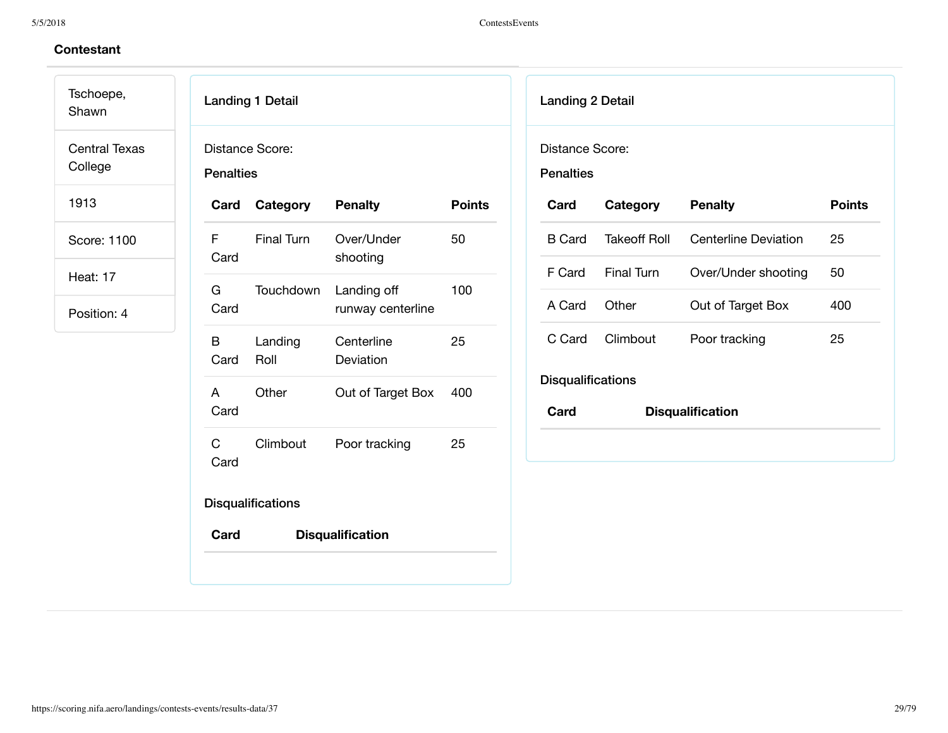Tschoepe, Shawn

Central Texas

College

1913

Score: 1100

Heat: 17

Position: 4

| Distance Score: |
|-----------------|
|                 |

Landing 1 Detail

Penalties

| Card      | Category                 | <b>Penalty</b>                   | <b>Points</b> |
|-----------|--------------------------|----------------------------------|---------------|
| F<br>Card | Final Turn               | Over/Under<br>shooting           | 50            |
| G<br>Card | Touchdown                | Landing off<br>runway centerline | 100           |
| В<br>Card | Landing<br>Roll          | Centerline<br>Deviation          | 25            |
| A<br>Card | Other                    | Out of Target Box                | 400           |
| C<br>Card | Climbout                 | Poor tracking                    | 25            |
|           | <b>Disqualifications</b> |                                  |               |
| Card      |                          | <b>Disqualification</b>          |               |

Landing 2 Detail

Distance Score:

Penalties

| Card                     | Category          | <b>Penalty</b>          | Points |  |  |  |  |
|--------------------------|-------------------|-------------------------|--------|--|--|--|--|
| B Card                   | Takeoff Roll      | Centerline Deviation    | 25     |  |  |  |  |
| F Card                   | <b>Final Turn</b> | Over/Under shooting     | 50     |  |  |  |  |
| A Card                   | Other             | Out of Target Box       | 400    |  |  |  |  |
| C Card                   | Climbout          | Poor tracking           | 25     |  |  |  |  |
| <b>Disqualifications</b> |                   |                         |        |  |  |  |  |
| Card                     |                   | <b>Disqualification</b> |        |  |  |  |  |
|                          |                   |                         |        |  |  |  |  |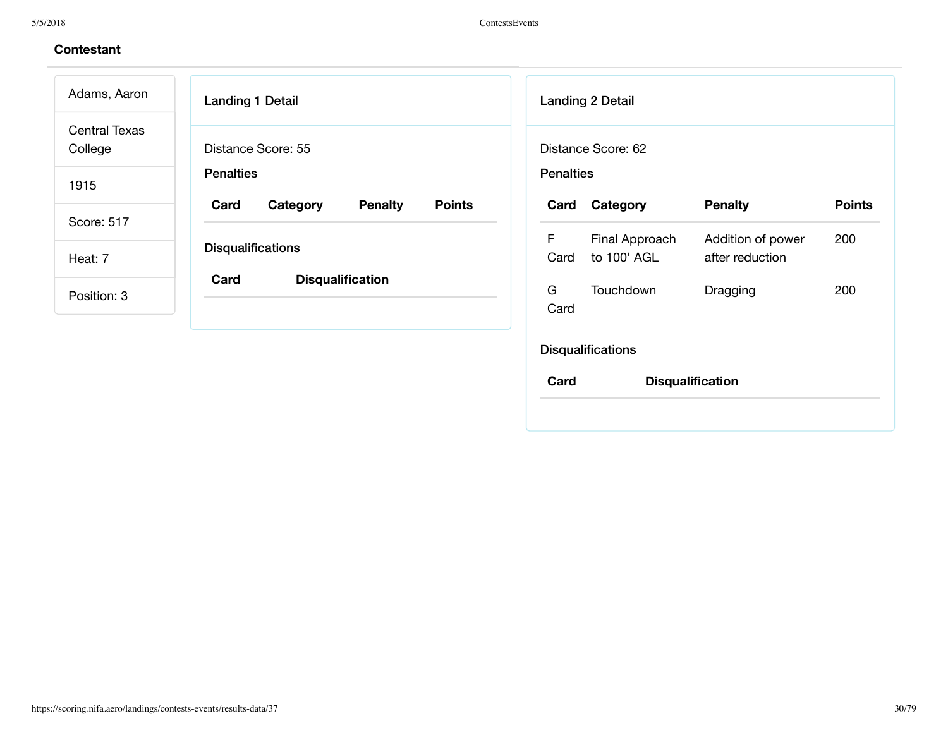| Adams, Aaron             | <b>Landing 1 Detail</b>                                                 | <b>Landing 2 Detail</b>                                                 |
|--------------------------|-------------------------------------------------------------------------|-------------------------------------------------------------------------|
| Central Texas<br>College | Distance Score: 55                                                      | Distance Score: 62                                                      |
| 1915                     | <b>Penalties</b><br><b>Points</b><br>Card<br><b>Penalty</b><br>Category | <b>Penalties</b><br><b>Penalty</b><br><b>Points</b><br>Category<br>Card |
| Score: 517               |                                                                         | F.<br>Final Approach<br>Addition of power<br>200                        |
| Heat: 7                  | <b>Disqualifications</b>                                                | to 100' AGL<br>Card<br>after reduction                                  |
| Position: 3              | Card<br><b>Disqualification</b>                                         | G<br>200<br>Touchdown<br>Dragging<br>Card                               |
|                          |                                                                         | <b>Disqualifications</b>                                                |
|                          |                                                                         | Card<br><b>Disqualification</b>                                         |
|                          |                                                                         |                                                                         |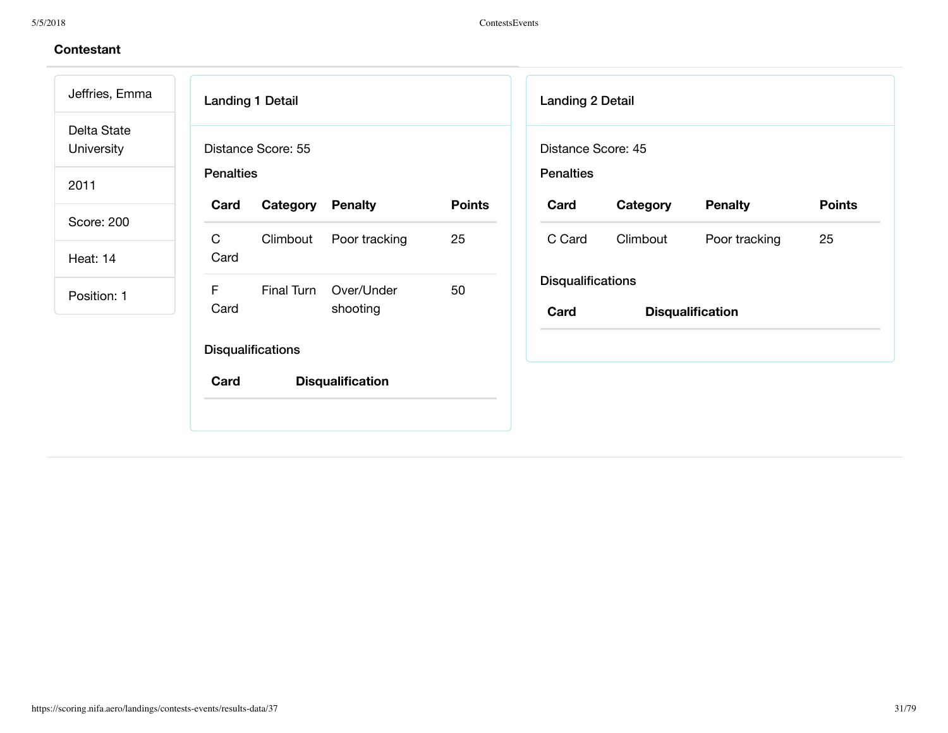|                           | Landing 1 Detail                                 |                          | <b>Landing 2 Detail</b> |          |                         |               |
|---------------------------|--------------------------------------------------|--------------------------|-------------------------|----------|-------------------------|---------------|
| Delta State<br>University | Distance Score: 55                               |                          | Distance Score: 45      |          |                         |               |
| 2011                      | <b>Penalties</b>                                 |                          | <b>Penalties</b>        |          |                         |               |
|                           | Card<br><b>Penalty</b><br>Category               | <b>Points</b>            | Card                    | Category | <b>Penalty</b>          | <b>Points</b> |
| Score: 200<br>Heat: 14    | $\mathsf C$<br>Poor tracking<br>Climbout<br>Card | 25                       | C Card                  | Climbout | Poor tracking           | 25            |
| Position: 1               | F<br>Final Turn<br>Over/Under                    | <b>Disqualifications</b> |                         |          |                         |               |
|                           | Card<br>shooting                                 |                          | Card                    |          | <b>Disqualification</b> |               |
|                           | <b>Disqualifications</b>                         |                          |                         |          |                         |               |
|                           | Card<br><b>Disqualification</b>                  |                          |                         |          |                         |               |
|                           |                                                  |                          |                         |          |                         |               |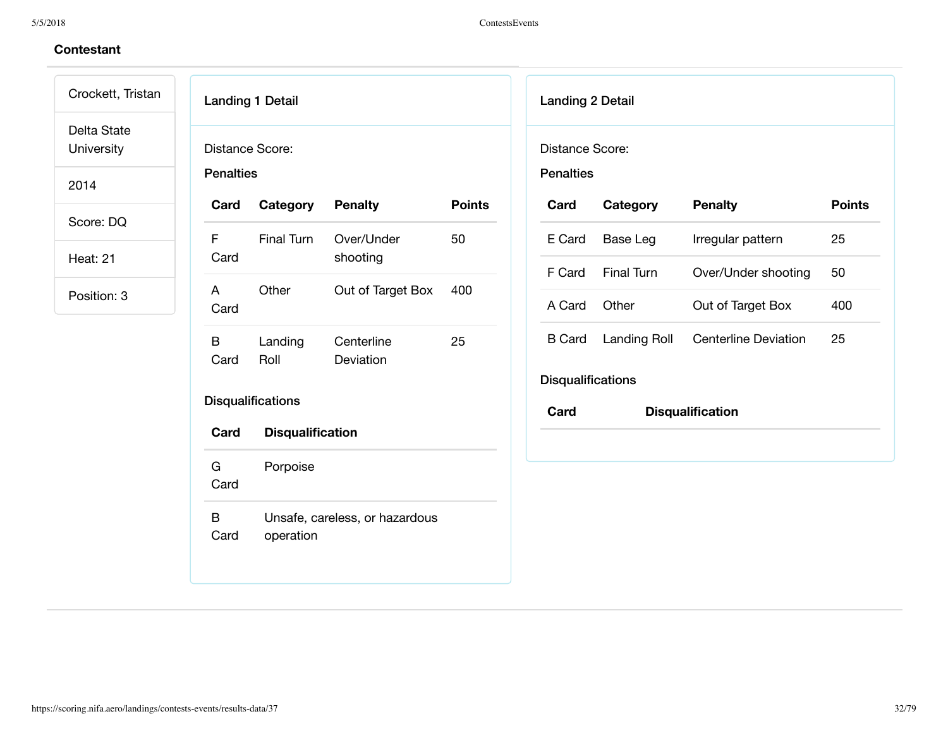### **Contestant**

Crockett, Ti Delta State University

2014

Score: DQ

Heat: 21

Position: 3

|                        | <b>Landing 1 Detail</b>  |                                |               | <b>Landing 2 Detail</b>  |                     |                             |               |
|------------------------|--------------------------|--------------------------------|---------------|--------------------------|---------------------|-----------------------------|---------------|
| <b>Distance Score:</b> |                          |                                |               | <b>Distance Score:</b>   |                     |                             |               |
| <b>Penalties</b>       |                          |                                |               | <b>Penalties</b>         |                     |                             |               |
| Card                   | Category                 | <b>Penalty</b>                 | <b>Points</b> | Card                     | Category            | <b>Penalty</b>              | <b>Points</b> |
| $\mathsf F$<br>Card    | Final Turn               | Over/Under<br>shooting         | 50            | E Card                   | Base Leg            | Irregular pattern           | 25            |
|                        |                          |                                |               | F Card                   | Final Turn          | Over/Under shooting         | 50            |
| A<br>Card              | Other                    | Out of Target Box              | 400           | A Card                   | Other               | Out of Target Box           | 400           |
| B<br>Card              | Landing<br>Roll          | Centerline<br>Deviation        | 25            | <b>B</b> Card            | <b>Landing Roll</b> | <b>Centerline Deviation</b> | 25            |
|                        |                          |                                |               | <b>Disqualifications</b> |                     |                             |               |
|                        | <b>Disqualifications</b> |                                |               | Card                     |                     | <b>Disqualification</b>     |               |
| Card                   | <b>Disqualification</b>  |                                |               |                          |                     |                             |               |
| G<br>Card              | Porpoise                 |                                |               |                          |                     |                             |               |
| B                      | operation                | Unsafe, careless, or hazardous |               |                          |                     |                             |               |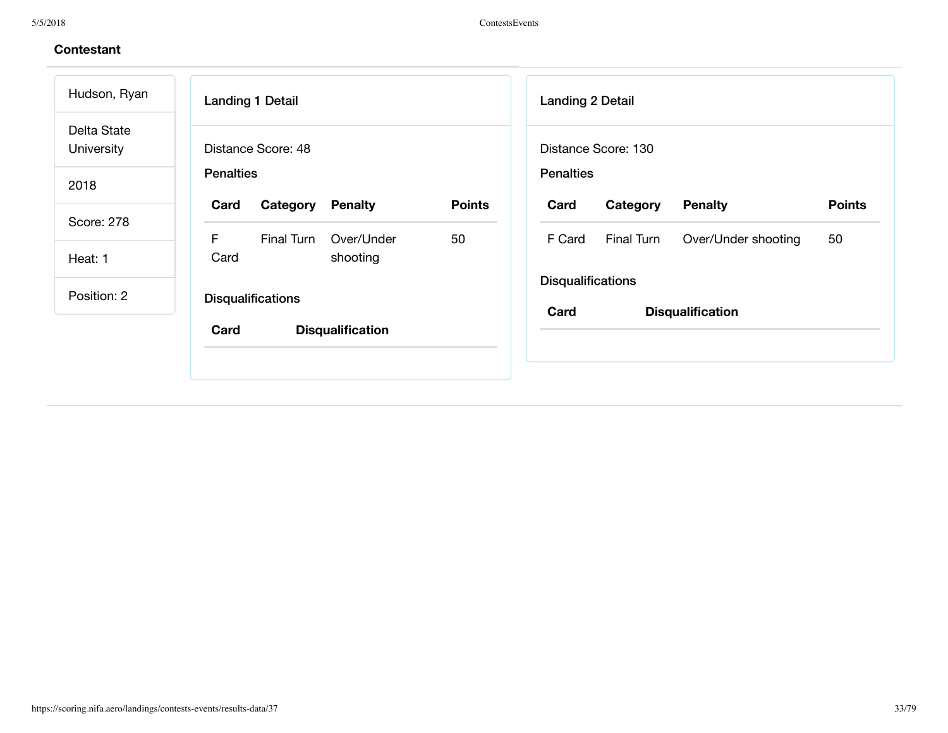| Hudson, Ryan              | <b>Landing 1 Detail</b>  | <b>Landing 2 Detail</b> |               |                          |                     |                         |               |
|---------------------------|--------------------------|-------------------------|---------------|--------------------------|---------------------|-------------------------|---------------|
| Delta State<br>University | Distance Score: 48       |                         |               |                          | Distance Score: 130 |                         |               |
| 2018                      | <b>Penalties</b>         |                         |               | <b>Penalties</b>         |                     |                         |               |
|                           | Card<br>Category         | <b>Penalty</b>          | <b>Points</b> | Card                     | Category            | <b>Penalty</b>          | <b>Points</b> |
| Score: 278                | F<br><b>Final Turn</b>   | Over/Under              | 50            | F Card                   | Final Turn          | Over/Under shooting     | 50            |
| Heat: 1                   | Card                     | shooting                |               |                          |                     |                         |               |
|                           |                          |                         |               | <b>Disqualifications</b> |                     |                         |               |
| Position: 2               | <b>Disqualifications</b> |                         |               | Card                     |                     | <b>Disqualification</b> |               |
|                           | Card                     | <b>Disqualification</b> |               |                          |                     |                         |               |
|                           |                          |                         |               |                          |                     |                         |               |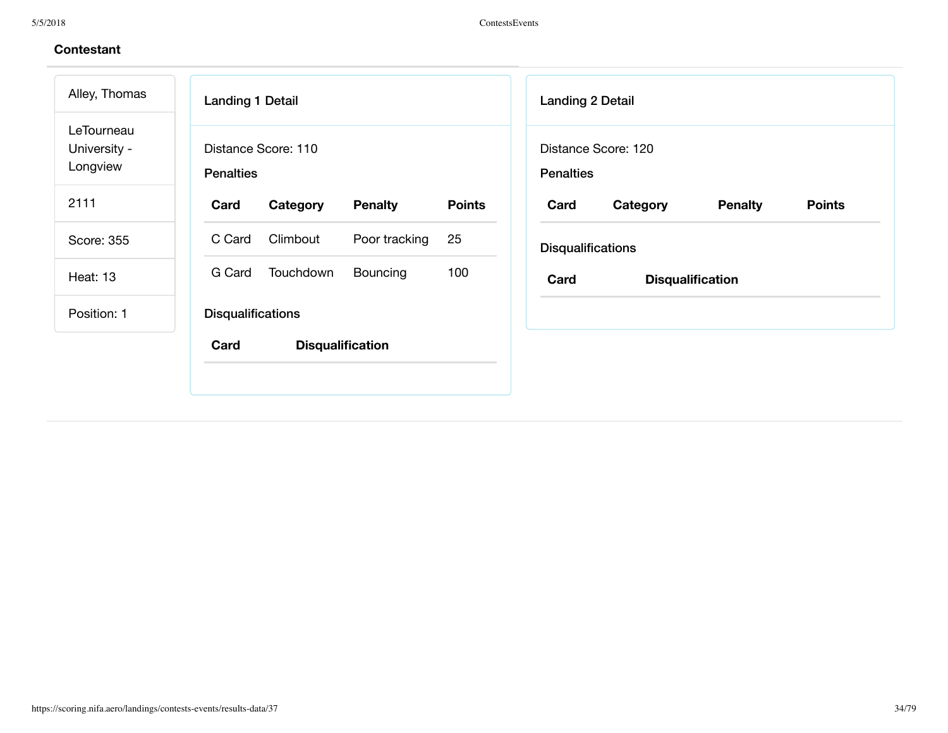| Alley, Thomas                          | <b>Landing 1 Detail</b><br>Landing 2 Detail                                                                |
|----------------------------------------|------------------------------------------------------------------------------------------------------------|
| LeTourneau<br>University -<br>Longview | Distance Score: 110<br>Distance Score: 120<br><b>Penalties</b><br><b>Penalties</b>                         |
| 2111                                   | <b>Points</b><br><b>Penalty</b><br><b>Penalty</b><br><b>Points</b><br>Card<br>Category<br>Category<br>Card |
| Score: 355                             | Poor tracking<br>Climbout<br>25<br>C Card<br><b>Disqualifications</b>                                      |
| <b>Heat: 13</b>                        | 100<br>Touchdown<br>Bouncing<br>G Card<br>Card<br><b>Disqualification</b>                                  |
| Position: 1                            | <b>Disqualifications</b>                                                                                   |
|                                        | <b>Disqualification</b><br>Card                                                                            |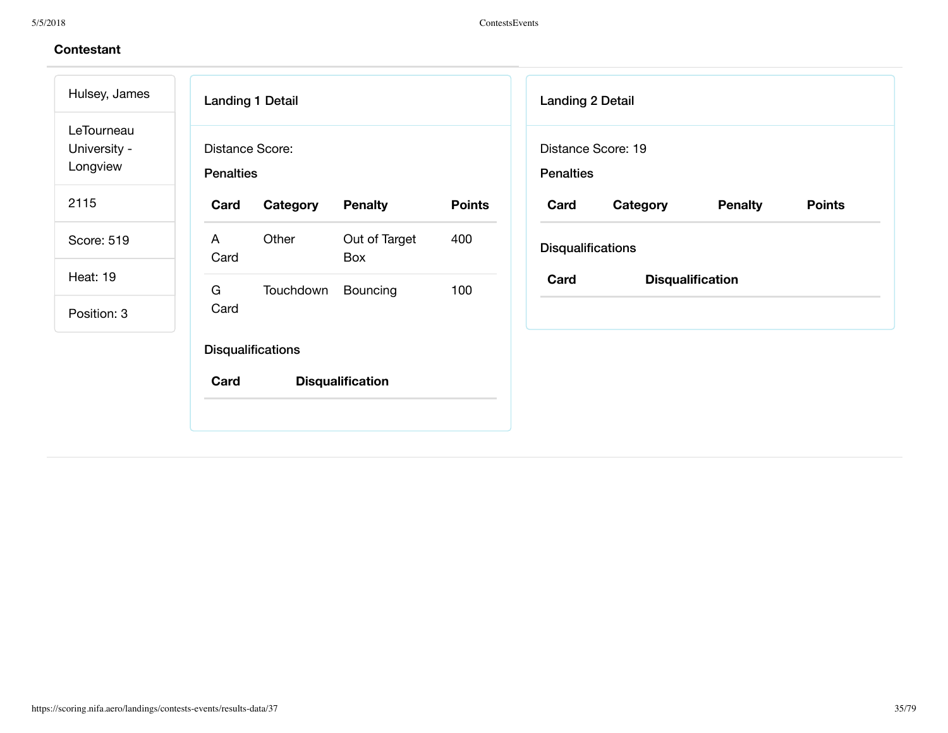| Hulsey, James                          | <b>Landing 1 Detail</b>                             | <b>Landing 2 Detail</b>                             |  |  |
|----------------------------------------|-----------------------------------------------------|-----------------------------------------------------|--|--|
| LeTourneau<br>University -<br>Longview | Distance Score:<br><b>Penalties</b>                 | Distance Score: 19<br><b>Penalties</b>              |  |  |
| 2115                                   | Category<br><b>Penalty</b><br><b>Points</b><br>Card | Category<br><b>Penalty</b><br><b>Points</b><br>Card |  |  |
| Score: 519                             | Out of Target<br>Other<br>400<br>A<br>Card<br>Box   | <b>Disqualifications</b>                            |  |  |
| <b>Heat: 19</b>                        | G<br>Touchdown<br>Bouncing<br>100                   | Card<br><b>Disqualification</b>                     |  |  |
| Position: 3                            | Card                                                |                                                     |  |  |
|                                        | <b>Disqualifications</b>                            |                                                     |  |  |
|                                        | Card<br><b>Disqualification</b>                     |                                                     |  |  |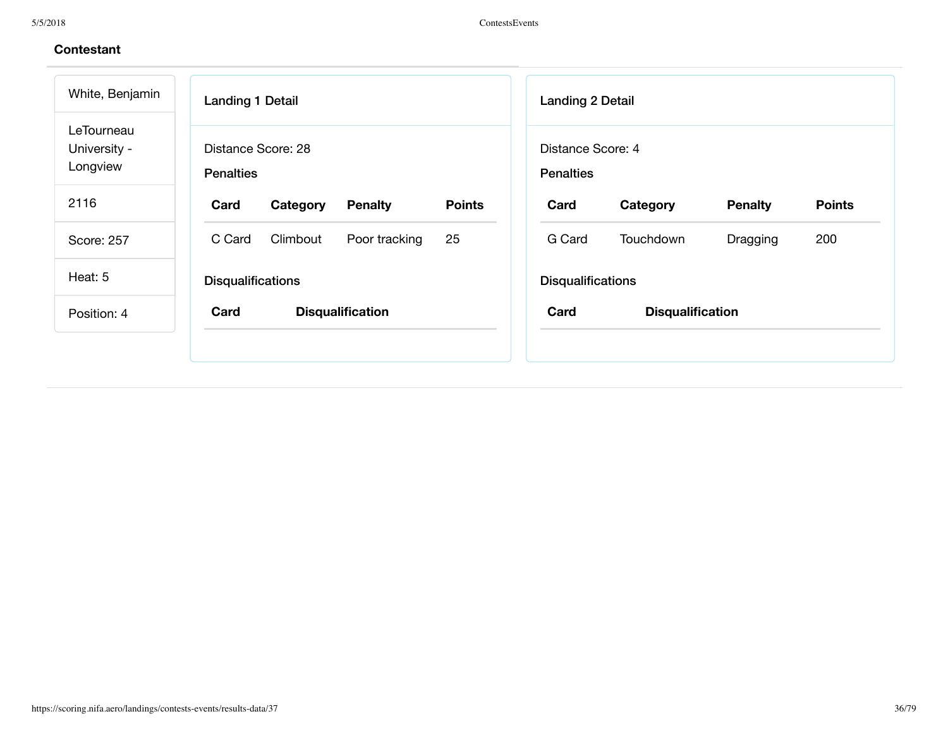| White, Benjamin                        |                                        | <b>Landing 1 Detail</b> |                         |               |                                       | <b>Landing 2 Detail</b> |                |               |  |
|----------------------------------------|----------------------------------------|-------------------------|-------------------------|---------------|---------------------------------------|-------------------------|----------------|---------------|--|
| LeTourneau<br>University -<br>Longview | Distance Score: 28<br><b>Penalties</b> |                         |                         |               | Distance Score: 4<br><b>Penalties</b> |                         |                |               |  |
| 2116                                   | Card                                   | Category                | <b>Penalty</b>          | <b>Points</b> | Card                                  | Category                | <b>Penalty</b> | <b>Points</b> |  |
| Score: 257                             | C Card                                 | Climbout                | Poor tracking           | 25            | G Card                                | Touchdown               | Dragging       | 200           |  |
| Heat: 5                                | <b>Disqualifications</b>               |                         |                         |               | <b>Disqualifications</b>              |                         |                |               |  |
| Position: 4                            | Card                                   |                         | <b>Disqualification</b> |               | Card                                  | <b>Disqualification</b> |                |               |  |
|                                        |                                        |                         |                         |               |                                       |                         |                |               |  |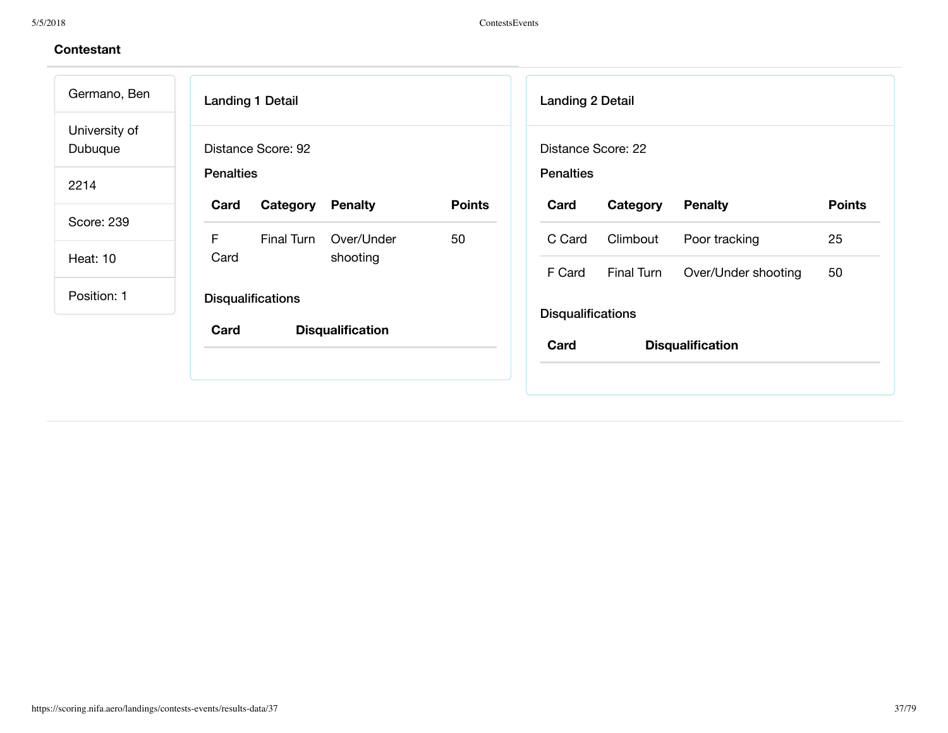| Germano, Ben             | Landing 1 Detail                                            | <b>Landing 2 Detail</b>                             |
|--------------------------|-------------------------------------------------------------|-----------------------------------------------------|
| University of<br>Dubuque | Distance Score: 92                                          | Distance Score: 22                                  |
| 2214                     | <b>Penalties</b>                                            | <b>Penalties</b>                                    |
|                          | <b>Points</b><br>Card<br>Category<br><b>Penalty</b>         | <b>Points</b><br>Card<br>Category<br><b>Penalty</b> |
| Score: 239               | F.<br>Final Turn<br>Over/Under<br>50                        | Climbout<br>25<br>Poor tracking<br>C Card           |
| <b>Heat: 10</b>          | Card<br>shooting                                            | 50<br>F Card<br>Final Turn<br>Over/Under shooting   |
| Position: 1              | <b>Disqualifications</b><br>Card<br><b>Disqualification</b> | <b>Disqualifications</b>                            |
|                          |                                                             | Card<br><b>Disqualification</b>                     |
|                          |                                                             |                                                     |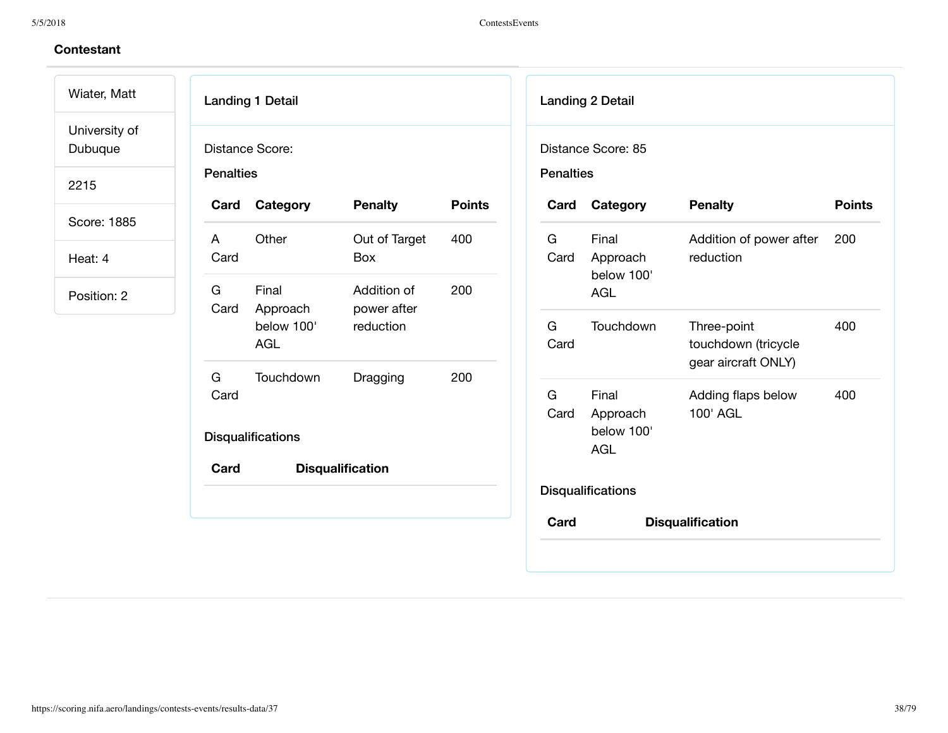| Wiater, Matt             |                                                                                | <b>Landing 1 Detail</b> |                            |                                                                        |                    | <b>Landing 2 Detail</b>         |                                                           |               |  |  |
|--------------------------|--------------------------------------------------------------------------------|-------------------------|----------------------------|------------------------------------------------------------------------|--------------------|---------------------------------|-----------------------------------------------------------|---------------|--|--|
| University of<br>Dubuque |                                                                                | Distance Score:         |                            |                                                                        | Distance Score: 85 |                                 |                                                           |               |  |  |
| 2215                     | <b>Penalties</b>                                                               |                         |                            |                                                                        | <b>Penalties</b>   |                                 |                                                           |               |  |  |
| Score: 1885              | Card                                                                           | Category                | <b>Penalty</b>             | <b>Points</b>                                                          | Card               | Category                        | <b>Penalty</b>                                            | <b>Points</b> |  |  |
| Heat: 4                  | A<br>Card                                                                      | Other                   | Out of Target<br>Box       | 400                                                                    | G<br>Card          | Final<br>Approach<br>below 100' | Addition of power after<br>reduction                      | 200           |  |  |
| Position: 2              | G<br>Card                                                                      | Final<br>Approach       | Addition of<br>power after | 200                                                                    |                    | <b>AGL</b>                      |                                                           |               |  |  |
|                          | below 100'<br><b>AGL</b><br>G<br>Touchdown<br>Card<br><b>Disqualifications</b> |                         | reduction                  |                                                                        | G<br>Card          | Touchdown                       | Three-point<br>touchdown (tricycle<br>gear aircraft ONLY) | 400           |  |  |
|                          |                                                                                | Dragging                | 200                        | G<br>Final<br>100' AGL<br>Card<br>Approach<br>below 100'<br><b>AGL</b> |                    | Adding flaps below              | 400                                                       |               |  |  |
|                          | <b>Disqualification</b><br>Card                                                |                         |                            | <b>Disqualifications</b>                                               |                    |                                 |                                                           |               |  |  |
|                          |                                                                                |                         |                            |                                                                        | Card               |                                 | <b>Disqualification</b>                                   |               |  |  |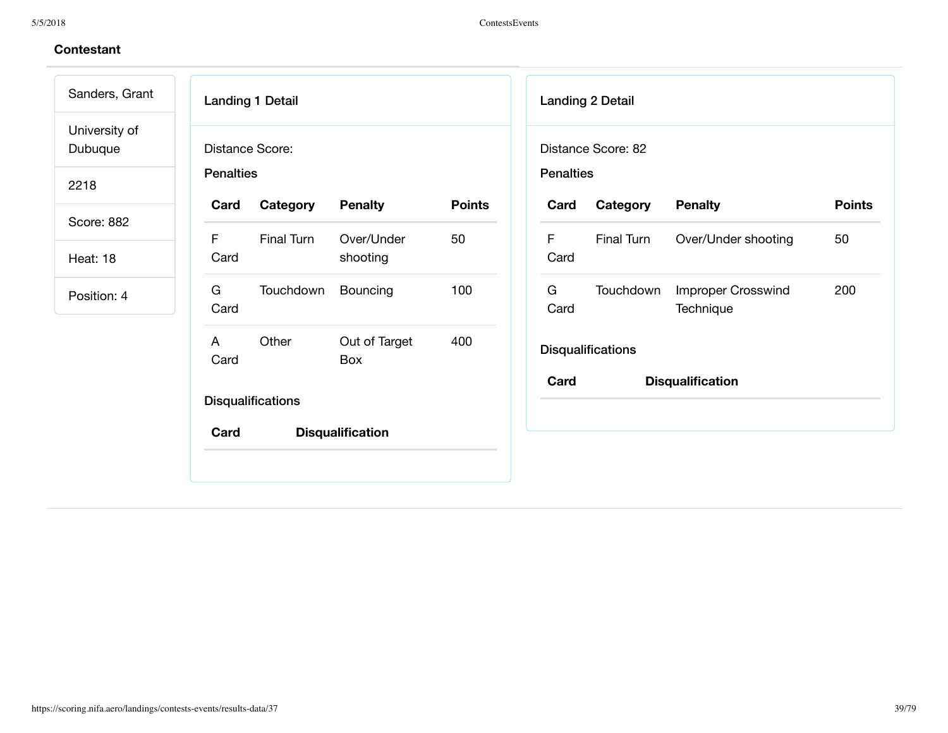| Sanders, Grant           | <b>Landing 1 Detail</b>                             | <b>Landing 2 Detail</b>                                          |
|--------------------------|-----------------------------------------------------|------------------------------------------------------------------|
| University of<br>Dubuque | Distance Score:                                     | Distance Score: 82                                               |
| 2218                     | <b>Penalties</b>                                    | <b>Penalties</b>                                                 |
|                          | <b>Penalty</b><br><b>Points</b><br>Category<br>Card | Category<br><b>Penalty</b><br><b>Points</b><br>Card              |
| Score: 882               | F<br>Final Turn<br>Over/Under<br>50                 | Final Turn<br>Over/Under shooting<br>F<br>50                     |
| Heat: 18                 | Card<br>shooting                                    | Card                                                             |
| Position: 4              | 100<br>G<br>Touchdown<br>Bouncing<br>Card           | Improper Crosswind<br>G<br>Touchdown<br>200<br>Card<br>Technique |
|                          | Other<br>Out of Target<br>400<br>A<br>Card<br>Box   | <b>Disqualifications</b>                                         |
|                          | <b>Disqualifications</b>                            | Card<br><b>Disqualification</b>                                  |
|                          | Card<br><b>Disqualification</b>                     |                                                                  |
|                          |                                                     |                                                                  |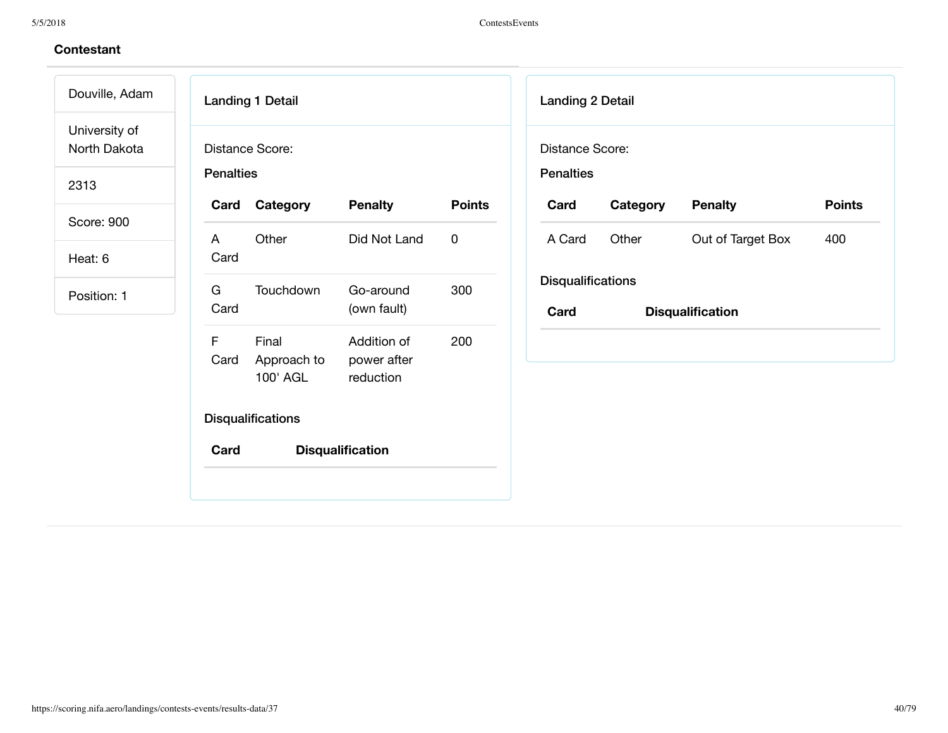| Douville, Adam                |                                                    | <b>Landing 1 Detail</b>          |                                         |               | <b>Landing 2 Detail</b>          |                         |                   |               |
|-------------------------------|----------------------------------------------------|----------------------------------|-----------------------------------------|---------------|----------------------------------|-------------------------|-------------------|---------------|
| University of<br>North Dakota |                                                    | Distance Score:                  |                                         |               | Distance Score:                  |                         |                   |               |
| 2313                          | <b>Penalties</b>                                   |                                  |                                         |               | <b>Penalties</b>                 |                         |                   |               |
| Score: 900                    | Card                                               | Category                         | <b>Penalty</b>                          | <b>Points</b> | Card                             | Category                | <b>Penalty</b>    | <b>Points</b> |
| Heat: 6                       | $\mathsf{A}$<br>Card                               | Other                            | Did Not Land                            | $\mathbf 0$   | A Card                           | Other                   | Out of Target Box | 400           |
| Position: 1                   | Touchdown<br>G<br>Go-around<br>Card<br>(own fault) |                                  |                                         | 300           | <b>Disqualifications</b><br>Card | <b>Disqualification</b> |                   |               |
|                               | F<br>Card                                          | Final<br>Approach to<br>100' AGL | Addition of<br>power after<br>reduction | 200           |                                  |                         |                   |               |
|                               |                                                    | <b>Disqualifications</b>         |                                         |               |                                  |                         |                   |               |
|                               | Card                                               |                                  | <b>Disqualification</b>                 |               |                                  |                         |                   |               |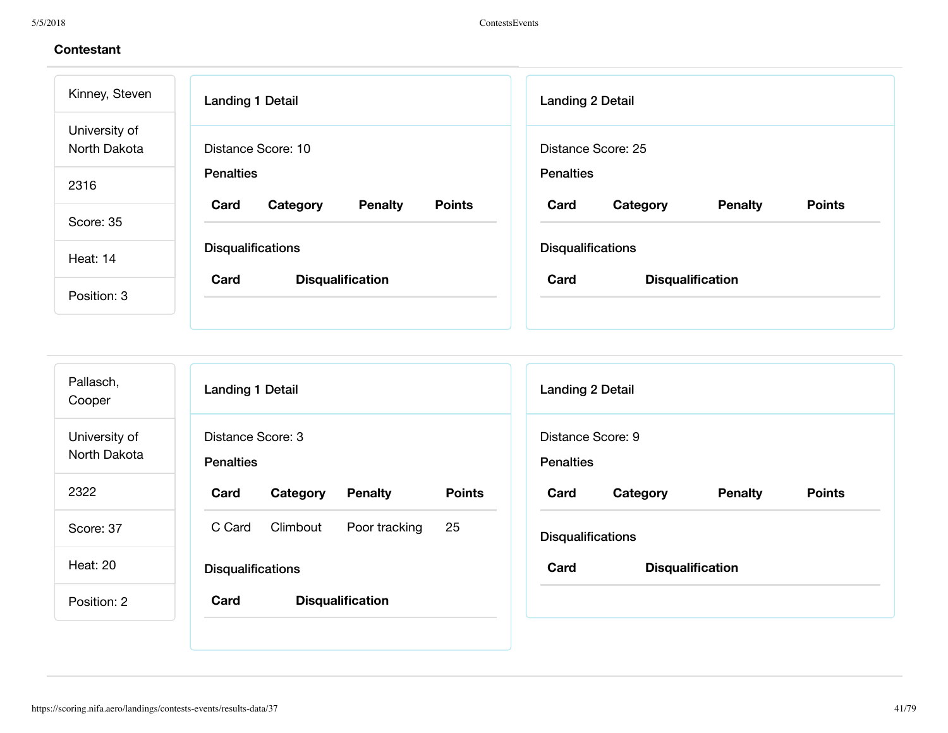| Kinney, Steven                | <b>Landing 1 Detail</b>                             | <b>Landing 2 Detail</b>                             |
|-------------------------------|-----------------------------------------------------|-----------------------------------------------------|
| University of<br>North Dakota | Distance Score: 10                                  | Distance Score: 25                                  |
| 2316                          | <b>Penalties</b>                                    | <b>Penalties</b>                                    |
| Score: 35                     | Card<br><b>Points</b><br><b>Penalty</b><br>Category | <b>Points</b><br>Card<br><b>Penalty</b><br>Category |
| <b>Heat: 14</b>               | <b>Disqualifications</b>                            | <b>Disqualifications</b>                            |
| Position: 3                   | Card<br><b>Disqualification</b>                     | Card<br><b>Disqualification</b>                     |
|                               |                                                     |                                                     |

| Pallasch,<br>Cooper           | <b>Landing 1 Detail</b><br><b>Landing 2 Detail</b>                                                         |
|-------------------------------|------------------------------------------------------------------------------------------------------------|
| University of<br>North Dakota | Distance Score: 3<br>Distance Score: 9<br><b>Penalties</b><br><b>Penalties</b>                             |
| 2322                          | <b>Points</b><br>Card<br>Card<br><b>Points</b><br><b>Penalty</b><br>Category<br><b>Penalty</b><br>Category |
| Score: 37                     | 25<br>Climbout<br>Poor tracking<br>C Card<br><b>Disqualifications</b>                                      |
| <b>Heat: 20</b>               | Card<br><b>Disqualification</b><br><b>Disqualifications</b>                                                |
| Position: 2                   | Card<br><b>Disqualification</b>                                                                            |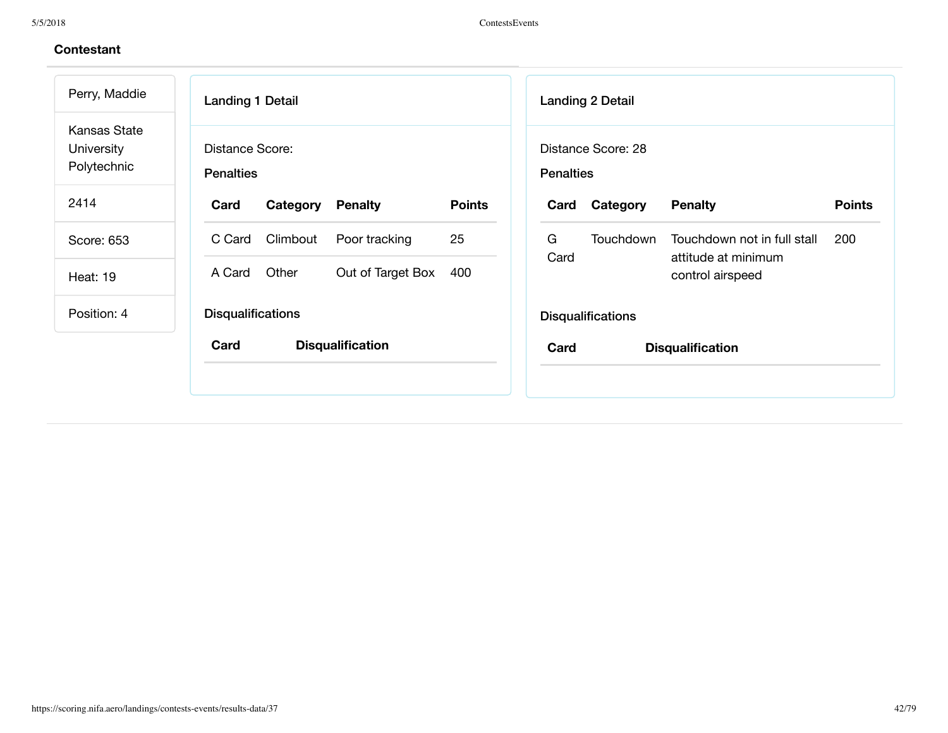| Perry, Maddie                             | <b>Landing 1 Detail</b><br><b>Landing 2 Detail</b>                                                         |
|-------------------------------------------|------------------------------------------------------------------------------------------------------------|
| Kansas State<br>University<br>Polytechnic | Distance Score:<br>Distance Score: 28<br><b>Penalties</b><br><b>Penalties</b>                              |
| 2414                                      | <b>Points</b><br>Category<br><b>Points</b><br>Card<br>Category<br><b>Penalty</b><br>Card<br><b>Penalty</b> |
| Score: 653                                | 25<br>G<br>Climbout<br>Poor tracking<br>Touchdown not in full stall<br>200<br>C Card<br><b>Touchdown</b>   |
| <b>Heat: 19</b>                           | Card<br>attitude at minimum<br>Other<br>Out of Target Box<br>A Card<br>400<br>control airspeed             |
| Position: 4                               | <b>Disqualifications</b><br><b>Disqualifications</b>                                                       |
|                                           | <b>Disqualification</b><br>Card<br>Card<br><b>Disqualification</b>                                         |
|                                           |                                                                                                            |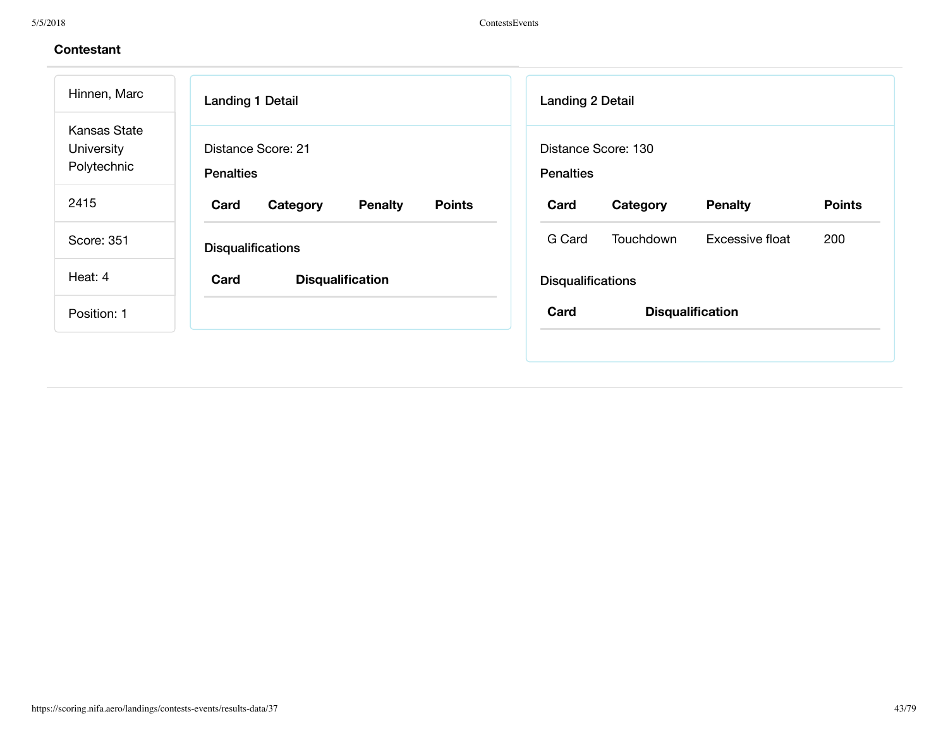| Hinnen, Marc                                     | <b>Landing 1 Detail</b>                             | <b>Landing 2 Detail</b>                             |
|--------------------------------------------------|-----------------------------------------------------|-----------------------------------------------------|
| <b>Kansas State</b><br>University<br>Polytechnic | Distance Score: 21<br><b>Penalties</b>              | Distance Score: 130<br><b>Penalties</b>             |
| 2415                                             | <b>Points</b><br>Card<br>Category<br><b>Penalty</b> | <b>Penalty</b><br><b>Points</b><br>Card<br>Category |
| Score: 351                                       | <b>Disqualifications</b>                            | G Card<br>Touchdown<br>Excessive float<br>200       |
| Heat: 4                                          | Card<br><b>Disqualification</b>                     | <b>Disqualifications</b>                            |
| Position: 1                                      |                                                     | Card<br><b>Disqualification</b>                     |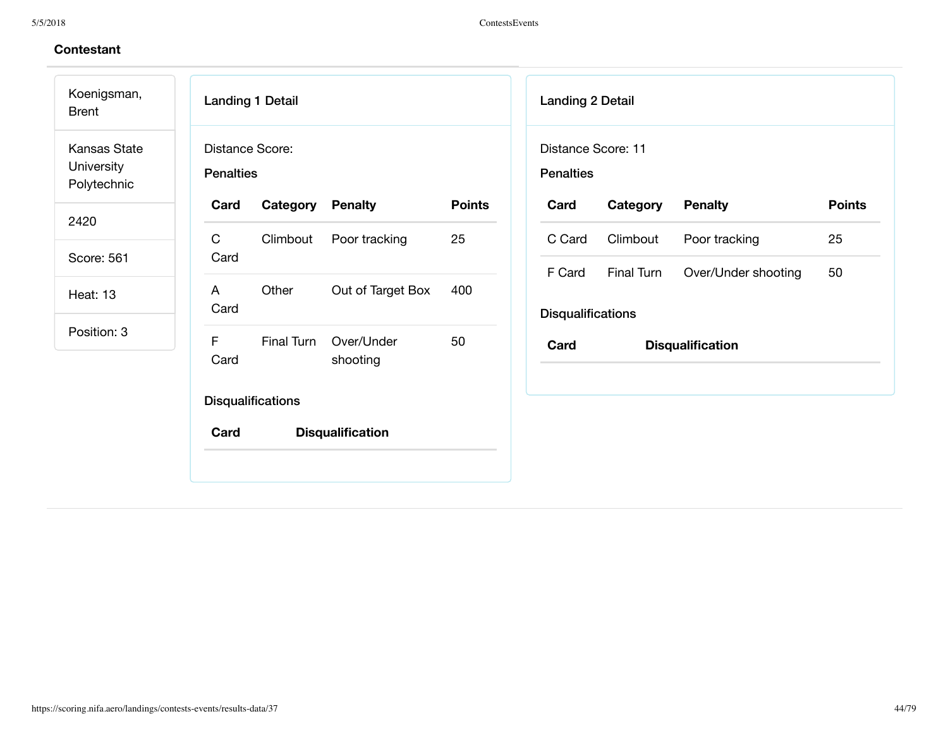| Koenigsman,<br><b>Brent</b>               | <b>Landing 1 Detail</b><br><b>Landing 2 Detail</b>                                                         |
|-------------------------------------------|------------------------------------------------------------------------------------------------------------|
| Kansas State<br>University<br>Polytechnic | Distance Score:<br>Distance Score: 11<br><b>Penalties</b><br><b>Penalties</b>                              |
| 2420                                      | <b>Points</b><br><b>Points</b><br>Card<br>Category<br><b>Penalty</b><br>Card<br>Category<br><b>Penalty</b> |
|                                           | 25<br>$\mathsf C$<br>Poor tracking<br>Climbout<br>25<br>Climbout<br>C Card<br>Poor tracking                |
| Score: 561                                | Card<br>F Card<br>Final Turn<br>Over/Under shooting<br>50                                                  |
| <b>Heat: 13</b>                           | Other<br>Out of Target Box<br>400<br>A                                                                     |
|                                           | Card<br><b>Disqualifications</b>                                                                           |
| Position: 3                               | F<br>Final Turn<br>Over/Under<br>50<br>Card<br><b>Disqualification</b><br>Card<br>shooting                 |
|                                           | <b>Disqualifications</b>                                                                                   |
|                                           | Card<br><b>Disqualification</b>                                                                            |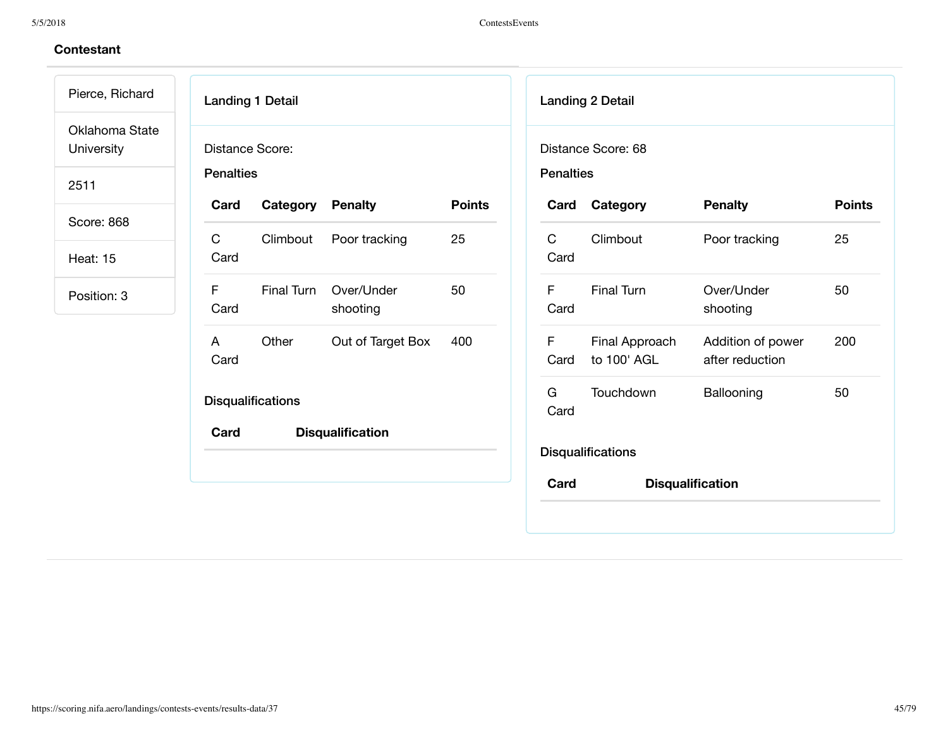| <b>Landing 1 Detail</b><br><b>Landing 2 Detail</b><br>Distance Score:<br>Distance Score: 68<br><b>Penalties</b><br><b>Penalties</b><br><b>Points</b><br>Category<br><b>Penalty</b><br>Card<br>Category<br><b>Penalty</b><br>Card<br>25<br>$\mathsf{C}$<br>Poor tracking<br>Climbout<br>Poor tracking<br>25<br>Climbout<br>$\mathsf{C}$<br>Card<br>Card<br>F<br>50<br>Final Turn<br>Over/Under<br>F.<br><b>Final Turn</b><br>Over/Under<br>50<br>Card<br>shooting<br>Card<br>shooting<br>Other<br>Out of Target Box<br>F<br>Final Approach<br>400<br>Addition of power<br>200<br>A<br>to 100' AGL<br>after reduction<br>Card<br>Card<br>G<br>Touchdown<br>Ballooning<br>50<br><b>Disqualifications</b><br>Card<br><b>Disqualification</b><br>Card<br><b>Disqualifications</b><br>Card<br><b>Disqualification</b> |                 |  |  |  |  |               |
|-----------------------------------------------------------------------------------------------------------------------------------------------------------------------------------------------------------------------------------------------------------------------------------------------------------------------------------------------------------------------------------------------------------------------------------------------------------------------------------------------------------------------------------------------------------------------------------------------------------------------------------------------------------------------------------------------------------------------------------------------------------------------------------------------------------------|-----------------|--|--|--|--|---------------|
| Oklahoma State<br>University<br>2511<br><b>Score: 868</b><br><b>Heat: 15</b><br>Position: 3                                                                                                                                                                                                                                                                                                                                                                                                                                                                                                                                                                                                                                                                                                                     | Pierce, Richard |  |  |  |  |               |
|                                                                                                                                                                                                                                                                                                                                                                                                                                                                                                                                                                                                                                                                                                                                                                                                                 |                 |  |  |  |  |               |
|                                                                                                                                                                                                                                                                                                                                                                                                                                                                                                                                                                                                                                                                                                                                                                                                                 |                 |  |  |  |  |               |
|                                                                                                                                                                                                                                                                                                                                                                                                                                                                                                                                                                                                                                                                                                                                                                                                                 |                 |  |  |  |  | <b>Points</b> |
|                                                                                                                                                                                                                                                                                                                                                                                                                                                                                                                                                                                                                                                                                                                                                                                                                 |                 |  |  |  |  |               |
|                                                                                                                                                                                                                                                                                                                                                                                                                                                                                                                                                                                                                                                                                                                                                                                                                 |                 |  |  |  |  |               |
|                                                                                                                                                                                                                                                                                                                                                                                                                                                                                                                                                                                                                                                                                                                                                                                                                 |                 |  |  |  |  |               |
|                                                                                                                                                                                                                                                                                                                                                                                                                                                                                                                                                                                                                                                                                                                                                                                                                 |                 |  |  |  |  |               |
|                                                                                                                                                                                                                                                                                                                                                                                                                                                                                                                                                                                                                                                                                                                                                                                                                 |                 |  |  |  |  |               |
|                                                                                                                                                                                                                                                                                                                                                                                                                                                                                                                                                                                                                                                                                                                                                                                                                 |                 |  |  |  |  |               |
|                                                                                                                                                                                                                                                                                                                                                                                                                                                                                                                                                                                                                                                                                                                                                                                                                 |                 |  |  |  |  |               |
|                                                                                                                                                                                                                                                                                                                                                                                                                                                                                                                                                                                                                                                                                                                                                                                                                 |                 |  |  |  |  |               |
|                                                                                                                                                                                                                                                                                                                                                                                                                                                                                                                                                                                                                                                                                                                                                                                                                 |                 |  |  |  |  |               |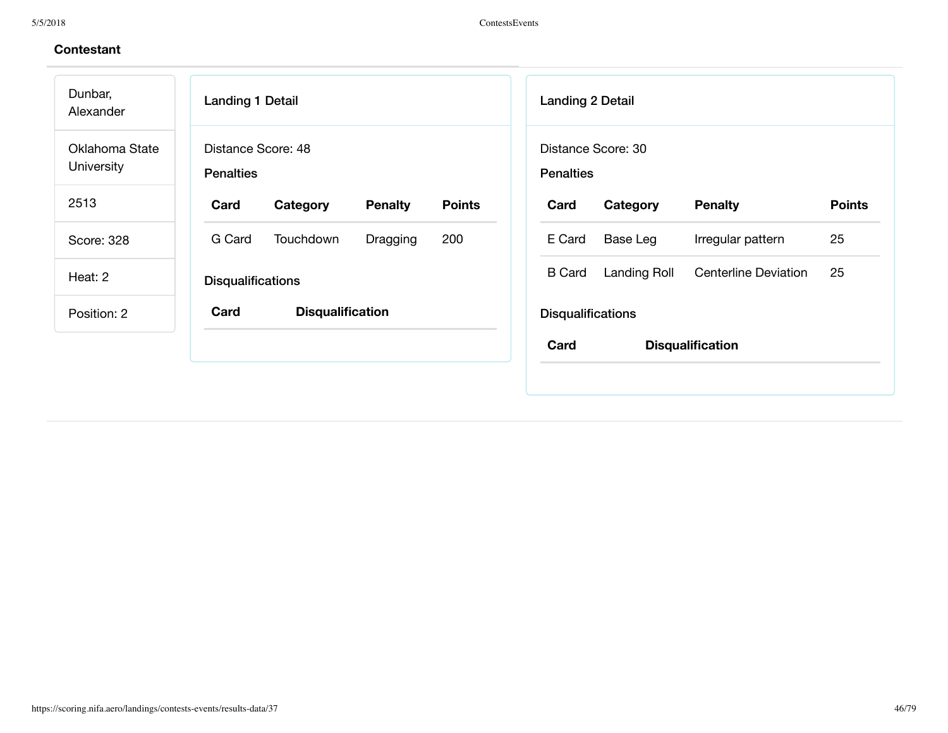| Dunbar,<br>Alexander         | Landing 1 Detail                                    | <b>Landing 2 Detail</b>                                                   |  |  |  |  |
|------------------------------|-----------------------------------------------------|---------------------------------------------------------------------------|--|--|--|--|
| Oklahoma State<br>University | Distance Score: 48<br><b>Penalties</b>              | Distance Score: 30<br><b>Penalties</b>                                    |  |  |  |  |
| 2513                         | Card<br><b>Penalty</b><br><b>Points</b><br>Category | <b>Points</b><br>Category<br><b>Penalty</b><br>Card                       |  |  |  |  |
| Score: 328                   | Touchdown<br>200<br>G Card<br>Dragging              | 25<br>Base Leg<br>E Card<br>Irregular pattern                             |  |  |  |  |
| Heat: 2                      | <b>Disqualifications</b>                            | <b>Landing Roll</b><br><b>Centerline Deviation</b><br>25<br><b>B</b> Card |  |  |  |  |
| Position: 2                  | Card<br><b>Disqualification</b>                     | <b>Disqualifications</b>                                                  |  |  |  |  |
|                              |                                                     | Card<br><b>Disqualification</b>                                           |  |  |  |  |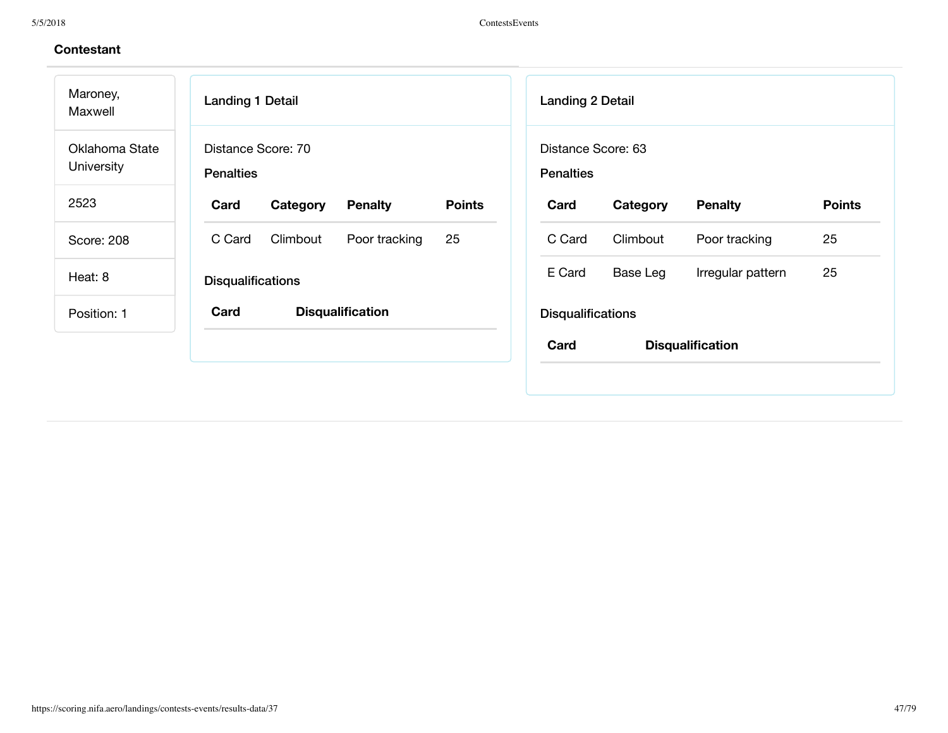| Maroney,<br>Maxwell          | <b>Landing 1 Detail</b>                             | <b>Landing 2 Detail</b>                             |
|------------------------------|-----------------------------------------------------|-----------------------------------------------------|
| Oklahoma State<br>University | Distance Score: 70<br><b>Penalties</b>              | Distance Score: 63<br><b>Penalties</b>              |
| 2523                         | <b>Points</b><br>Card<br>Category<br><b>Penalty</b> | <b>Points</b><br>Card<br>Category<br><b>Penalty</b> |
| <b>Score: 208</b>            | Climbout<br>25<br>C Card<br>Poor tracking           | 25<br>C Card<br>Climbout<br>Poor tracking           |
| Heat: 8                      | <b>Disqualifications</b>                            | 25<br>E Card<br>Base Leg<br>Irregular pattern       |
| Position: 1                  | Card<br><b>Disqualification</b>                     | <b>Disqualifications</b>                            |
|                              |                                                     | Card<br><b>Disqualification</b>                     |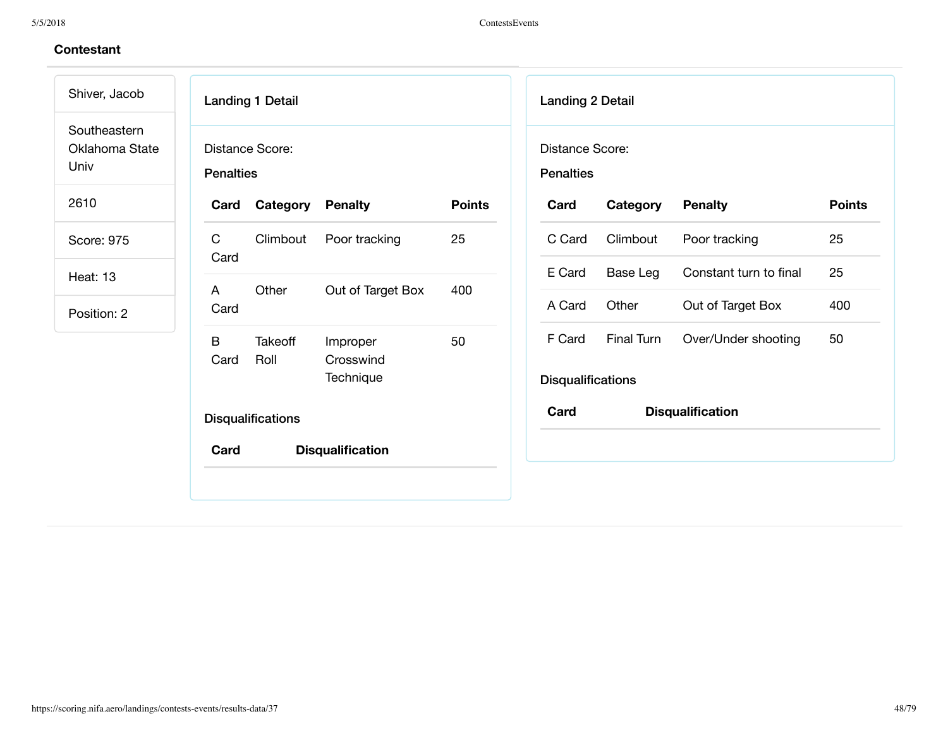| Shiver, Jacob                          |                                 | <b>Landing 1 Detail</b>             |                        |               | <b>Landing 2 Detail</b>             |            |                         |               |
|----------------------------------------|---------------------------------|-------------------------------------|------------------------|---------------|-------------------------------------|------------|-------------------------|---------------|
| Southeastern<br>Oklahoma State<br>Univ |                                 | Distance Score:<br><b>Penalties</b> |                        |               | Distance Score:<br><b>Penalties</b> |            |                         |               |
| 2610                                   | Card                            | Category                            | <b>Penalty</b>         | <b>Points</b> | Card                                | Category   | <b>Penalty</b>          | <b>Points</b> |
| Score: 975                             | $\mathsf{C}$                    | Climbout                            | Poor tracking          | 25            | C Card                              | Climbout   | Poor tracking           | 25            |
| <b>Heat: 13</b>                        | Card                            |                                     |                        |               | E Card                              | Base Leg   | Constant turn to final  | 25            |
| Position: 2                            | A<br>Card                       | Other                               | Out of Target Box      | 400           | A Card                              | Other      | Out of Target Box       | 400           |
|                                        | B                               | Takeoff                             | Improper               | 50            | F Card                              | Final Turn | Over/Under shooting     | 50            |
|                                        | Card                            | Roll                                | Crosswind<br>Technique |               | <b>Disqualifications</b>            |            |                         |               |
|                                        | <b>Disqualifications</b>        |                                     |                        |               | Card                                |            | <b>Disqualification</b> |               |
|                                        | Card<br><b>Disqualification</b> |                                     |                        |               |                                     |            |                         |               |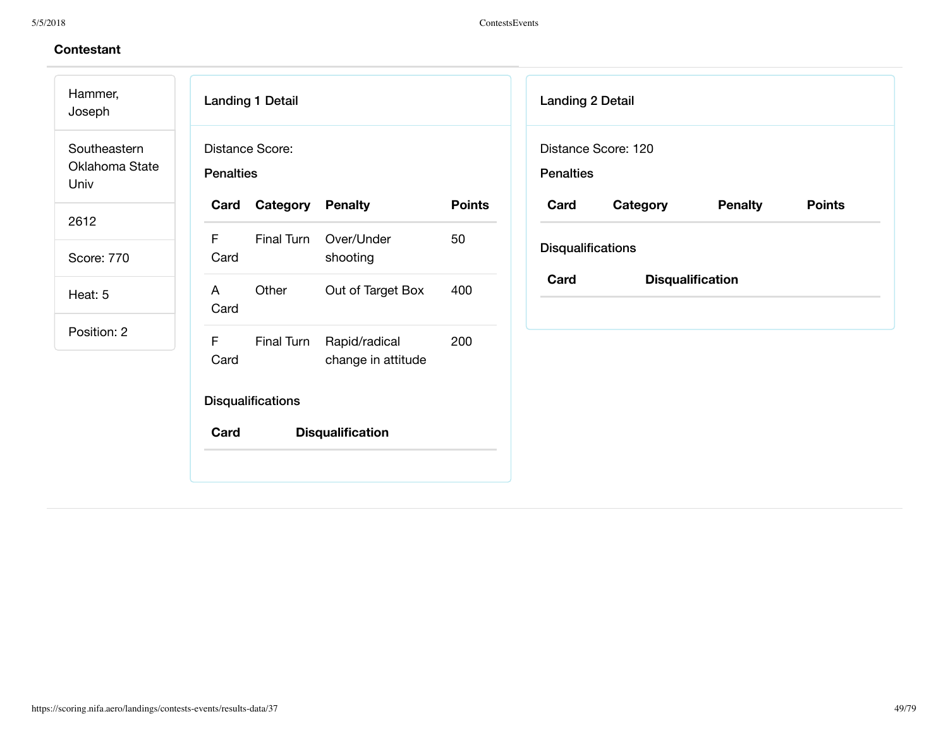| Hammer,<br>Joseph                      | <b>Landing 1 Detail</b>                                                          | <b>Landing 2 Detail</b>                             |
|----------------------------------------|----------------------------------------------------------------------------------|-----------------------------------------------------|
| Southeastern<br>Oklahoma State<br>Univ | Distance Score:<br><b>Penalties</b>                                              | Distance Score: 120<br><b>Penalties</b>             |
| 2612                                   | Category<br><b>Points</b><br><b>Penalty</b><br>Card                              | Card<br><b>Penalty</b><br><b>Points</b><br>Category |
| Score: 770                             | $\mathsf{F}$<br>Final Turn<br>Over/Under<br>50<br>Card<br>shooting               | <b>Disqualifications</b>                            |
| Heat: 5                                | Other<br>Out of Target Box<br>400<br>A<br>Card                                   | Card<br><b>Disqualification</b>                     |
| Position: 2                            | $\mathsf{F}$<br>Final Turn<br>200<br>Rapid/radical<br>change in attitude<br>Card |                                                     |
|                                        | <b>Disqualifications</b>                                                         |                                                     |
|                                        | Card<br><b>Disqualification</b>                                                  |                                                     |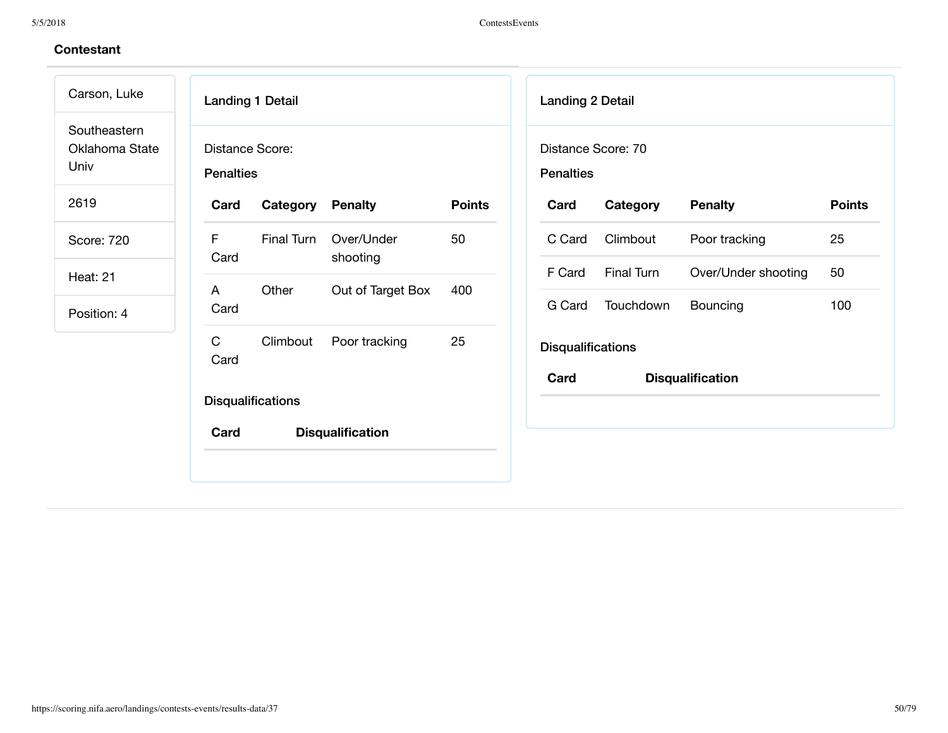| Carson, Luke                           | <b>Landing 1 Detail</b>                                     |            |                        |               | <b>Landing 2 Detail</b>                |                         |                     |               |
|----------------------------------------|-------------------------------------------------------------|------------|------------------------|---------------|----------------------------------------|-------------------------|---------------------|---------------|
| Southeastern<br>Oklahoma State<br>Univ | Distance Score:<br><b>Penalties</b>                         |            |                        |               | Distance Score: 70<br><b>Penalties</b> |                         |                     |               |
| 2619                                   | Card                                                        | Category   | <b>Penalty</b>         | <b>Points</b> | Card                                   | Category                | <b>Penalty</b>      | <b>Points</b> |
| Score: 720                             | F.<br>Card                                                  | Final Turn | Over/Under<br>shooting | 50            | C Card                                 | Climbout                | Poor tracking       | 25            |
| Heat: 21                               |                                                             |            |                        |               | F Card                                 | Final Turn              | Over/Under shooting | 50            |
| Position: 4                            | A<br>Card                                                   | Other      | Out of Target Box      | 400           | G Card                                 | Touchdown               | Bouncing            | 100           |
|                                        | $\mathsf{C}$<br>Card                                        | Climbout   | Poor tracking          | 25            | <b>Disqualifications</b>               |                         |                     |               |
|                                        | <b>Disqualifications</b><br>Card<br><b>Disqualification</b> |            |                        | Card          |                                        | <b>Disqualification</b> |                     |               |
|                                        |                                                             |            |                        |               |                                        |                         |                     |               |
|                                        |                                                             |            |                        |               |                                        |                         |                     |               |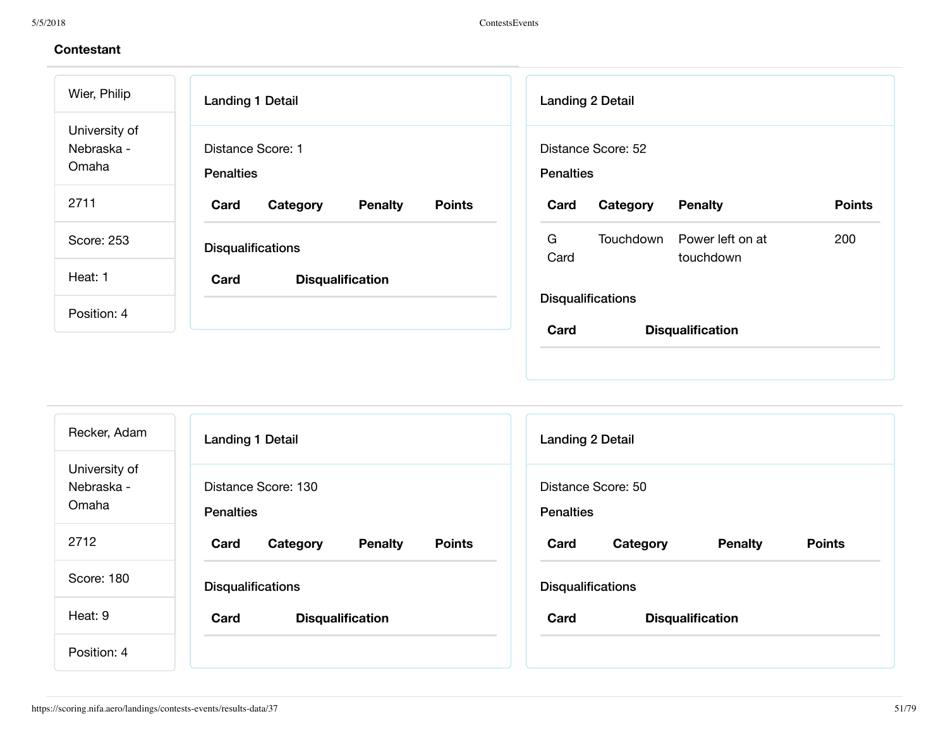| Wier, Philip                         | <b>Landing 1 Detail</b>                             | <b>Landing 2 Detail</b>                                        |
|--------------------------------------|-----------------------------------------------------|----------------------------------------------------------------|
| University of<br>Nebraska -<br>Omaha | Distance Score: 1<br><b>Penalties</b>               | Distance Score: 52<br><b>Penalties</b>                         |
| 2711                                 | <b>Points</b><br>Card<br>Category<br><b>Penalty</b> | <b>Points</b><br>Card<br><b>Penalty</b><br>Category            |
| Score: 253                           | <b>Disqualifications</b>                            | G<br>Power left on at<br>200<br>Touchdown<br>Card<br>touchdown |
| Heat: 1                              | <b>Disqualification</b><br>Card                     |                                                                |
| Position: 4                          |                                                     | <b>Disqualifications</b><br>Card<br><b>Disqualification</b>    |

| Recker, Adam                         | <b>Landing 1 Detail</b>                             | <b>Landing 2 Detail</b>                             |  |  |
|--------------------------------------|-----------------------------------------------------|-----------------------------------------------------|--|--|
| University of<br>Nebraska -<br>Omaha | Distance Score: 130<br><b>Penalties</b>             | Distance Score: 50<br><b>Penalties</b>              |  |  |
| 2712                                 | <b>Points</b><br>Card<br><b>Penalty</b><br>Category | <b>Points</b><br>Card<br>Category<br><b>Penalty</b> |  |  |
| Score: 180                           | <b>Disqualifications</b>                            | <b>Disqualifications</b>                            |  |  |
| Heat: 9                              | Card<br><b>Disqualification</b>                     | Card<br><b>Disqualification</b>                     |  |  |
| Position: 4                          |                                                     |                                                     |  |  |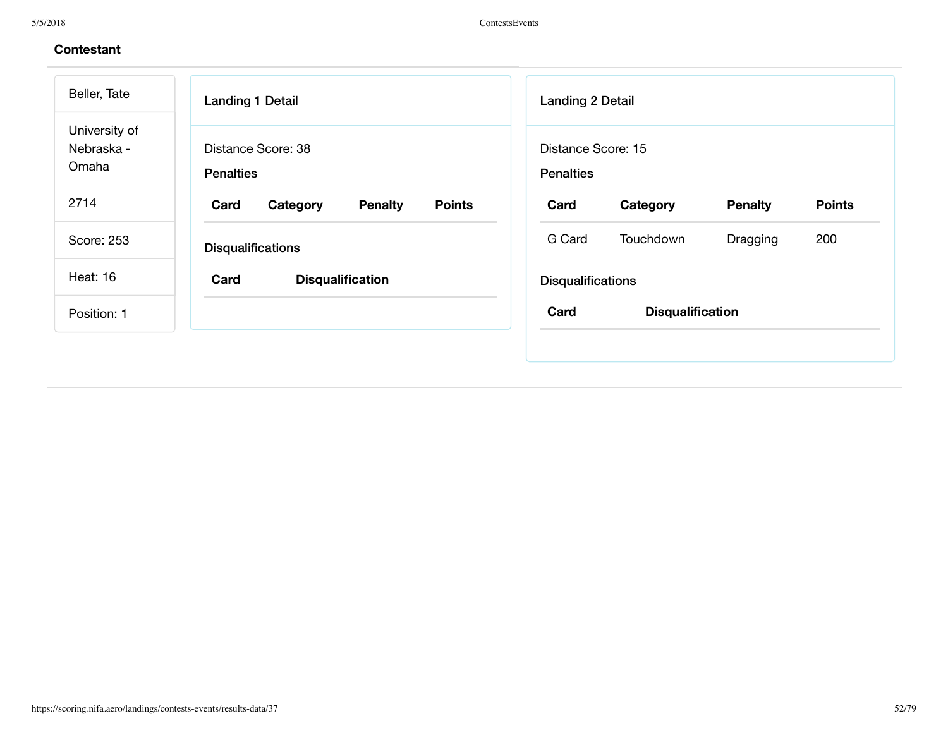| Beller, Tate                         | <b>Landing 1 Detail</b>                             | <b>Landing 2 Detail</b>                             |
|--------------------------------------|-----------------------------------------------------|-----------------------------------------------------|
| University of<br>Nebraska -<br>Omaha | Distance Score: 38<br><b>Penalties</b>              | Distance Score: 15<br><b>Penalties</b>              |
| 2714                                 | <b>Points</b><br>Card<br>Category<br><b>Penalty</b> | <b>Points</b><br>Card<br>Category<br><b>Penalty</b> |
| Score: 253                           | <b>Disqualifications</b>                            | G Card<br>Touchdown<br>200<br>Dragging              |
| Heat: 16                             | Card<br><b>Disqualification</b>                     | <b>Disqualifications</b>                            |
| Position: 1                          |                                                     | Card<br><b>Disqualification</b>                     |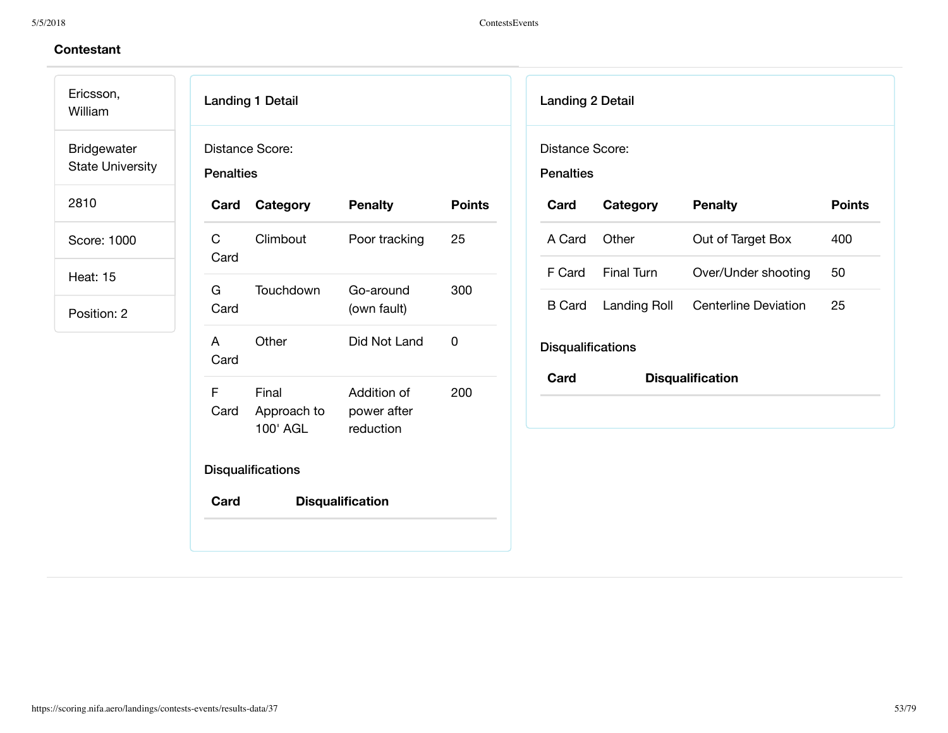Ericsson, William

Bridgewater State University Landing 1 Detail

2810

Score: 1000

Heat: 15

Position: 2

|                          | Distance Score:<br><b>Penalties</b> |                                         |               |  |  |  |  |  |
|--------------------------|-------------------------------------|-----------------------------------------|---------------|--|--|--|--|--|
| Card                     | Category                            | <b>Penalty</b>                          | <b>Points</b> |  |  |  |  |  |
| C<br>Card                | Climbout                            | Poor tracking                           | 25            |  |  |  |  |  |
| G.<br>Card               | Touchdown                           | Go-around<br>(own fault)                | 300           |  |  |  |  |  |
| A<br>Card                | Other                               | Did Not Land                            | O             |  |  |  |  |  |
| F<br>Card                | Final<br>Approach to<br>100' AGL    | Addition of<br>power after<br>reduction | 200           |  |  |  |  |  |
| <b>Disqualifications</b> |                                     |                                         |               |  |  |  |  |  |
| Card                     |                                     | <b>Disqualification</b>                 |               |  |  |  |  |  |
|                          |                                     |                                         |               |  |  |  |  |  |

Landing 2 Detail

Distance Score:

Penalties

| Card                            | Category     | <b>Penalty</b>              | <b>Points</b> |  |  |  |
|---------------------------------|--------------|-----------------------------|---------------|--|--|--|
| A Card                          | Other        | Out of Target Box           | 400           |  |  |  |
| F Card                          | Final Turn   | Over/Under shooting         | 50            |  |  |  |
| <b>B</b> Card                   | Landing Roll | <b>Centerline Deviation</b> | 25            |  |  |  |
| <b>Disqualifications</b>        |              |                             |               |  |  |  |
| Card<br><b>Disqualification</b> |              |                             |               |  |  |  |
|                                 |              |                             |               |  |  |  |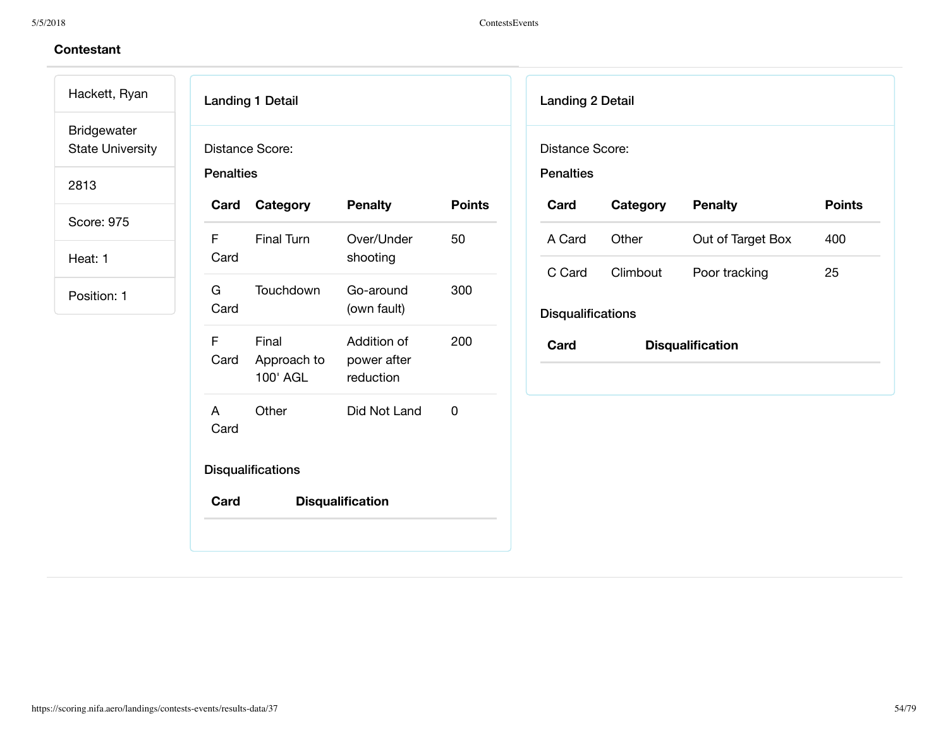## **Contestant**

Hackett, Ryan Bridgewater

State University

2813

Score: 975

Heat: 1

Position: 1

| Distance Score: |
|-----------------|

Landing 1 Detail

Penalties

|  | Card      | Category                         | <b>Penalty</b>                          | <b>Points</b> |
|--|-----------|----------------------------------|-----------------------------------------|---------------|
|  | F<br>Card | <b>Final Turn</b>                | Over/Under<br>shooting                  | 50            |
|  | G<br>Card | Touchdown                        | Go-around<br>(own fault)                | 300           |
|  | F<br>Card | Final<br>Approach to<br>100' AGL | Addition of<br>power after<br>reduction | 200           |
|  | A<br>Card | Other                            | Did Not Land                            | O             |
|  |           | <b>Disqualifications</b>         |                                         |               |

# **Card Disqualification**

| <b>Landing 2 Detail</b> |  |
|-------------------------|--|
|                         |  |

Distance Score:

Penalties

| Card                            | Category | <b>Penalty</b>    | <b>Points</b> |  |  |  |
|---------------------------------|----------|-------------------|---------------|--|--|--|
| A Card                          | Other    | Out of Target Box | 400           |  |  |  |
| C Card                          | Climbout | Poor tracking     | 25            |  |  |  |
| <b>Disqualifications</b>        |          |                   |               |  |  |  |
| Card<br><b>Disqualification</b> |          |                   |               |  |  |  |
|                                 |          |                   |               |  |  |  |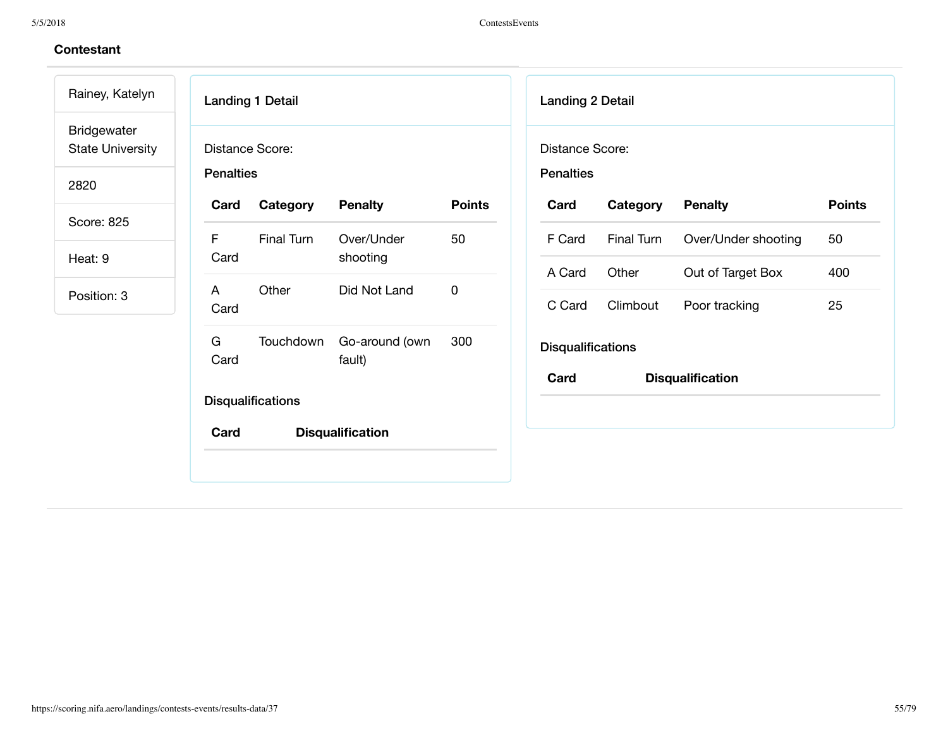| Rainey, Katelyn                               | <b>Landing 1 Detail</b>                                   | <b>Landing 2 Detail</b>                     |
|-----------------------------------------------|-----------------------------------------------------------|---------------------------------------------|
| <b>Bridgewater</b><br><b>State University</b> | Distance Score:                                           | Distance Score:                             |
| 2820                                          | <b>Penalties</b>                                          | <b>Penalties</b>                            |
| Score: 825                                    | <b>Points</b><br><b>Penalty</b><br>Category<br>Card       | Category<br><b>Penalty</b><br>Card          |
| Heat: 9                                       | F<br>Final Turn<br>Over/Under<br>50<br>Card<br>shooting   | F Card<br>Final Turn<br>Over/Under shooting |
|                                               |                                                           | Out of Target Box<br>A Card<br>Other        |
| Position: 3                                   | Other<br>$\mathbf 0$<br>Did Not Land<br>A<br>Card         | C Card<br>Climbout<br>Poor tracking         |
|                                               | G<br>Go-around (own<br>Touchdown<br>300<br>Card<br>fault) | <b>Disqualifications</b>                    |
|                                               | <b>Disqualifications</b>                                  | <b>Disqualification</b><br>Card             |
|                                               | Card<br><b>Disqualification</b>                           |                                             |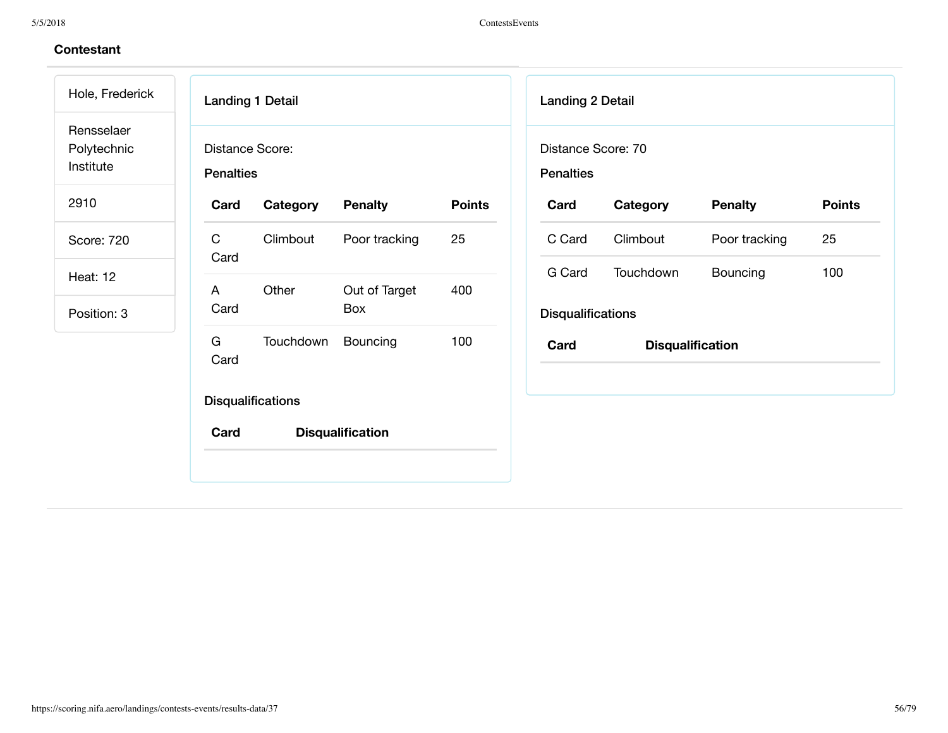| Hole, Frederick                        | <b>Landing 1 Detail</b>             |                          |                         |               | <b>Landing 2 Detail</b>                |                         |                |               |
|----------------------------------------|-------------------------------------|--------------------------|-------------------------|---------------|----------------------------------------|-------------------------|----------------|---------------|
| Rensselaer<br>Polytechnic<br>Institute | Distance Score:<br><b>Penalties</b> |                          |                         |               | Distance Score: 70<br><b>Penalties</b> |                         |                |               |
| 2910                                   | Card                                | Category                 | <b>Penalty</b>          | <b>Points</b> | Card                                   | Category                | <b>Penalty</b> | <b>Points</b> |
| Score: 720                             | $\mathsf{C}$<br>Card                | Climbout                 | Poor tracking           | 25            | C Card                                 | Climbout                | Poor tracking  | 25            |
| <b>Heat: 12</b>                        | $\mathsf{A}$                        | Other                    | Out of Target           | 400           | G Card                                 | Touchdown               | Bouncing       | 100           |
| Position: 3                            | Card                                |                          | Box                     |               | <b>Disqualifications</b>               |                         |                |               |
|                                        | G<br>Card                           | Touchdown                | Bouncing                | 100           | Card                                   | <b>Disqualification</b> |                |               |
|                                        |                                     | <b>Disqualifications</b> |                         |               |                                        |                         |                |               |
|                                        | Card                                |                          | <b>Disqualification</b> |               |                                        |                         |                |               |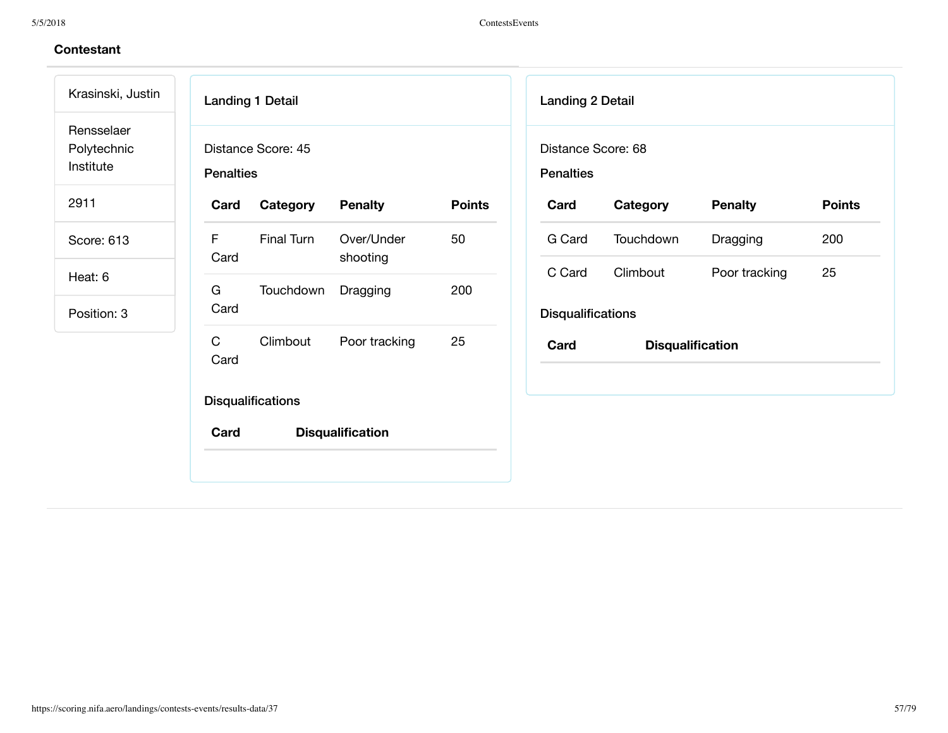| Krasinski, Justin                      | <b>Landing 1 Detail</b>                           |                     | <b>Landing 2 Detail</b>                |                         |                |               |
|----------------------------------------|---------------------------------------------------|---------------------|----------------------------------------|-------------------------|----------------|---------------|
| Rensselaer<br>Polytechnic<br>Institute | Distance Score: 45<br><b>Penalties</b>            |                     | Distance Score: 68<br><b>Penalties</b> |                         |                |               |
| 2911                                   | <b>Penalty</b><br>Category<br>Card                | <b>Points</b>       | Card                                   | Category                | <b>Penalty</b> | <b>Points</b> |
| Score: 613                             | Final Turn<br>F<br>Over/Under<br>Card<br>shooting | 50                  | G Card                                 | Touchdown               | Dragging       | 200           |
| Heat: 6                                | G<br>Touchdown<br>Dragging                        | 200                 | C Card                                 | Climbout                | Poor tracking  | 25            |
| Position: 3                            | Card                                              |                     | <b>Disqualifications</b>               |                         |                |               |
|                                        | $\mathsf{C}$<br>Climbout<br>Card                  | Poor tracking<br>25 | Card                                   | <b>Disqualification</b> |                |               |
|                                        | <b>Disqualifications</b>                          |                     |                                        |                         |                |               |
|                                        | Card<br><b>Disqualification</b>                   |                     |                                        |                         |                |               |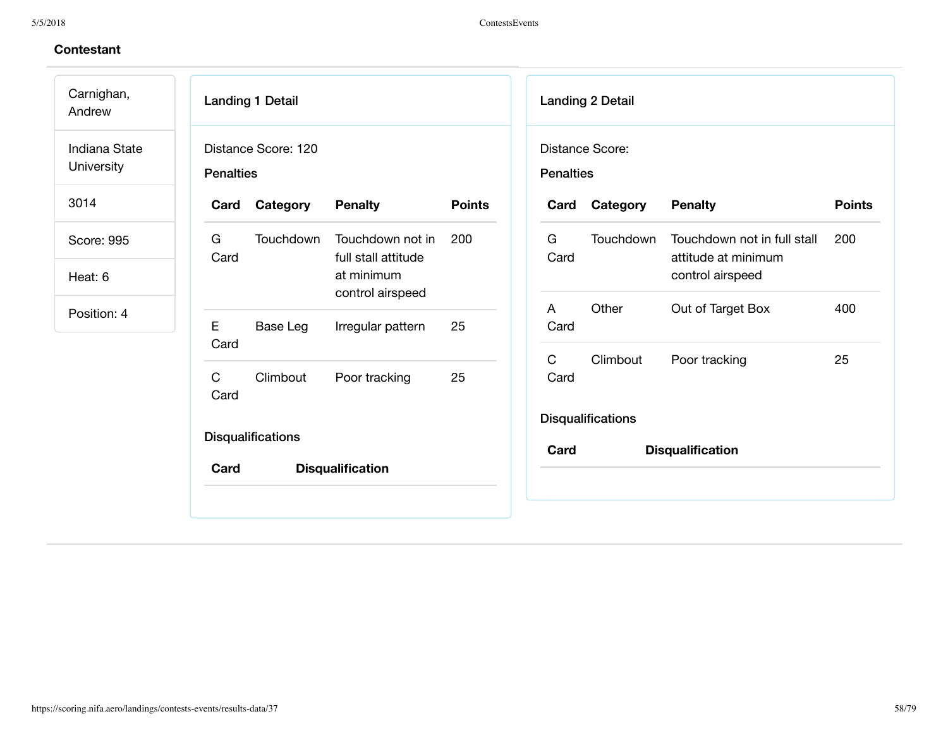| Carnighan,<br>Andrew               | <b>Landing 1 Detail</b>                                                  | <b>Landing 2 Detail</b>                                                             |
|------------------------------------|--------------------------------------------------------------------------|-------------------------------------------------------------------------------------|
| Indiana State<br><b>University</b> | Distance Score: 120<br><b>Penalties</b>                                  | Distance Score:<br><b>Penalties</b>                                                 |
| 3014                               | Category<br><b>Penalty</b><br><b>Points</b><br>Card                      | Category<br><b>Points</b><br><b>Penalty</b><br>Card                                 |
| Score: 995                         | G<br>Touchdown not in<br>Touchdown<br>200<br>Card<br>full stall attitude | G<br>Touchdown<br>Touchdown not in full stall<br>200<br>Card<br>attitude at minimum |
| Heat: 6                            | at minimum                                                               | control airspeed                                                                    |
| Position: 4                        | control airspeed<br>E<br>25<br>Base Leg<br>Irregular pattern             | Other<br>400<br>Out of Target Box<br>A<br>Card                                      |
|                                    | Card                                                                     | $\mathsf{C}$<br>Climbout<br>Poor tracking<br>25                                     |
|                                    | $\mathsf{C}$<br>Climbout<br>Poor tracking<br>25<br>Card                  | Card                                                                                |
|                                    | <b>Disqualifications</b><br>Card<br><b>Disqualification</b>              | <b>Disqualifications</b><br>Card<br><b>Disqualification</b>                         |
|                                    |                                                                          |                                                                                     |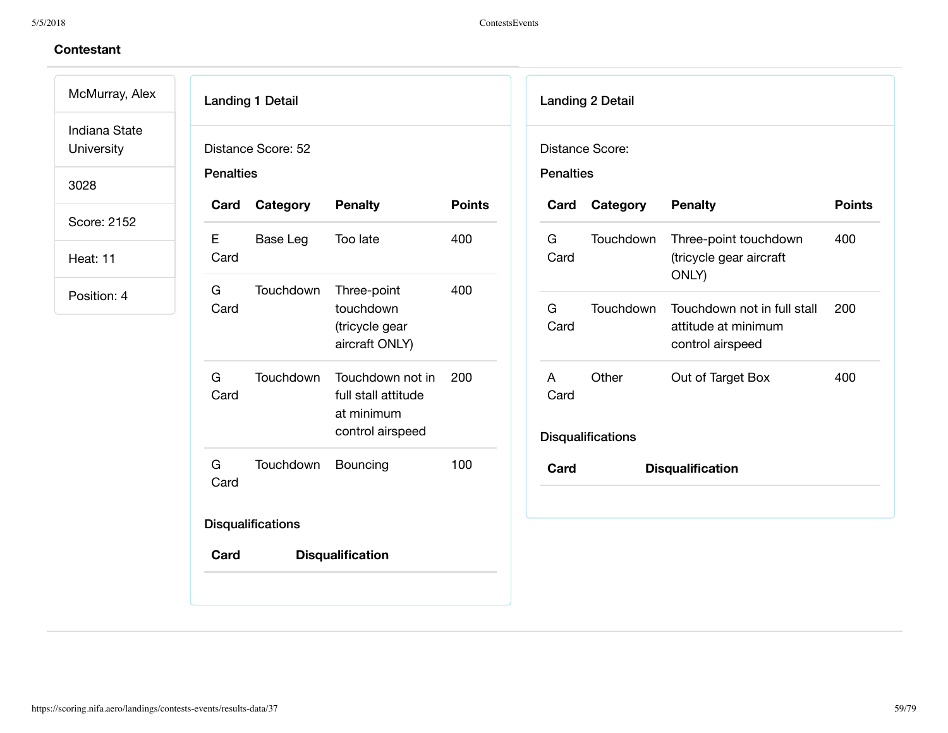| McMurray, Alex              |                  | <b>Landing 1 Detail</b>  |                                                                           |               |                  | <b>Landing 2 Detail</b>           |                                                                        |               |
|-----------------------------|------------------|--------------------------|---------------------------------------------------------------------------|---------------|------------------|-----------------------------------|------------------------------------------------------------------------|---------------|
| Indiana State<br>University |                  | Distance Score: 52       |                                                                           |               |                  | Distance Score:                   |                                                                        |               |
| 3028                        | <b>Penalties</b> |                          |                                                                           |               | <b>Penalties</b> |                                   |                                                                        |               |
| Score: 2152                 | Card             | Category                 | <b>Penalty</b>                                                            | <b>Points</b> | Card             | Category                          | <b>Penalty</b>                                                         | <b>Points</b> |
| Heat: 11                    | E<br>Card        | Base Leg                 | Too late                                                                  | 400           | G<br>Card        | Touchdown                         | Three-point touchdown<br>(tricycle gear aircraft<br>ONLY)              | 400           |
| Position: 4                 | G<br>Card        | Touchdown                | Three-point<br>touchdown<br>(tricycle gear<br>aircraft ONLY)              | 400           | G<br>Card        | Touchdown                         | Touchdown not in full stall<br>attitude at minimum<br>control airspeed | 200           |
|                             | G<br>Card        | Touchdown                | Touchdown not in<br>full stall attitude<br>at minimum<br>control airspeed | 200           | A<br>Card        | Other<br><b>Disqualifications</b> | Out of Target Box                                                      | 400           |
|                             | G<br>Card        | Touchdown                | Bouncing                                                                  | 100           | Card             |                                   | <b>Disqualification</b>                                                |               |
|                             |                  | <b>Disqualifications</b> |                                                                           |               |                  |                                   |                                                                        |               |
|                             | Card             |                          | <b>Disqualification</b>                                                   |               |                  |                                   |                                                                        |               |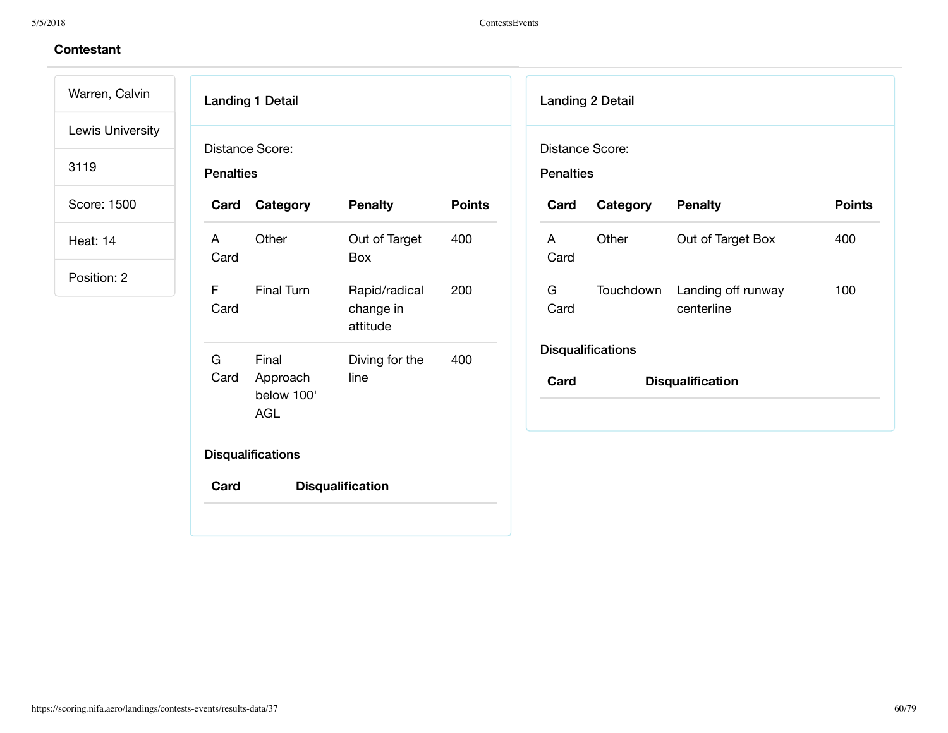### **Contestant**

Warren, Calvin Lewis University

3119

Score: 1500

Heat: 14

Position: 2

Landing 1 Detail

Penalties

| Card      | Category                               | <b>Penalty</b>                         | <b>Points</b> |
|-----------|----------------------------------------|----------------------------------------|---------------|
| A<br>Card | Other                                  | Out of Target<br>Box                   | 400           |
| F<br>Card | <b>Final Turn</b>                      | Rapid/radical<br>change in<br>attitude | 200           |
| G<br>Card | Final<br>Approach<br>below 100'<br>AGL | Diving for the<br>line                 | 400           |
|           | <b>Disqualifications</b>               |                                        |               |
| Card      |                                        | <b>Disqualification</b>                |               |

Landing 2 Detail Distance Score:

Penalties

| Card       | Category                 | <b>Penalty</b>                   | <b>Points</b> |
|------------|--------------------------|----------------------------------|---------------|
| A<br>Card  | Other                    | Out of Target Box                | 400           |
| G.<br>Card | Touchdown                | Landing off runway<br>centerline | 100           |
|            | <b>Disqualifications</b> |                                  |               |
| Card       |                          | <b>Disqualification</b>          |               |
|            |                          |                                  |               |
|            |                          |                                  |               |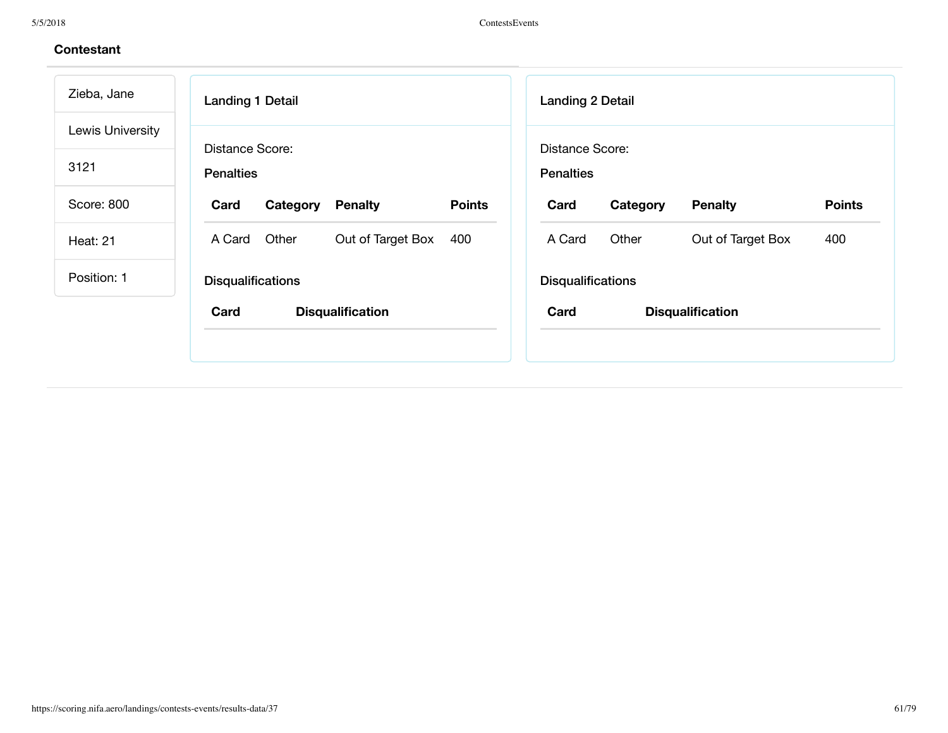| Zieba, Jane      | <b>Landing 1 Detail</b>                             | <b>Landing 2 Detail</b>                             |
|------------------|-----------------------------------------------------|-----------------------------------------------------|
| Lewis University | Distance Score:                                     | <b>Distance Score:</b>                              |
| 3121             | <b>Penalties</b>                                    | <b>Penalties</b>                                    |
| Score: 800       | <b>Points</b><br>Card<br>Category<br><b>Penalty</b> | <b>Penalty</b><br><b>Points</b><br>Card<br>Category |
| <b>Heat: 21</b>  | Other<br>Out of Target Box<br>A Card<br>400         | Other<br>Out of Target Box<br>A Card<br>400         |
| Position: 1      | <b>Disqualifications</b>                            | <b>Disqualifications</b>                            |
|                  | Card<br><b>Disqualification</b>                     | Card<br><b>Disqualification</b>                     |
|                  |                                                     |                                                     |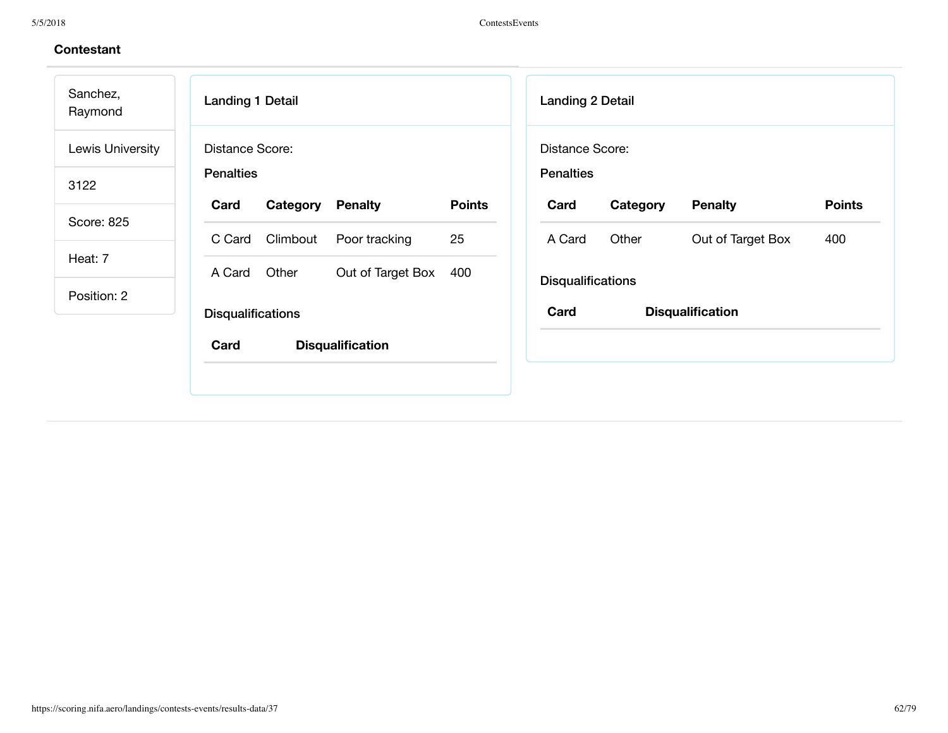| Sanchez,<br>Raymond | Landing 1 Detail                     |               | <b>Landing 2 Detail</b>  |          |                         |               |
|---------------------|--------------------------------------|---------------|--------------------------|----------|-------------------------|---------------|
| Lewis University    | Distance Score:                      |               | Distance Score:          |          |                         |               |
| 3122                | <b>Penalties</b>                     |               | <b>Penalties</b>         |          |                         |               |
|                     | <b>Penalty</b><br>Card<br>Category   | <b>Points</b> | Card                     | Category | <b>Penalty</b>          | <b>Points</b> |
| Score: 825          | Climbout<br>Poor tracking<br>C Card  | 25            | A Card                   | Other    | Out of Target Box       | 400           |
| Heat: 7             | Other<br>A Card<br>Out of Target Box | 400           |                          |          |                         |               |
| Position: 2         |                                      |               | <b>Disqualifications</b> |          |                         |               |
|                     | <b>Disqualifications</b>             |               | Card                     |          | <b>Disqualification</b> |               |
|                     | Card<br><b>Disqualification</b>      |               |                          |          |                         |               |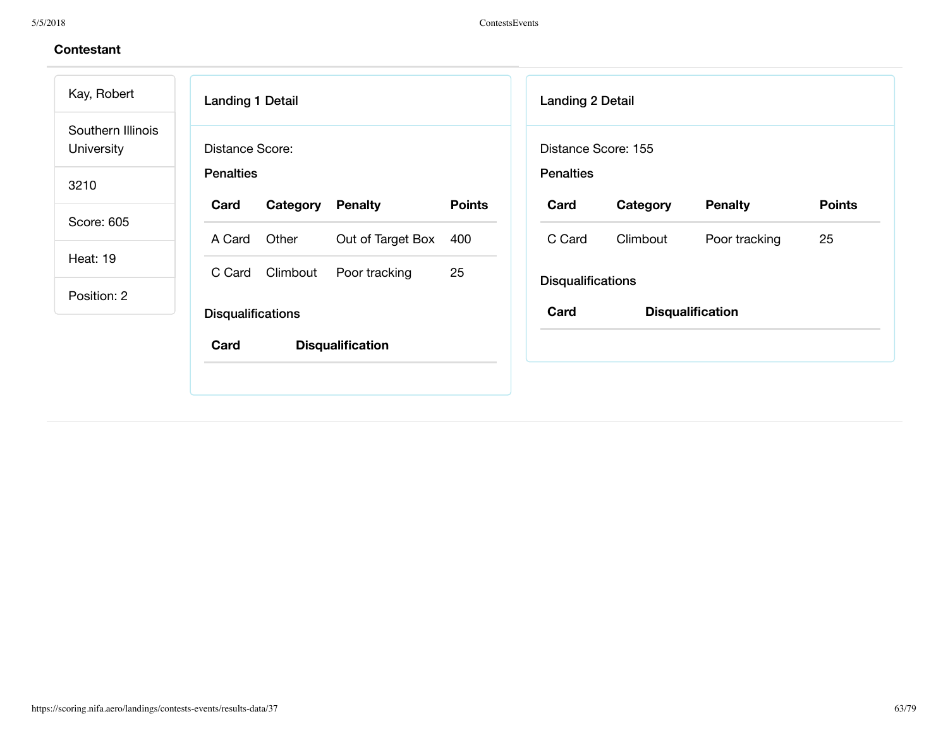| Kay, Robert                     | <b>Landing 1 Detail</b>  |          |                         |               | <b>Landing 2 Detail</b>  |          |                         |               |
|---------------------------------|--------------------------|----------|-------------------------|---------------|--------------------------|----------|-------------------------|---------------|
| Southern Illinois<br>University | Distance Score:          |          |                         |               | Distance Score: 155      |          |                         |               |
| 3210                            | <b>Penalties</b>         |          |                         |               | <b>Penalties</b>         |          |                         |               |
|                                 | Card                     | Category | <b>Penalty</b>          | <b>Points</b> | Card                     | Category | <b>Penalty</b>          | <b>Points</b> |
| Score: 605                      | A Card                   | Other    | Out of Target Box       | 400           | C Card                   | Climbout | Poor tracking           | 25            |
| <b>Heat: 19</b>                 | C Card                   | Climbout | Poor tracking           | 25            |                          |          |                         |               |
| Position: 2                     |                          |          |                         |               | <b>Disqualifications</b> |          |                         |               |
|                                 | <b>Disqualifications</b> |          |                         |               | Card                     |          | <b>Disqualification</b> |               |
|                                 | Card                     |          | <b>Disqualification</b> |               |                          |          |                         |               |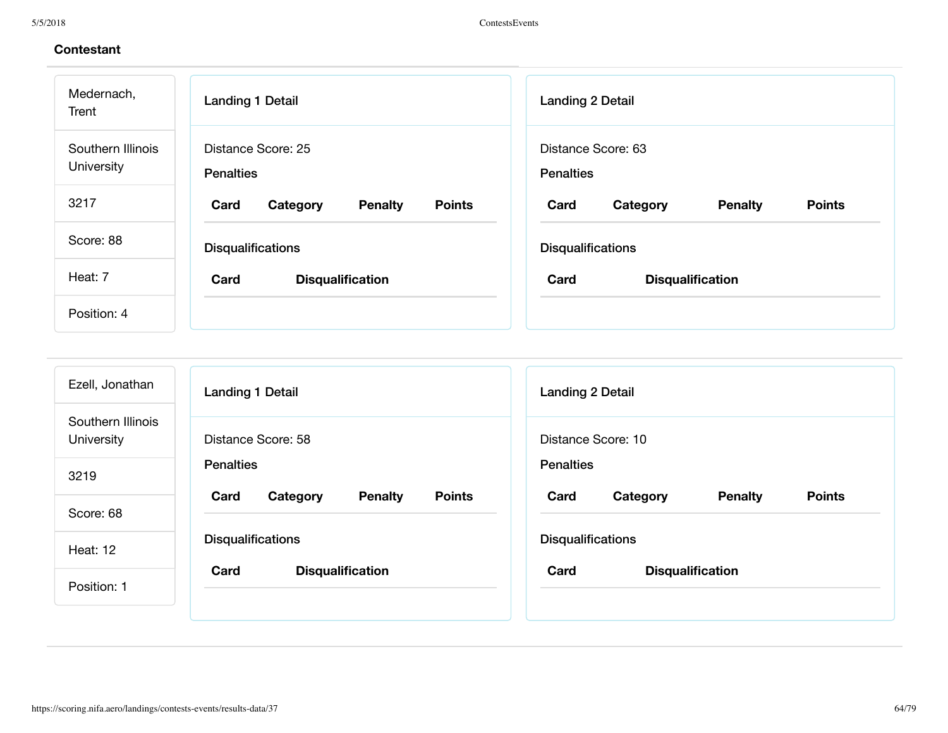| Medernach,<br>Trent             | <b>Landing 1 Detail</b>                             | <b>Landing 2 Detail</b>                             |  |  |  |
|---------------------------------|-----------------------------------------------------|-----------------------------------------------------|--|--|--|
| Southern Illinois<br>University | Distance Score: 25<br><b>Penalties</b>              | Distance Score: 63<br><b>Penalties</b>              |  |  |  |
| 3217                            | <b>Points</b><br>Card<br><b>Penalty</b><br>Category | <b>Points</b><br>Card<br><b>Penalty</b><br>Category |  |  |  |
| Score: 88                       | <b>Disqualifications</b>                            | <b>Disqualifications</b>                            |  |  |  |
| Heat: 7                         | Card<br><b>Disqualification</b>                     | Card<br><b>Disqualification</b>                     |  |  |  |
| Position: 4                     |                                                     |                                                     |  |  |  |

| Ezell, Jonathan                 | <b>Landing 1 Detail</b>                             | <b>Landing 2 Detail</b>                             |
|---------------------------------|-----------------------------------------------------|-----------------------------------------------------|
| Southern Illinois<br>University | Distance Score: 58                                  | Distance Score: 10                                  |
| 3219                            | <b>Penalties</b>                                    | <b>Penalties</b>                                    |
| Score: 68                       | <b>Points</b><br>Card<br>Category<br><b>Penalty</b> | <b>Points</b><br><b>Penalty</b><br>Card<br>Category |
| <b>Heat: 12</b>                 | <b>Disqualifications</b>                            | <b>Disqualifications</b>                            |
| Position: 1                     | Card<br><b>Disqualification</b>                     | Card<br><b>Disqualification</b>                     |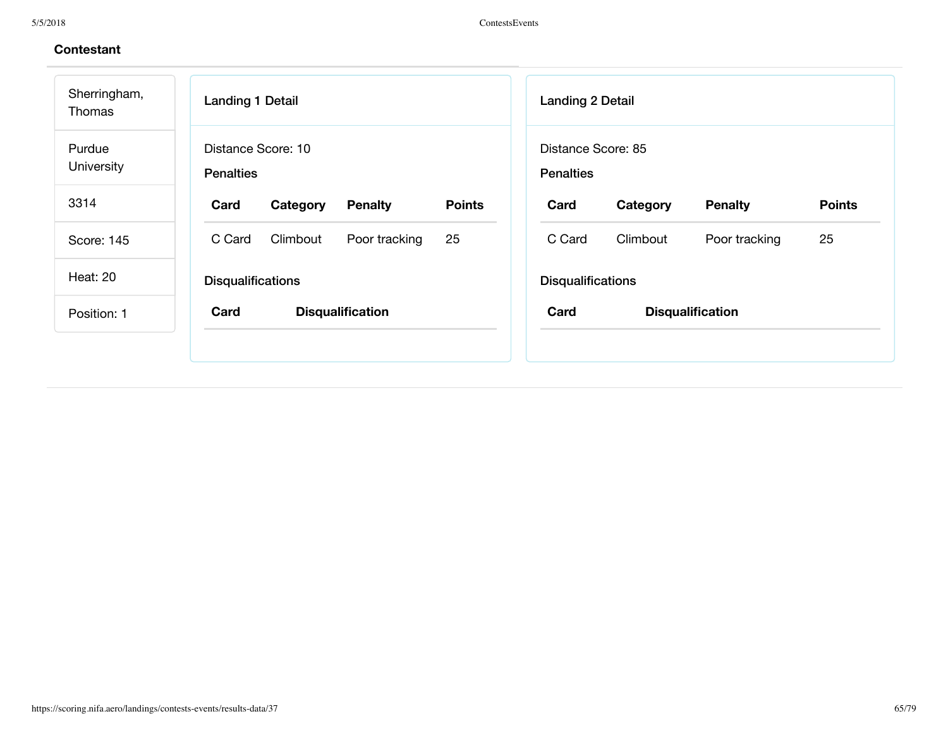| Sherringham,<br>Thomas | <b>Landing 1 Detail</b><br><b>Landing 2 Detail</b>                                                         |
|------------------------|------------------------------------------------------------------------------------------------------------|
| Purdue<br>University   | Distance Score: 10<br>Distance Score: 85<br><b>Penalties</b><br><b>Penalties</b>                           |
| 3314                   | <b>Points</b><br>Card<br><b>Penalty</b><br><b>Points</b><br>Card<br>Category<br><b>Penalty</b><br>Category |
| Score: 145             | 25<br>Climbout<br>25<br>C Card<br>C Card<br>Poor tracking<br>Climbout<br>Poor tracking                     |
| Heat: 20               | <b>Disqualifications</b><br><b>Disqualifications</b>                                                       |
| Position: 1            | <b>Disqualification</b><br><b>Disqualification</b><br>Card<br>Card                                         |
|                        |                                                                                                            |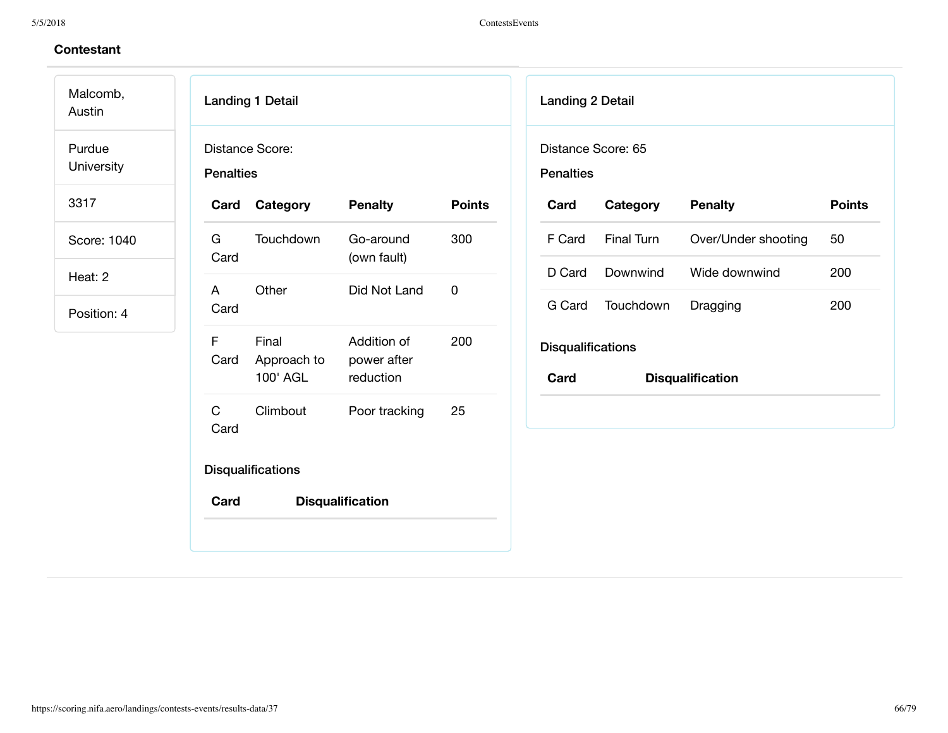Malcomb, Austin

Purdue

University

3317

Score: 1040

Heat: 2

Position: 4

| Distance Score: |
|-----------------|

Landing 1 Detail

Penalties

| Card       | Category                         | <b>Penalty</b>                          | <b>Points</b> |
|------------|----------------------------------|-----------------------------------------|---------------|
| G.<br>Card | Touchdown                        | Go-around<br>(own fault)                | 300           |
| A<br>Card  | Other                            | Did Not Land                            | O             |
| F<br>Card  | Final<br>Approach to<br>100' AGL | Addition of<br>power after<br>reduction | 200           |
| C<br>Card  | Climbout                         | Poor tracking                           | 25            |
|            | Disqualifications                |                                         |               |
| Card       |                                  | <b>Disqualification</b>                 |               |

Landing 2 Detail

Distance Score: 65

Penalties

| Card                            | Category         | <b>Penalty</b>      | <b>Points</b> |  |  |
|---------------------------------|------------------|---------------------|---------------|--|--|
| F Card                          | Final Turn       | Over/Under shooting | 50            |  |  |
| D Card                          | Downwind         | Wide downwind       | 200           |  |  |
| G Card                          | <b>Touchdown</b> | Dragging            | 200           |  |  |
| <b>Disqualifications</b>        |                  |                     |               |  |  |
| Card<br><b>Disqualification</b> |                  |                     |               |  |  |
|                                 |                  |                     |               |  |  |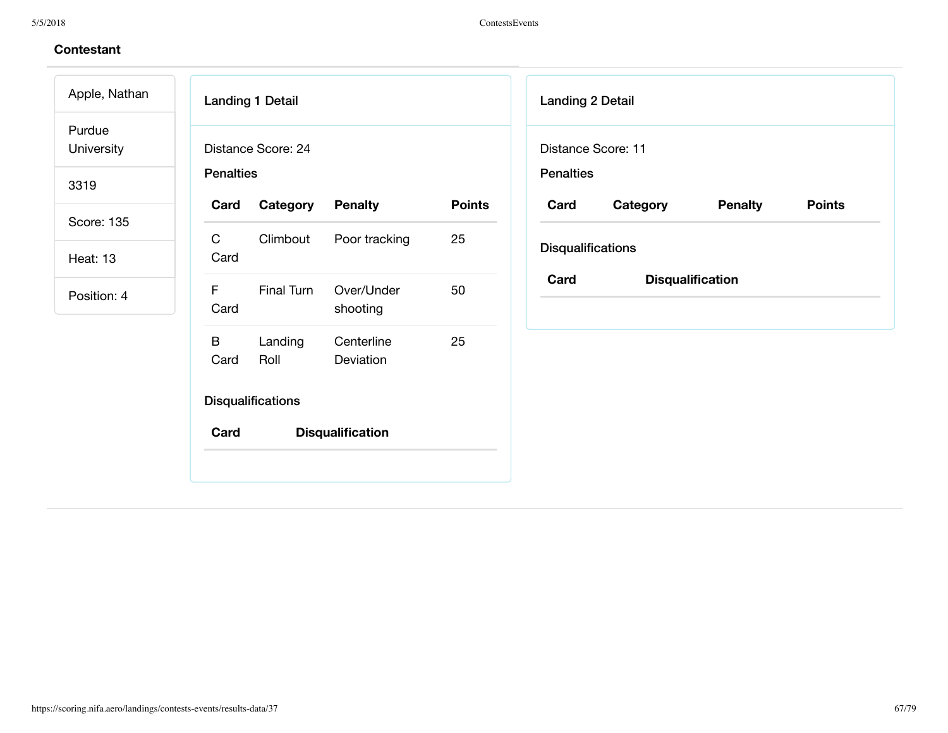Landing 1 Detail Distance Score: 24 **Penalties Card Category Penalty Points** C Card Climbout Poor tracking 25 F Card Final Turn Over/Under shooting 50 B Card Landing Roll **Centerline** Deviation 25 **Disqualifications Card Disqualification** Landing 2 Detail Distance Score: 11 **Penalties Card Category Penalty Points Disqualifications Card Disqualification** Apple, Nathan Purdue University 3319 Score: 135 Heat: 13 Position: 4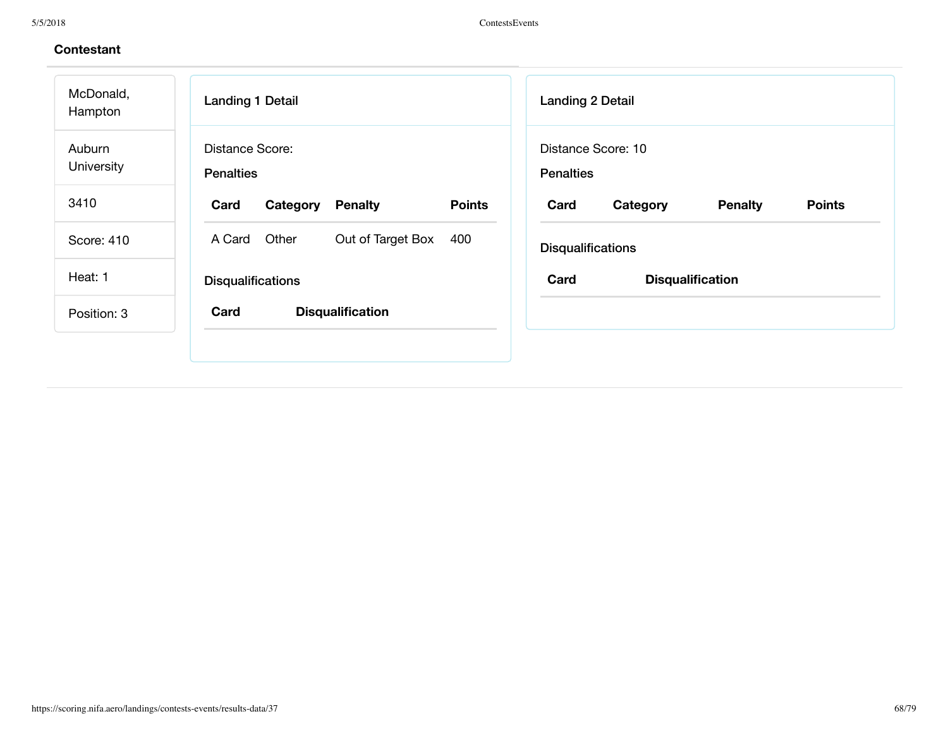| McDonald,<br>Hampton | <b>Landing 1 Detail</b><br><b>Landing 2 Detail</b>                                                         |
|----------------------|------------------------------------------------------------------------------------------------------------|
| Auburn<br>University | Distance Score:<br>Distance Score: 10<br><b>Penalties</b><br><b>Penalties</b>                              |
| 3410                 | <b>Points</b><br>Card<br><b>Penalty</b><br><b>Points</b><br>Card<br>Category<br>Category<br><b>Penalty</b> |
| Score: 410           | Other<br>Out of Target Box<br>A Card<br>400<br><b>Disqualifications</b>                                    |
| Heat: 1              | Card<br><b>Disqualification</b><br><b>Disqualifications</b>                                                |
| Position: 3          | Card<br><b>Disqualification</b>                                                                            |
|                      |                                                                                                            |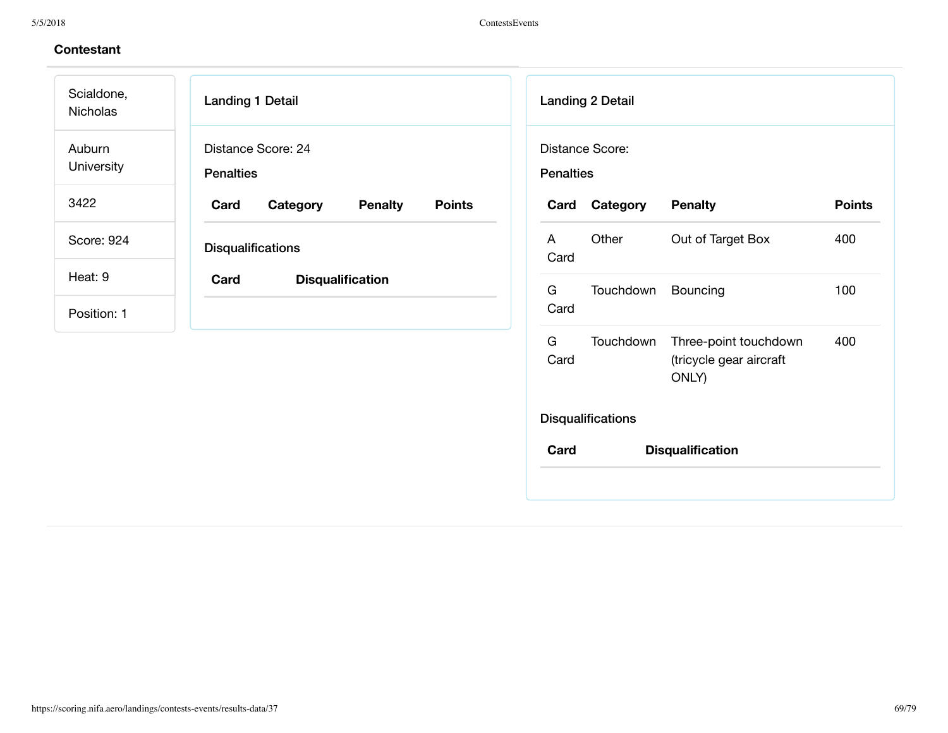| Scialdone,<br>Nicholas | <b>Landing 1 Detail</b>                             | Landing 2 Detail                                                                           |
|------------------------|-----------------------------------------------------|--------------------------------------------------------------------------------------------|
| Auburn<br>University   | Distance Score: 24<br><b>Penalties</b>              | Distance Score:<br><b>Penalties</b>                                                        |
| 3422                   | <b>Points</b><br>Card<br>Category<br><b>Penalty</b> | Category<br><b>Penalty</b><br><b>Points</b><br>Card                                        |
| Score: 924             | <b>Disqualifications</b>                            | Other<br>Out of Target Box<br>400<br>A<br>Card                                             |
| Heat: 9<br>Position: 1 | Card<br><b>Disqualification</b>                     | G<br>Touchdown<br>Bouncing<br>100<br>Card                                                  |
|                        |                                                     | G<br>Touchdown<br>Three-point touchdown<br>400<br>Card<br>(tricycle gear aircraft<br>ONLY) |
|                        |                                                     | <b>Disqualifications</b>                                                                   |
|                        |                                                     | <b>Disqualification</b><br>Card                                                            |
|                        |                                                     |                                                                                            |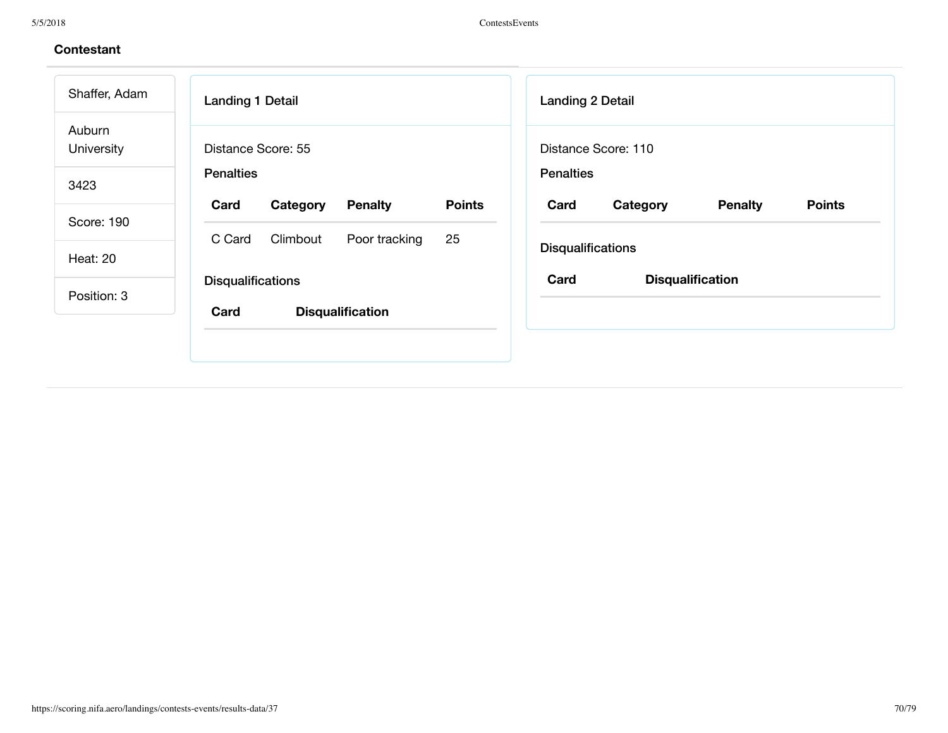| Auburn          |                                     |               |                          |                         | <b>Landing 2 Detail</b> |               |  |  |
|-----------------|-------------------------------------|---------------|--------------------------|-------------------------|-------------------------|---------------|--|--|
| University      | Distance Score: 55                  |               | Distance Score: 110      |                         |                         |               |  |  |
| 3423            | <b>Penalties</b>                    |               | <b>Penalties</b>         |                         |                         |               |  |  |
|                 | Card<br>Category<br><b>Penalty</b>  | <b>Points</b> | Card                     | Category                | <b>Penalty</b>          | <b>Points</b> |  |  |
| Score: 190      | Climbout<br>C Card<br>Poor tracking | 25            |                          |                         |                         |               |  |  |
| <b>Heat: 20</b> |                                     |               | <b>Disqualifications</b> |                         |                         |               |  |  |
| Position: 3     | <b>Disqualifications</b>            |               | Card                     | <b>Disqualification</b> |                         |               |  |  |
|                 | Card<br><b>Disqualification</b>     |               |                          |                         |                         |               |  |  |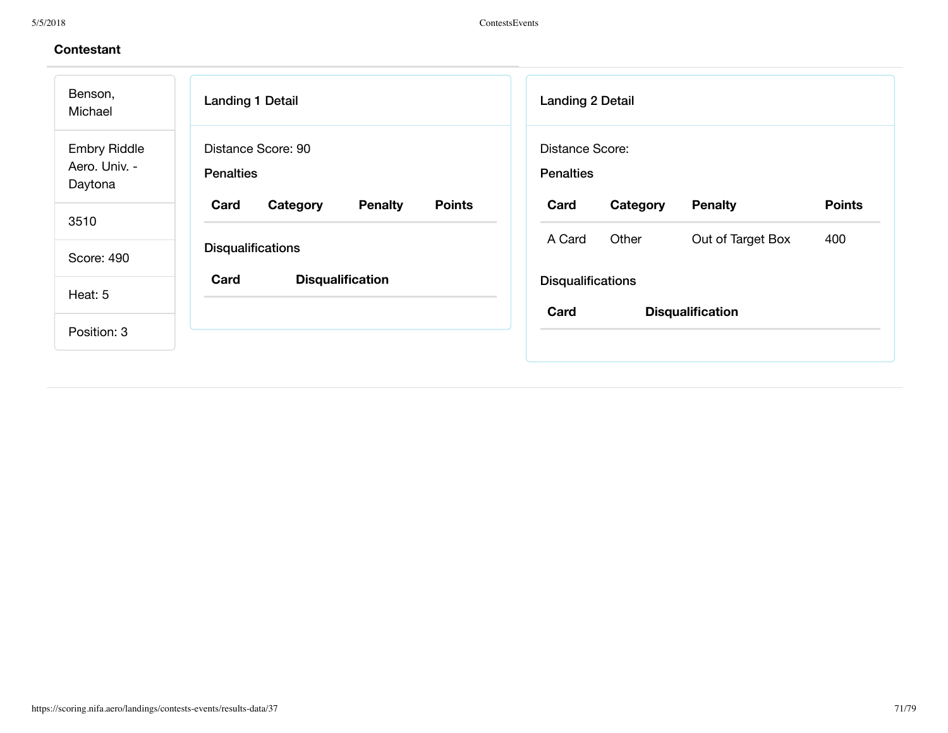| Benson,<br>Michael                              | <b>Landing 1 Detail</b>                             | <b>Landing 2 Detail</b>                             |
|-------------------------------------------------|-----------------------------------------------------|-----------------------------------------------------|
| <b>Embry Riddle</b><br>Aero. Univ. -<br>Daytona | Distance Score: 90<br><b>Penalties</b>              | Distance Score:<br><b>Penalties</b>                 |
| 3510                                            | <b>Points</b><br>Card<br><b>Penalty</b><br>Category | <b>Penalty</b><br>Card<br><b>Points</b><br>Category |
|                                                 | <b>Disqualifications</b>                            | Other<br>Out of Target Box<br>A Card<br>400         |
| Score: 490                                      |                                                     |                                                     |
| Heat: 5                                         | Card<br><b>Disqualification</b>                     | <b>Disqualifications</b>                            |
|                                                 |                                                     | Card<br><b>Disqualification</b>                     |
| Position: 3                                     |                                                     |                                                     |
|                                                 |                                                     |                                                     |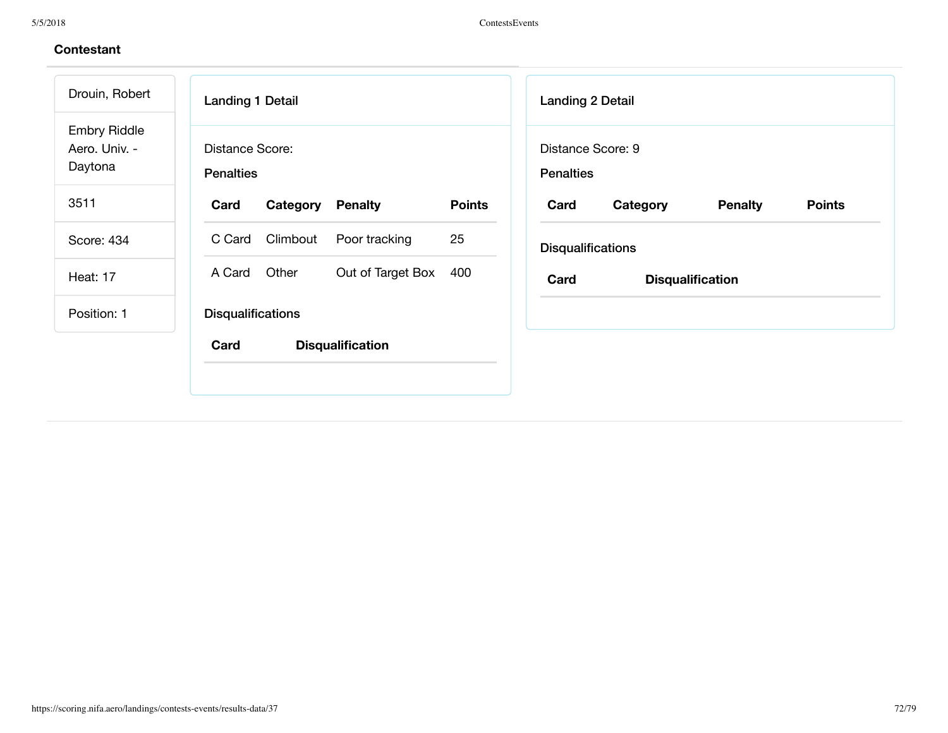| <b>Landing 1 Detail</b>             |          |                                    |                                       | <b>Landing 2 Detail</b> |          |                          |                         |
|-------------------------------------|----------|------------------------------------|---------------------------------------|-------------------------|----------|--------------------------|-------------------------|
| Distance Score:<br><b>Penalties</b> |          |                                    | Distance Score: 9<br><b>Penalties</b> |                         |          |                          |                         |
| Card                                | Category | <b>Penalty</b>                     | <b>Points</b>                         | Card                    | Category | <b>Penalty</b>           | <b>Points</b>           |
|                                     | Climbout | Poor tracking                      | 25                                    |                         |          |                          |                         |
| A Card                              | Other    | Out of Target Box                  | 400                                   | Card                    |          |                          |                         |
|                                     |          |                                    |                                       |                         |          |                          |                         |
| Card                                |          |                                    |                                       |                         |          |                          |                         |
|                                     |          | C Card<br><b>Disqualifications</b> | <b>Disqualification</b>               |                         |          | <b>Disqualifications</b> | <b>Disqualification</b> |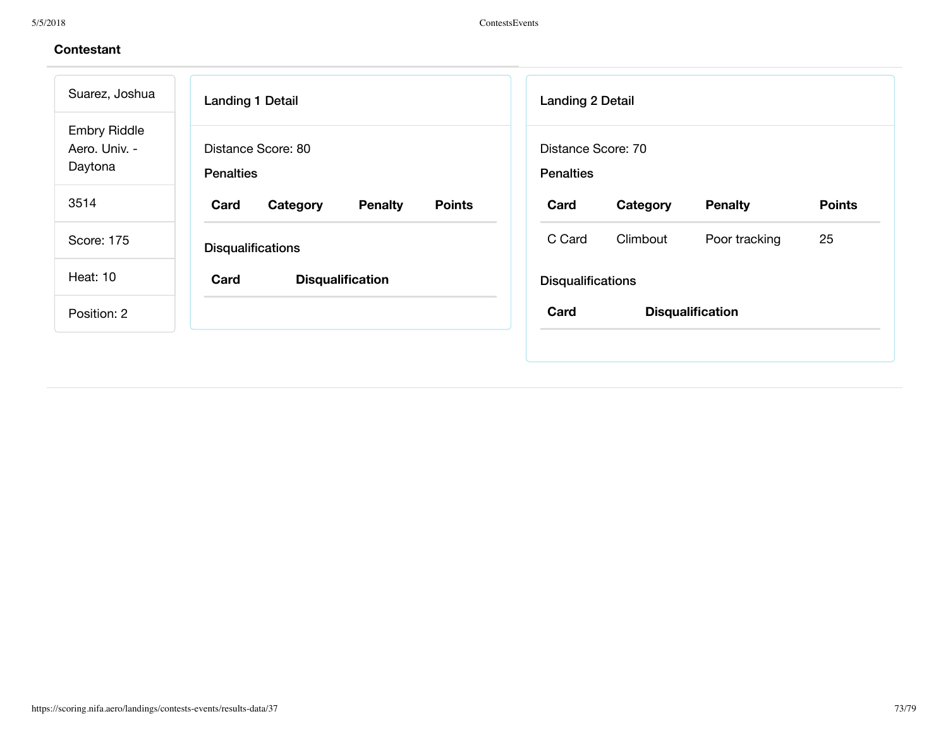| Suarez, Joshua                                  | <b>Landing 1 Detail</b>                             | <b>Landing 2 Detail</b>                             |  |  |  |
|-------------------------------------------------|-----------------------------------------------------|-----------------------------------------------------|--|--|--|
| <b>Embry Riddle</b><br>Aero. Univ. -<br>Daytona | Distance Score: 80<br><b>Penalties</b>              | Distance Score: 70<br><b>Penalties</b>              |  |  |  |
| 3514                                            | <b>Points</b><br>Card<br>Category<br><b>Penalty</b> | <b>Points</b><br><b>Penalty</b><br>Card<br>Category |  |  |  |
| Score: 175                                      | <b>Disqualifications</b>                            | C Card<br>Climbout<br>25<br>Poor tracking           |  |  |  |
| <b>Heat: 10</b>                                 | Card<br><b>Disqualification</b>                     | <b>Disqualifications</b>                            |  |  |  |
| Position: 2                                     |                                                     | <b>Disqualification</b><br>Card                     |  |  |  |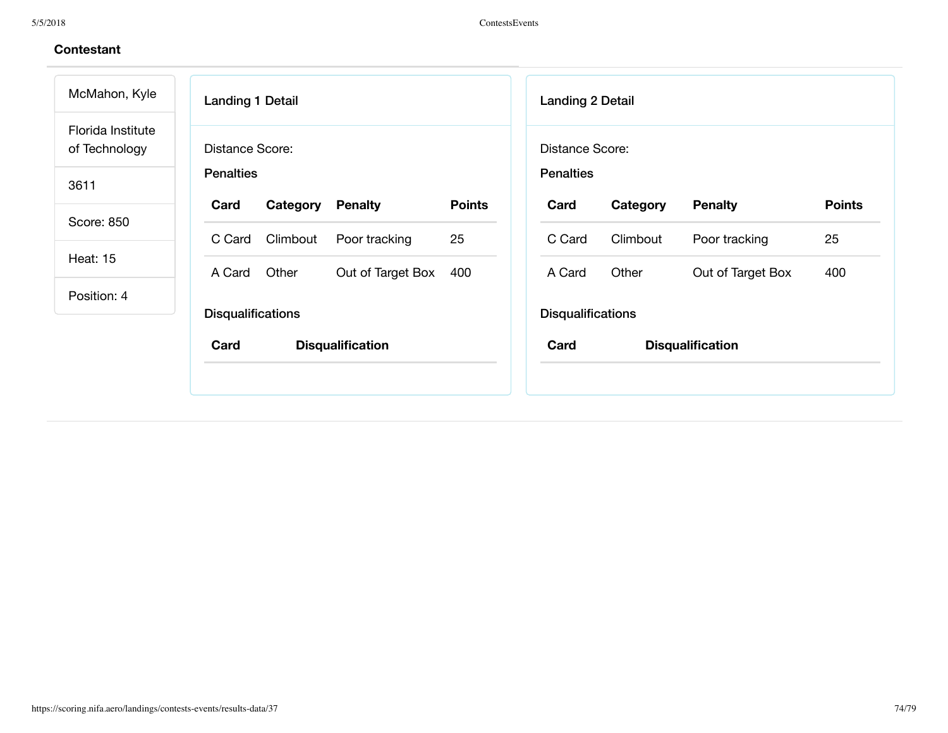5/5/2018 ContestsEvents

| McMahon, Kyle                      | Landing 1 Detail         |          |                         |               | <b>Landing 2 Detail</b>  |          |                         |               |
|------------------------------------|--------------------------|----------|-------------------------|---------------|--------------------------|----------|-------------------------|---------------|
| Florida Institute<br>of Technology | Distance Score:          |          |                         |               | Distance Score:          |          |                         |               |
| 3611                               | <b>Penalties</b>         |          |                         |               | <b>Penalties</b>         |          |                         |               |
|                                    | Card                     | Category | <b>Penalty</b>          | <b>Points</b> | Card                     | Category | <b>Penalty</b>          | <b>Points</b> |
| Score: 850                         | C Card                   | Climbout | Poor tracking           | 25            | C Card                   | Climbout | Poor tracking           | 25            |
| <b>Heat: 15</b>                    | A Card                   | Other    | Out of Target Box       | 400           | A Card                   | Other    | Out of Target Box       | 400           |
| Position: 4                        | <b>Disqualifications</b> |          |                         |               | <b>Disqualifications</b> |          |                         |               |
|                                    | Card                     |          | <b>Disqualification</b> |               | Card                     |          | <b>Disqualification</b> |               |
|                                    |                          |          |                         |               |                          |          |                         |               |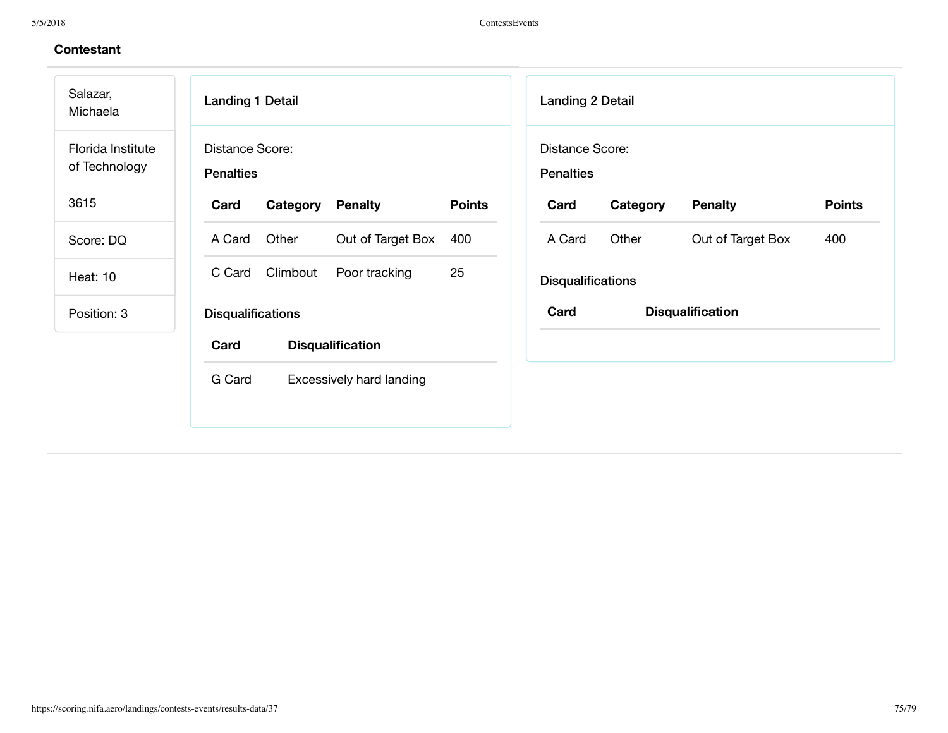| Salazar,<br>Michaela               | Landing 1 Detail<br>Landing 2 Detail                                                                       |
|------------------------------------|------------------------------------------------------------------------------------------------------------|
| Florida Institute<br>of Technology | Distance Score:<br>Distance Score:<br><b>Penalties</b><br><b>Penalties</b>                                 |
| 3615                               | <b>Penalty</b><br><b>Penalty</b><br>Card<br>Category<br><b>Points</b><br>Card<br>Category<br><b>Points</b> |
| Score: DQ                          | Other<br>Out of Target Box<br>Other<br>Out of Target Box<br>A Card<br>400<br>A Card<br>400                 |
| <b>Heat: 10</b>                    | 25<br>Climbout<br>Poor tracking<br>C Card<br><b>Disqualifications</b>                                      |
| Position: 3                        | <b>Disqualification</b><br>Card<br><b>Disqualifications</b>                                                |
|                                    | Card<br><b>Disqualification</b>                                                                            |
|                                    | G Card<br>Excessively hard landing                                                                         |
|                                    |                                                                                                            |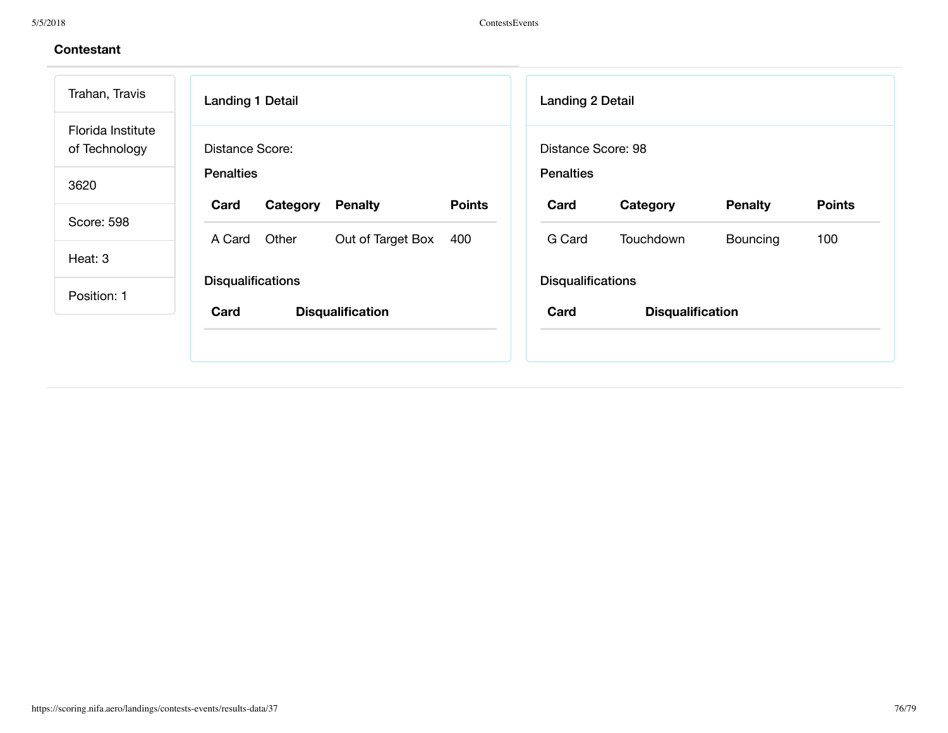| Distance Score:<br><b>Penalties</b>     |                |                                              | Distance Score: 98       |           |                |                                     |
|-----------------------------------------|----------------|----------------------------------------------|--------------------------|-----------|----------------|-------------------------------------|
|                                         |                |                                              |                          |           |                |                                     |
|                                         |                |                                              | <b>Penalties</b>         |           |                |                                     |
| Card<br>Category                        | <b>Penalty</b> | <b>Points</b>                                | Card                     | Category  | <b>Penalty</b> | <b>Points</b>                       |
| Other<br>A Card                         |                | 400                                          | G Card                   | Touchdown |                | 100                                 |
|                                         |                |                                              |                          |           |                |                                     |
| <b>Disqualifications</b><br>Position: 1 |                |                                              | <b>Disqualifications</b> |           |                |                                     |
| Card                                    |                |                                              | Card                     |           |                |                                     |
|                                         |                |                                              |                          |           |                |                                     |
|                                         |                | Out of Target Box<br><b>Disqualification</b> |                          |           |                | Bouncing<br><b>Disqualification</b> |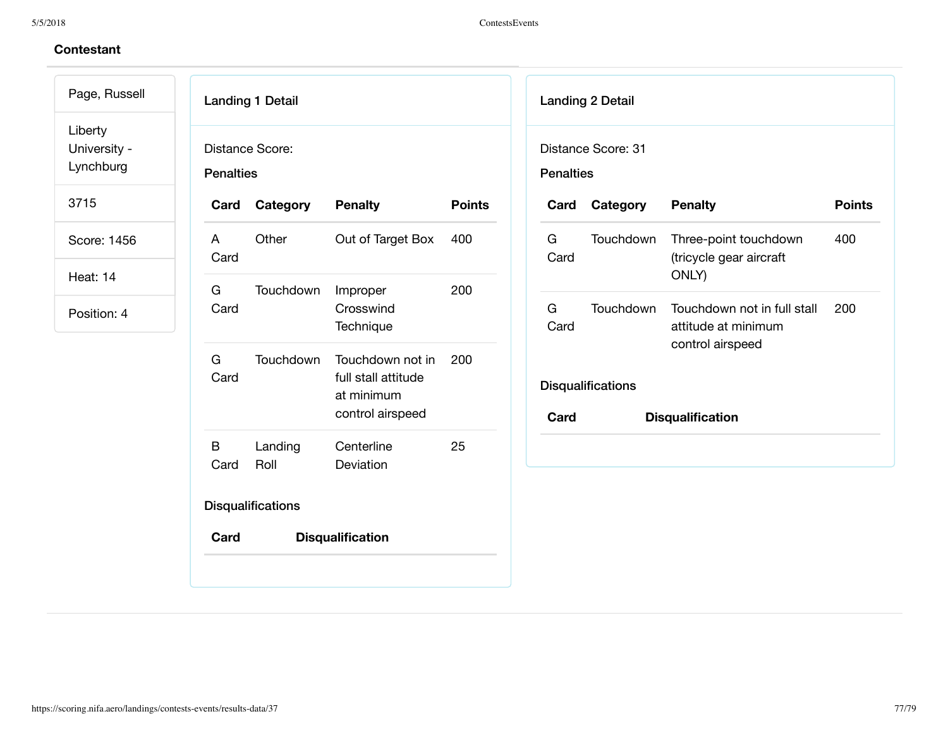### 5/5/2018 ContestsEvents

## **Contestant**

Landing 1 Detail Distance Score: **Penalties Card Category Penalty Points** A Card Other Out of Target Box 400 G Card Touchdown Improper Crosswind **Technique** 200 G Card Touchdown Touchdown not in full stall attitude at minimum control airspeed 200 B Card Landing Roll **Centerline** Deviation 25 **Disqualifications Card Disqualification** Landing 2 Detail Distance Score: 31 **Penalties Card Category Penalty Points** G Card Touchdown Three-point touchdown (tricycle gear aircraft ONLY) 400 G Card Touchdown Touchdown not in full stall attitude at minimum control airspeed 200 **Disqualifications Card Disqualification** Page, Russell Liberty University - Lynchburg 3715 Score: 1456 Heat: 14 Position: 4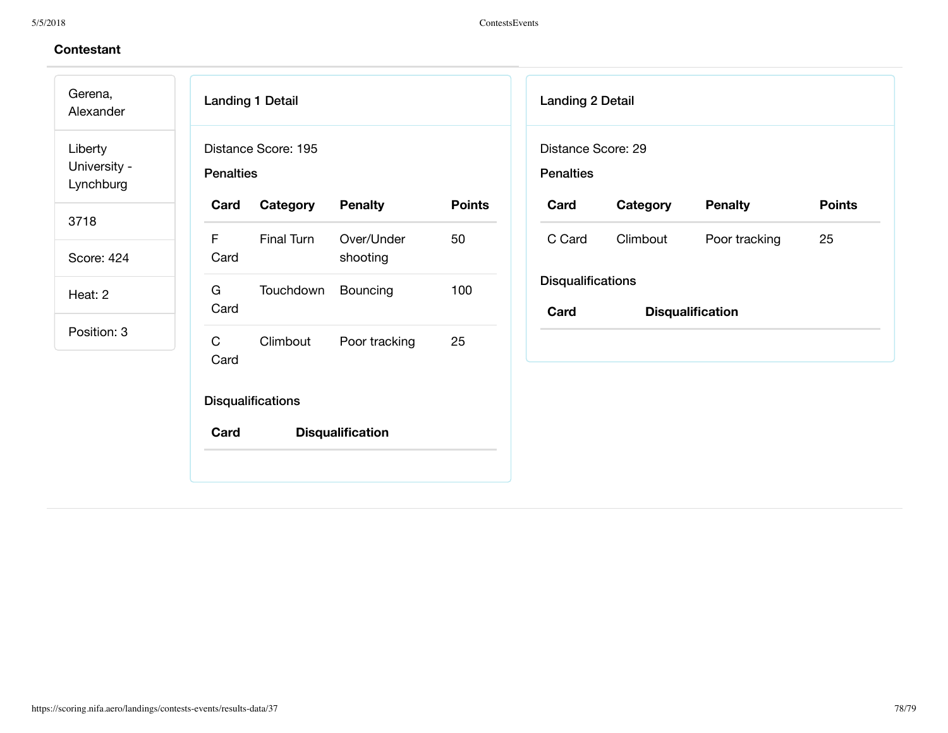| <b>Landing 1 Detail</b>                                 | <b>Landing 2 Detail</b>                                              |
|---------------------------------------------------------|----------------------------------------------------------------------|
| Distance Score: 195<br><b>Penalties</b>                 | Distance Score: 29<br><b>Penalties</b>                               |
| <b>Penalty</b><br>Card<br>Category                      | <b>Points</b><br><b>Penalty</b><br><b>Points</b><br>Card<br>Category |
| F<br>Final Turn<br>Over/Under<br>50<br>Card<br>shooting | C Card<br>Climbout<br>Poor tracking<br>25                            |
| Touchdown<br>Bouncing<br>G<br>Card                      | <b>Disqualifications</b><br>Card<br><b>Disqualification</b>          |
| $\mathsf C$<br>25<br>Climbout<br>Poor tracking<br>Card  |                                                                      |
| <b>Disqualifications</b>                                |                                                                      |
| Card<br><b>Disqualification</b>                         |                                                                      |
|                                                         | 100                                                                  |